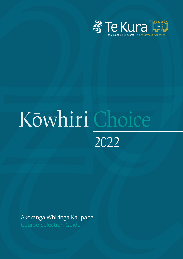

# 3 Te Kura 100<br>2022<br>2022<br>Akoranga Whiringa Kaupapa<br>Course Selection Guide 2022

Course Selection Guide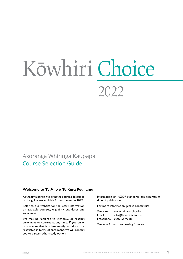# Kōwhiri Choice 2022

# Akoranga Whiringa Kaupapa Course Selection Guide

# **Welcome to Te Aho o Te Kura Pounamu**

At the time of going to print the courses described in this guide are available for enrolment in 2022.

Refer to our website for the latest information on available courses, eligibility, standards and enrolment.

We may be required to withdraw or restrict enrolment to courses at any time. If you enrol in a course that is subsequently withdrawn or restricted in terms of enrolment, we will contact you to discuss other study options.

Information on NZQF standards are accurate at time of publication.

For more information, please contact us:

Website: www.tekura.school.nz Email: info@tekura.school.nz Freephone: 0800 65 99 88

We look forward to hearing from you.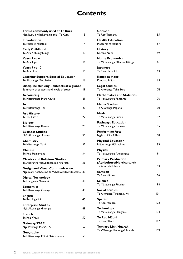# **Contents**

| Terms commonly used at Te Kura<br>Ngā kupu e whakamahia ana i Te Kura                     | 3  |
|-------------------------------------------------------------------------------------------|----|
| Introduction<br>Te Kupu Whakataki                                                         | 4  |
| <b>Early Childhood</b><br>Te Ara Kōhungahunga                                             | 13 |
| Years I to 6<br>Te Ara Tipu                                                               | 14 |
| Years 7 to 10<br>Te Ara Hou                                                               | 15 |
| <b>Learning Support/Special Education</b><br>Te Akoranga Motuhake                         | 16 |
| Discipline thinking - subjects at a glance<br>Summary of subjects and levels of study     | 19 |
| <b>Accounting</b><br>Te Mātauranga Mahi Kaute                                             | 21 |
| Art<br>Te Mātauranga Toi                                                                  | 23 |
| <b>Art History</b><br>Te Toi Hitori                                                       | 27 |
| <b>Biology</b><br>Te Mātauranga Koiora                                                    | 28 |
| <b>Business Studies</b><br>Ngā Akoranga Umanga                                            | 30 |
| Chemistry<br>Te Māturanga Matū                                                            | 32 |
| <b>Chinese</b><br>Te Reo Hainamana                                                        | 34 |
| <b>Classics and Religious Studies</b><br>Te Akoranga Puāwaitanga me ngā Hāhi              | 36 |
| <b>Design and Visual Communication</b><br>Ngā mahi hoahoa me te Whakawhitiwhiti ataata 38 |    |
| <b>Digital Technology</b><br>Te Hangarau Mamatai                                          | 40 |
| <b>Economics</b><br>Te Mātauranga Ōhanga                                                  | 43 |
| <b>English</b><br>Te Reo Ingarihi                                                         | 45 |
| <b>Enterprise Studies</b><br>Ngā Akoranga Hinonga                                         | 49 |
| <b>French</b><br>Te Reo Wīwī                                                              | 50 |
| Gateway/STAR<br>Ngā Pokenga Mahi/STAR                                                     | 52 |
| Geography<br>Te Mātauranga Mātai Matawhenua                                               | 53 |

# **[German](#page-56-0)** [Te Reo Tiamana](#page-56-0) 55 **[Health Education](#page-58-0)** [Mätauranga Hauora](#page-58-0) 57 **[History](#page-60-0)** [Körero Nehe](#page-60-0) 59 **[Home Economics](#page-62-0)** Te Mātauranga Ohaoha Kāinga **1988. Umraik** 61 **[Japanese](#page-64-0)** [Te Reo Hapanihi](#page-64-0) 63 **[Kaupapa Mäori](#page-66-0)** Kaupapa Māori 65 **[Legal Studies](#page-75-0)** [Te Akoranga Taha Ture](#page-75-0) 74 **[Mathematics and Statistics](#page-77-0)** [Te Mätauranga Pängarau](#page-77-0) 76 **[Media Studies](#page-81-0)** Te Akoranga Pāpāho **80 [Music](#page-83-0)** Te Mātauranga Pūoru 1982 **[Pathways Education](#page-86-0)** Te Mātauranga Rapuara **1988. upravadā atstaura 1985. [Performing Arts](#page-89-0)** [Ngämahi äte Rëhia](#page-89-0) 88 **[Physical Education](#page-90-0)** [Mätauranga Häkinakina](#page-90-0) 89 **[Physics](#page-92-0)** [Te Mätauranga Ahupüngao](#page-92-0) 91 **[Primary Production](#page-94-0)  [\(Agriculture/Horticulture\)](#page-94-0)** [Te Ahumahi Matua](#page-94-0) 93 **[Samoan](#page-97-0)** [Te Reo Hämoa](#page-97-0) 96 **[Science](#page-99-0)** [Te Mätauranga Pütaiao](#page-99-0) 98 **[Social Studies](#page-102-0)** [Te Akoranga Tikanga ä-iwi](#page-102-0) 101 **[Spanish](#page-103-0)** Te Reo Pāniora 102 **[Technology](#page-105-0)** Te Mātauranga Hangarau 104 **[Te Reo Mäori](#page-108-0)** Te Reo Māori 107 **[Tertiary Link/Huarahi](#page-110-0)** [Te Wänanga Hononga/Huarahi](#page-110-0) 109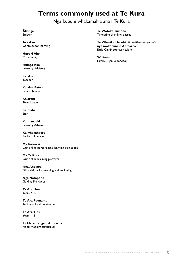# **Terms commonly used at Te Kura**

# Ngä kupu e whakamahia ana i Te Kura

<span id="page-4-0"></span>**Äkonga** Student

**Ara Ako** Contexts for learning

**Hapori Ako** Community

**Huinga Ako** Learning Advisory

**Kaiako** Teacher

**Kaiako Matua** Senior Teacher

**Kaiarahi** Team Leader

**Kaimahi** Staff

**Kaimanaaki** Learning Advisor

**Kaiwhakahaere** Regional Manager

**My Korowai** Our online personalised learning plan space

**My Te Kura** Our online learning platform

**Ngä Äheinga** Dispositions for learning and wellbeing

**Ngä Mätäpono** Guiding Principles

**Te Ara Hou** Years 7–10

**Te Ara Pounamu** Te Kura's local curriculum

**Te Ara Tipu** Years 1–6

**Te Marautanga o Aotearoa** Mäori medium curriculum

**Te Wätaka Tuihono** Timetable of online classes

**Te Whariki: He whäriki mätauranga mö ngä mokopuna o Aotearoa** Early Childhood curriculum

**Whänau** Family, Aiga, Supervisor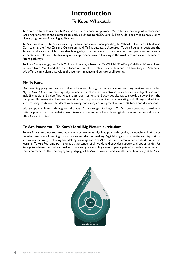# **Introduction**

# Te Kupu Whakataki

<span id="page-5-0"></span>Te Aho o Te Kura Pounamu (Te Kura) is a distance education provider. We offer a wide range of personalised learning programmes and courses from early childhood to NCEA Level 3. This guide is designed to help äkonga plan a programme of learning at Te Kura.

Te Ara Pounamu is Te Kura's local Big Picture curriculum incorporating Te Whäriki (The Early Childhood Curriculum), the New Zealand Curriculum, and Te Marautanga o Aotearoa. Te Ara Pounamu positions the äkonga at the centre of learning that is engaging, that responds to their interests and passions, and that is authentic and relevant. This learning opens up connections to learning in the world around us and illuminates future pathways.

Te Ara Köhungahunga, our Early Childhood course, is based on Te Whäriki (The Early Childhood Curriculum). Courses from Year 1 and above are based on the New Zealand Curriculum and Te Marautanga o Aotearoa. We offer a curriculum that values the identity, language and culture of all äkonga.

# **My Te Kura**

Our learning programmes are delivered online through a secure, online learning environment called My Te Kura. Online courses typically include a mix of interactive activities such as quizzes, digital resources including audio and video files, virtual classroom sessions, and activities äkonga can work on away from the computer. Kaimanaaki and kaiako maintain an active presence online communicating with äkonga and whänau and providing continuous feedback on learning, and äkonga development of skills, attitudes and dispositions.

We accept enrolments throughout the year, from äkonga of all ages. To find out about our enrolment criteria please visit our website www.tekura.school.nz, email enrolment@tekura.school.nz or call us on 0800 65 99 88 option 1.

# **Te Ara Pounamu – Te Kura's local Big Picture curriculum**

Te Ara Pounamu comprises three interdependent elements: Ngä Mätäpono – the guiding philosophy and principles on which we base all learning conversations and decision making; Ngä Äheinga – skills, attitudes, dispositions and values for living, wellbeing and lifelong learning; and Ara Ako – diverse, personalised contexts for active learning. Te Ara Pounamu puts äkonga at the centre of all we do and provides support and opportunities for äkonga to achieve their educational and personal goals, enabling them to participate effectively as members of their communities. The philosophy and pedagogy of Te Ara Pounamu is visible in all curriculum design at Te Kura.

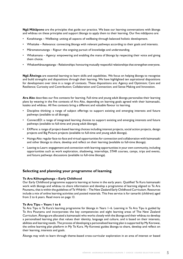**Ngä Mätäpono** are the principles that guide our practice. We base our learning conversations with äkonga and whänau on these principles and support äkonga to apply them to their learning. Our five mätäpono are:

- Kotahitanga Wellbeing: uniting all aspects of wellbeing through balanced holistic development.
- Whaitake Relevance: connecting äkonga with relevant pathways according to their goals and interests.
- Märamatonutanga Rigour: the ongoing pursuit of knowledge and understanding.
- Whakamana Agency: empowering and enabling the mana of äkonga by respecting their voice and giving them choice.
- Whakawhänaungatanga Relationships: honouring mutually respectful relationships that strengthen everyone.

**Ngä Äheinga** are essential learning to learn skills and capabilities. We focus on helping äkonga to recognise and build strengths and dispositions through their learning. We have highlighted ten aspirational dispositions for development over time in a range of contexts. These dispositions are: Agency and Optimism; Care and Resilience; Curiosity and Contribution; Collaboration and Connection; and Sense Making and Innovation.

**Ara Ako** describes our five contexts for learning. Full-time and young adult äkonga personalise their learning plans by weaving in the five contexts of Ara Ako, depending on learning goals agreed with their kaimanaaki, kaiako and whänau. All five contexts bring a different and valuable flavour to learning.

- Discipline thinking: a range of subject offerings to support existing and emerging interests and future pathways (available to all äkonga).
- ConnectED: a range of integrated learning choices to support existing and emerging interests and future pathways (available to full-time and young adult äkonga).
- EXPlore: a range of project-based learning choices including interest projects, social action projects, design projects and Big Picture projects (available to full-time and young adult äkonga).
- Huinga Ako: regular face-to-face and virtual opportunities for connection and collaboration with kaimanaaki and other äkonga to share, develop and reflect on their learning (available to full-time äkonga).
- Leaving to Learn: engagement and connection with learning opportunities in your own community, including opportunities such as work exploration, shadowing, internships, STAR courses, camps, trips and events, and future pathways discussions (available to full-time äkonga).

# **Selecting and planning your programme of learning**

### **Te Ara Köhungahunga – Early Childhood**

Our Early Childhood programme supports learning at home in the early years. Qualified Te Kura kaimanaaki work with äkonga and whänau to share information and develop a programme of learning aligned to Te Ara Pounamu, that is within the guidelines of Te Whäriki – The New Zealand Early Childhood Curriculum. Resources include a mix of online learning activities and posted materials. This free service is for tamariki (children) aged from 2 to 6 years. Read more on page 13.

# **Te Ara Tipu – Years 1 to 6**

Te Ara Tipu is Te Kura's learning programme for äkonga in Years 1–6. Learning in Te Ara Tipu is guided by Te Ara Pounamu and incorporates the key competencies and eight learning areas of The New Zealand Curriculum. Äkonga are allocated a kaimanaaki who works closely with the äkonga and their whänau to develop a personalised learning plan that values their identity, language and culture, and is based on their interests, abilities and learning needs. The process of developing a personalised learning plan is supported by My Korowai, the online learning plan platform in My Te Kura. My Korowai guides äkonga to share, develop and reflect on their learning, interests and goals.

Äkonga may wish to learn through theme-based cross-curricular exploration in an area of interest or based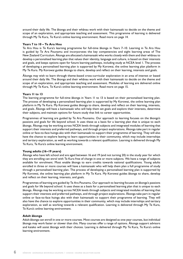around their daily life. The äkonga and their whänau work with their kaimanaaki to decide on the theme and scope of an exploration, and appropriate teaching and assessment. This programme of learning is delivered through My Te Kura, Te Kura's online learning environment. Read more on page 14.

# **Years 7 to 10 – Te Ara Hou**

Te Ara Hou is Te Kura's learning programme for full-time äkonga in Years 7–10. Learning in Te Ara Hou is guided by Te Ara Pounamu and incorporates the key competencies and eight learning areas of The New Zealand Curriculum. Äkonga are allocated a kaimanaaki who works closely with them and their whänau to develop a personalised learning plan that values their identity, language and culture, is based on their interests and goals, and keeps options open for future learning pathways, including study at NCEA level 1. The process of developing a personalised learning plan is supported by My Korowai, the online learning plan platform in My Te Kura. My Korowai guides äkonga to share, develop and reflect on their learning, interests and goals.

Äkonga may wish to learn through theme-based cross-curricular exploration in an area of interest or based around their daily life. The äkonga and their whänau work with their kaimanaaki to decide on the theme and scope of an exploration, and appropriate teaching and assessment. Modules of learning are delivered online through My Te Kura, Te Kura's online learning environment. Read more on page 15.

### **Years 11 to 13**

The learning programme for full-time äkonga in Years 11 to 13 is based on their personalised learning plan. The process of developing a personalised learning plan is supported by My Korowai, the online learning plan platform in My Te Kura. My Korowai guides äkonga to share, develop and reflect on their learning, interests, and goals. Äkonga will have a kaimanaaki who will help them set goals and explore their interests, determine their subjects, and maintain options for future study that link to career opportunities.

Programmes of learning are guided by Te Ara Pounamu. Our approach to learning focuses on the äkonga's passions and goals for life beyond school. It uses these as a basis for a learning plan that is unique to each äkonga. Äkonga may be working across NCEA levels through subjects and integrated modules of learning that support their interests and preferred pathways, and through project explorations. Äkonga take part in regular online or face-to-face huinga ako with their kaimanaaki to support their programme of learning. They will also have the chance to explore leaving to learn opportunities in their community, which may include internships and tertiary exploration, as well as working towards a relevant qualification. Learning is delivered through My Te Kura, Te Kura's online learning environment.

### **Young adults (16–19 years)**

Äkonga who have left school and are aged between 16 and 19 (and not turning 20) in the study year for which they are enrolling can enrol with Te Kura free of charge in one or more subjects. We have a range of subjects available for enrolment. Most enable äkonga to earn credits towards national qualifications. Young adults enrolled in three or more courses will have a kaimanaaki who will help them plan a full programme of study through a personalised learning plan. The process of developing a personalised learning plan is supported by My Korowai, the online learning plan platform in My Te Kura. My Korowai guides äkonga to share, develop and reflect on their learning, interests, and goals.

Programmes of learning are guided by Te Ara Pounamu. Our approach to learning focuses on äkonga's passions and goals for life beyond school. It uses these as a basis for a personalised learning plan that is unique to each äkonga. Äkonga may be working across NCEA levels through subjects and integrated modules of learning that support their interests and preferred pathways, and through project explorations. Äkonga take part in regular online or face-to-face huinga ako with their kaimanaaki to support their programme of learning. They will also have the chance to explore opportunities in their community, which may include internships and tertiary exploration, as well as working towards a relevant qualification. Learning is delivered through My Te Kura, Te Kura's online learning environment.

### **Adult äkonga**

Adult äkonga can enroll in one or more courses. Most courses are designed as one-year courses, but individual äkonga may work faster or slower than this. Many courses offer a range of options. Äkonga support advisors and kaiako will assist äkonga with their choices. Learning is delivered through My Te Kura, Te Kura's online learning environment.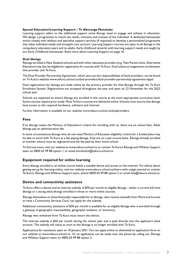# **Special Education/Learning Support – Te Akoranga Motuhake**

Learning support refers to the additional support some äkonga need to engage and achieve in education. We design a programme to match the needs, interests and context of the individual. A dedicated kaimanaaki works closely with whänau and specialist support services (if required) to develop a personalised programme that takes individual needs and strengths into account. Learning Support courses are open to all äkonga in the compulsory education years and to adults. Early childhood tamariki with learning support needs are taught by our Early Childhood kaimanaaki. Read more about Learning Support on page 16.

# **Dual äkonga**

Äkonga enrolled in New Zealand schools and with other education providers (e.g. Teen Parent Units, Alternative Education) may also be eligible for registration for courses with Te Kura. Dual tuition arrangements are between that provider and Te Kura.

The Dual Provider Partnership Agreement, which sets out the responsibilities of both providers, can be found on Te Kura's website [www.tekura.school.nz/dual-providers/dual-provider-partnership-agreement-dppa/](https://www.tekura.school.nz/dual-providers/dual-provider-partnership-agreement-dppa/)

Dual registrations for äkonga are made online by the primary provider for that äkonga through the Te Kura Enrolment System. Registrations are accepted throughout the year and open on 22 November for the 2022 school year.

Schools are expected to ensure äkonga are enrolled in the course at the most appropriate curriculum level. Some courses require prior study. Most Te Kura courses are delivered online. Schools must ensure that äkonga have access to the required hardware, software and internet.

Further information is available on our website www.tekura.school.nz/dualproviders

# **Fees**

If an äkonga meets the Ministry of Education's criteria for enrolling with us, there are no school fees. Adult äkonga pay an administration fee.

In some circumstances äkonga who do not meet Ministry of Education eligibility criteria for a funded place may be able to enrol with Te Kura as a fee-paying äkonga. Fees are on a per-course basis. Äkonga already enrolled at another school must be registered and the fee paid by their home school.

To find out more, visit our website at www.tekura.school.nz or contact Te Kura's Äkonga and Whänau Support team on 0800 65 99 88 option 1 or email enrolment@tekura.school.nz

# **Equipment required for online learning**

Every äkonga enrolled in an online course needs a suitable device and access to the internet. For advice about getting set up for learning online, visit our website www.tekura.school.nz/learn-with-us/get-started or contact Te Kura's Äkonga and Whänau Support team, phone 0800 65 99 88 option 2 or email hub@tekura.school.nz.

# **Device and connectivity assistance**

Te Kura offers a device and an internet subsidy of \$30 per month to eligible äkonga – either a current full-time äkonga or a young adult äkonga enrolled in three or more online courses.

Äkonga themselves or those financially responsible for an äkonga, who receive a benefit from Work and Income or have a Community Services Card, can apply for the subsidy.

Additional connectivity assistance of \$30 per month is available for an eligible äkonga who is enrolled through a gateway of geographic inaccessibility, geographic isolation, or itinerancy.

Äkonga who withdraw from Te Kura must return the device.

The internet subsidy is \$30 per month during the school year and is paid directly into the applicant's bank account. The subsidy will cease as soon as the äkonga is no longer enrolled with Te Kura.

Applications for assistance open on 10 January 2021. You can apply online or download an application form on our website at www.tekura.school.nz. Or an application can be made over the phone by calling our Äkonga and Whänau Support team on 0800 65 99 88 option 2.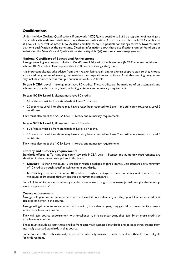# **Qualifications**

Under the New Zealand Qualifications Framework (NZQF), it is possible to build a programme of learning so that credits attained can contribute to more than one qualification. At Te Kura, we offer the NCEA certificates at Levels 1–3, as well as other New Zealand certificates, so it is possible for äkonga to work towards more than one qualification at the same time. Detailed information about these qualifications can be found on our website or the New Zealand Qualifications Authority (NZQA) website at www.nzqa.govt.nz.

# **National Certificate of Educational Achievement**

Äkonga enrolling in a one-year National Certificate of Educational Achievement (NCEA) course should aim to achieve 18–20 credits. This requires about 200 hours of äkonga study time.

It is important äkonga take advice from their kaiako, kaimanaaki and/or äkonga support staff so they choose a balanced programme of learning that matches their aspirations and abilities. A suitable learning programme may include courses across multiple curriculum or NCEA levels.

To gain **NCEA Level 1**, äkonga must have 80 credits. These credits can be made up of unit standards and achievement standards at any level, including a literacy and numeracy requirement.

To gain **NCEA Level 2**, äkonga must have 80 credits.

- 60 of these must be from standards at Level 2 or above.
- 20 credits at Level I or above may have already been counted for Level I and still count towards a Level 2 certificate.

They must also meet the NCEA Level 1 literacy and numeracy requirements.

To gain **NCEA Level 3**, äkonga must have 80 credits.

- 60 of these must be from standards at Level 3 or above.
- 20 credits at Level 2 or above may have already been counted for Level 2 and still count towards a Level 3 certificate.

They must also meet the NCEA Level 1 literacy and numeracy requirements.

# **Literacy and numeracy requirements**

Standards offered at Te Kura that count towards NCEA Level 1 literacy and numeracy requirements are identified in the course descriptions in this book.

- **Literacy** either a minimum 10 credits through a package of three literacy unit standards or a minimum of 10 credits through specified achievement standards.
- **Numeracy** either a minimum 10 credits through a package of three numeracy unit standards or a minimum of 10 credits through specified achievement standards.

For a full list of literacy and numeracy standards see www.nzqa.govt.nz/ncea/subjects/literacy-and-numeracy/ level-1-requirements/

# **Course endorsement**

Äkonga will gain course endorsement with achieved if, in a calendar year, they gain 14 or more credits at achieved or higher in the course.

Äkonga will gain course endorsement with merit if, in a calendar year, they gain 14 or more credits at merit and/or excellence in a course.

They will gain course endorsement with excellence if, in a calendar year, they gain 14 or more credits at excellence in a course.

These must include at least three credits from externally assessed standards and at least three credits from internally assessed standards in that course.

Some courses offer only externally assessed or internally assessed standards and are therefore not eligible for endorsement.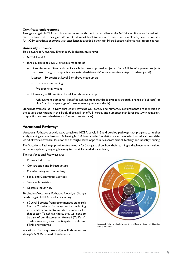# **Certificate endorsement**

Äkonga can gain NCEA certificates endorsed with merit or excellence. An NCEA certificate endorsed with merit is awarded if they gain 50 credits at merit level (or a mix of merit and excellence) across courses. An NCEA certificate endorsed with excellence is awarded if they gain 50 credits at excellence level across courses.

# **University Entrance**

To be awarded University Entrance (UE) äkonga must have:

- NCEA Level 3
- three subjects at Level 3 or above made up of:
	- 14 Achievement Standard credits each, in three approved subjects. (For a full list of approved subjects see [www.nzqa.govt.nz/qualifications-standards/awards/university-entrance/approved-subjects/](https://www.nzqa.govt.nz/qualifications-standards/awards/university-entrance/approved-subjects/))
	- Literacy 10 credits at Level 2 or above made up of:
		- five credits in reading
		- five credits in writing
	- Numeracy 10 credits at Level 1 or above made up of:
		- Achievement Standards (specified achievement standards available through a range of subjects) or Unit Standards (package of three numeracy unit standards).

Standards available at Te Kura that count towards UE literacy and numeracy requirements are identified in the course descriptions in this book. (For a full list of UE literacy and numeracy standards see www.nzqa.govt. nz/qualifications-standards/awards/university-entrance/)

# **Vocational Pathways**

Vocational Pathways provide ways to achieve NCEA Levels 1–3 and develop pathways that progress to further study, training and employment. Achieving NCEA Level 2 is the foundation for success in further education and the world of work. Level 3 builds upon this through shared opportunities across school, tertiary, and industry training.

The Vocational Pathways provide a framework for äkonga to show how their learning and achievement is valued in the workplace by aligning learning to the skills needed for industry.

The six Vocational Pathways are:

- Primary Industries
- Construction and Infrastructure
- Manufacturing and Technology
- Social and Community Services
- Services Industries
- Creative Industries.

To obtain a Vocational Pathways Award, an äkonga needs to gain NCEA Level 2, including:

• 60 Level 2 credits from recommended standards from a Vocational Pathways sector, including 20 credits from sector-related standards for that sector. To achieve these, they will need to be part of our Gateway or Huarahi (Te Kura's Trades Academy) and participate in relevant STAR programmes.

Vocational Pathways Award(s) will show on an äkonga's NZQA Record of Achievement.



Vocational Pathways wheel diagram © New Zealand Ministry of Education. Used by permission.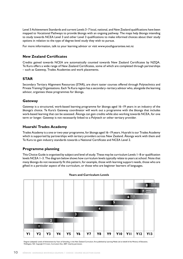Level 3 Achievement Standards and current Levels 3–7 local, national, and New Zealand qualifications have been mapped to Vocational Pathways to provide äkonga with an ongoing pathway. The maps help äkonga intending to study towards NCEA Level 3 and other Level 3 qualifications to make informed choices about their study options in relation to the type of degree-level study they wish to pursue.

For more information, talk to your learning advisor or visit www.youthguarantee.net.nz

# **New Zealand Certificates**

Credits gained towards NCEA are automatically counted towards New Zealand Certificates by NZQA. Te Kura offers a wide range of New Zealand Certificates, some of which are completed through partnerships – such as Gateway, Trades Academies and work placements.

# **STAR**

Secondary Tertiary Alignment Resources (STAR), are short taster courses offered through Polytechnics and Private Training Organisations. Each Te Kura region has a secondary–tertiary advisor who, alongside the learning advisor, organises these programmes for äkonga.

# **Gateway**

Gateway is a structured, work-based learning programme for äkonga aged 16–19 years in an industry of the äkonga's choice. Te Kura's Gateway coordinator will work out a programme with the äkonga that includes work-based learning that can be assessed. Äkonga can gain credits while also working towards NCEA, for one term or longer. Gateway is not necessarily linked to a Polytech or other tertiary provider.

# **Huarahi Trades Academy**

Trades Academy is a one or two-year programme, for äkonga aged 16–19 years. Huarahi is our Trades Academy which is supported by partnerships with tertiary providers across New Zealand. Äkonga work with them and Te Kura to gain industry standards towards a National Certificate and NCEA Level 2.

# **Programme planning**

This Choice Guide is organised by subject and level of study. These may be curriculum Levels 1–8 or qualification levels NCEA 1–3. The diagram below shows how curriculum levels typically relate to years at school. Note that many äkonga do not necessarily fit this pattern, for example, those with learning support needs, those who are gifted in a particular aspect of the curriculum, or those who are beginner learners of languages.



# **Years and Curriculum Levels**

Diagram (adapted): Levels of Achievement by Years of Schooling, in the New Zealand Curriculum, first published by Learning Media Ltd on behalf of the Ministry of Education, Wellington, NZ. Copyright © Crown, Curriculum Doc, 2007. Used by permission.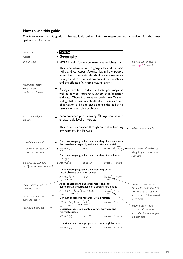# **How to use this guide**

The information in this guide is also available online. Refer to **www.tekura.school.nz** for the most up-to-date information.

*endorsement availability see page 6 for details the number of credits you will gain if you achieve this standard internal assessment – You will try to achieve this standard as part of your normal work. It is assessed by Te Kura external assessment – You must sit an exam at the end of the year to gain this standard Vocational pathways Level 1 literacy and numeracy codes UE literacy and numeracy codes an achievement standard (US = unit standard)* **GY1000 Geography** NCEA Level 1 (course endorsement available) This is an introduction to geography and its basic skills and concepts. Äkonga learn how people interact with their natural and cultural environments through studies of population concepts, sustainability and the effects of extreme natural events. Äkonga learn how to draw and interpret maps, as well as how to interpret a variety of information and data. There is a focus on both New Zealand and global issues, which develops research and observation skills and gives äkonga the ability to take action and solve problems. Recommended prior learning: Äkonga should have a reasonable level of literacy. This course is accessed through our online learning environment, My Te Kura. Demonstrate geographic understanding of environments that have been shaped by extreme natural event(s) AS91007 (la) Pr Se External 4 credits Demonstrate geographic understanding of population concepts  $\angle$ AS $\bigcirc$ 1008 $\bigcirc$ (la) Se So Cr External 4 credits Demonstrate geographic understanding of the sustainable use of an environment  $\triangle$ S91009 $\angle$ (la) Pr Se 
(Internal ) 3 credits Apply concepts and basic geographic skills to demonstrate understanding of a given environment  $\Delta$ S91010 (na) $(\cup$ Ena) Co Pr Se Cr<br>  $(\forall x$ ternal) 4 credits Conduct geographic research, with direction AS91011 (lna) UEna (Pr Se) lnternal 4 credits Describe aspects of a contemporary New Zealand geographic issue AS91012 (la) Se So Cr 
Internal 3 credits Describe aspects of a geographic topic at a global scale AS91013 (la) Pr Se Cr Internal 3 credits *subject level of study title of the standard identifies the standard (NZQA uses these numbers) course code recommended prior learning information about what can be studied at this level delivery mode details*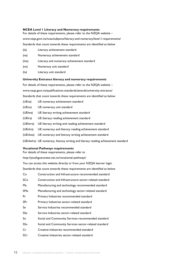## **NCEA Level 1 Literacy and Numeracy requirements**

For details of these requirements, please refer to the NZQA website –

[www.nzqa.govt.nz/ncea/subjects/literacy-and-numeracy/level-1-requirements/](https://www.nzqa.govt.nz/ncea/subjects/literacy-and-numeracy/level-1-requirements/)

Standards that count towards these requirements are identified as below

- (la) Literacy achievement standard
- (na) Numeracy achievement standard
- (lna) Literacy and numeracy achievement standard
- (nu) Numeracy unit standard
- (lu) Literacy unit standard

### **University Entrance literacy and numeracy requirements**

For details of these requirements, please refer to the NZQA website – [www.nzqa.govt.nz/qualifications-standards/awards/university-entrance/](https://www.nzqa.govt.nz/qualifications-standards/awards/university-entrance/) Standards that count towards these requirements are identified as below

- (UEna) UE numeracy achievement standard
- (UEnu) UE numeracy unit standard
- (UElwa) UE literacy writing achievement standard
- (UElra) UE literacy reading achievement standard
- (UElwra) UE literacy writing and reading achievement standard
- (UEnlra) UE numeracy and literacy reading achievement standard
- (UEnlwa) UE numeracy and literacy writing achievement standard
- (UEnlwlra) UE numeracy, literacy writing and literacy reading achievement standard

### **Vocational Pathways requirements**

For details of these requirements, please refer to

[http://youthguarantee.net.nz/vocational-pathways/](https://youthguarantee.education.govt.nz/initiatives/vocational-pathways/)

You can access this website directly or from your NZQA learner login.

Standards that count towards these requirements are identified as below

- Co Construction and Infrastructure recommended standard
- SCo Construction and Infrastructure sector-related standard
- Ma Manufacturing and technology recommended standard
- SMa Manufacturing and technology sector-related standard
- Pr Primary Industries recommended standard
- SPr Primary Industries sector-related standard
- Se Service Industries recommended standard
- SSe Service Industries sector-related standard
- So Social and Community Services recommended standard
- SSo Social and Community Services sector-related standard
- Cr Creative Industries recommended standard
- SCr Creative Industries sector-related standard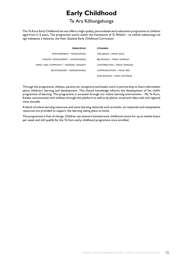# **Early Childhood**

# Te Ara Köhungahunga

<span id="page-14-0"></span>The Te Kura Early Childhood service offers a high-quality, personalised early education programme to children aged from 2–6 years. The programme works within the framework of *Te Whäriki – he whäriki mätauranga mö ngä mokopuna o Aotearoa*, the New Zealand Early Childhood Curriculum.

| <b>PRINCIPLES</b>                     | <b>STRANDS</b>              |
|---------------------------------------|-----------------------------|
| EMPOWERMENT   WHAKAMANA               | WELLBEING   MANA ATUA       |
| HOLISTIC DEVELOPMENT   KOTAHITANGA    | BELONGING   MANA WHENUA     |
| FAMILY AND COMMUNITY   WHANAU TANGATA | CONTRIBUTION   MANA TANGATA |
| RELATIONSHIPS   NGĀHONONGA            | COMMUNICATION   MANA REO    |
|                                       | EXPLORATION   MANA AOTŪROA  |

Through the programme, whänau, parents (or caregivers) and kaiako work in partnership to share information about children's learning and development. This shared knowledge informs the development of the child's programme of learning. The programme is accessed through our online learning environment – My Te Kura. Kaiako communicate with whänau through this platform as well as by phone, email and video calls and regional visits annually.

A blend of online learning resources and some learning materials such as books, art materials and manipulative resources are provided to support the learning taking place at home.

The programme is free of charge. Children can attend a licensed early childhood centre for up to twelve hours per week and still qualify for the Te Kura early childhood programme once enrolled.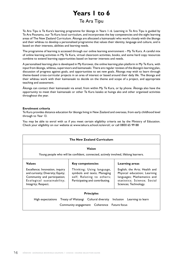# **Years 1 to 6**

# Te Ara Tipu

<span id="page-15-0"></span>Te Ara Tipu is Te Kura's learning programme for äkonga in Years 1–6. Learning in Te Ara Tipu is guided by Te Ara Pounamu, our Te Kura local curriculum, and incorporates the key competencies and the eight learning areas of The New Zealand Curriculum. Äkonga are allocated a kaimanaaki who works closely with the äkonga and their whänau to develop a personalised programme that values their identity, language and culture, and is based on their interests, abilities and learning needs.

The programme of learning is accessed through our online learning environment – My Te Kura. A careful mix of online learning activities in My Te Kura, virtual classroom activities, books, and some hard copy resources combine to extend learning opportunities based on learner interests and needs.

A personalised learning plan is developed in My Korowai, the online learning plan platform in My Te Kura, with input from äkonga, whänau, supervisors and kaimanaaki. There are regular reviews of the äkonga's learning plan, discussion of progress against goals, and opportunities to set new goals. Äkonga may wish to learn through theme-based cross-curricular projects in an area of interest or based around their daily life. The äkonga and their whänau work with their kaimanaaki to decide on the theme and scope of a project, and appropriate teaching and assessment.

Äkonga can contact their kaimanaaki via email, from within My Te Kura, or by phone. Äkonga also have the opportunity to meet their kaimanaaki or other Te Kura kaiako at huinga ako and other organised activities throughout the year.

# **Enrolment criteria**

Te Kura provides distance education for äkonga living in New Zealand and overseas, from early childhood level through to Year 13.

You may be able to enrol with us if you meet certain eligibility criteria set by the Ministry of Education. Check your eligibility on our website at www.tekura.school.nz/enrol/, or call 0800 65 99 88

|                                                                                                                                                                            | <b>The New Zealand Curriculum</b>                                                                                                                       |                                                                                                                                                                       |
|----------------------------------------------------------------------------------------------------------------------------------------------------------------------------|---------------------------------------------------------------------------------------------------------------------------------------------------------|-----------------------------------------------------------------------------------------------------------------------------------------------------------------------|
|                                                                                                                                                                            | Vision<br>Young people who will be confident, connected, actively involved, lifelong learners.                                                          |                                                                                                                                                                       |
| <b>Values</b><br>Excellence; Innovation, inquiry<br>and curiosity; Diversity; Equity;<br>Community and participation;<br>Ecological sustainability;<br>Integrity; Respect. | <b>Key competencies</b><br>Thinking; Using language,<br>symbols and texts; Managing<br>self; Relating to others;<br>Participating and contributing.     | Learning areas<br>English; the Arts; Health and<br>Physical education; Learning<br>languages; Mathematics and<br>statistics; Science; Social<br>Sciences; Technology. |
|                                                                                                                                                                            | <b>Principles</b><br>High expectations Treaty of Waitangi Cultural diversity Inclusion Learning to learn<br>Community engagement Coherence Future focus |                                                                                                                                                                       |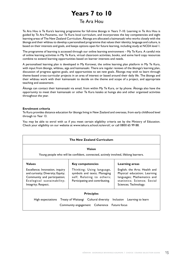# **Years 7 to 10**

# Te Ara Hou

<span id="page-16-0"></span>Te Ara Hou is Te Kura's learning programme for full-time äkonga in Years 7–10. Learning in Te Ara Hou is guided by Te Ara Pounamu, our Te Kura local curriculum, and incorporates the key competencies and eight learning areas of The New Zealand Curriculum. Äkonga are allocated a kaimanaaki who works closely with the äkonga and their whänau to develop a personalised programme that values their identity, language and culture, is based on their interests and goals, and keeps options open for future learning, including study at NCEA level 1.

The programme of learning is accessed through our online learning environment – My Te Kura. A careful mix of online learning activities in My Te Kura, virtual classroom activities, books, and some hard copy resources combine to extend learning opportunities based on learner interests and needs.

A personalised learning plan is developed in My Korowai, the online learning plan platform in My Te Kura, with input from äkonga, whänau, aiga and kaimanaaki. There are regular reviews of the äkonga's learning plan, discussion of progress against goals, and opportunities to set new goals. Äkonga may wish to learn through theme-based cross-curricular projects in an area of interest or based around their daily life. The äkonga and their whänau work with their kaimanaaki to decide on the theme and scope of a project, and appropriate teaching and assessment.

Äkonga can contact their kaimanaaki via email, from within My Te Kura, or by phone. Äkonga also have the opportunity to meet their kaimanaaki or other Te Kura kaiako at huinga ako and other organised activities throughout the year.

# **Enrolment criteria**

Te Kura provides distance education for äkonga living in New Zealand and overseas, from early childhood level through to Year 13.

You may be able to enrol with us if you meet certain eligibility criteria set by the Ministry of Education. Check your eligibility on our website at www.tekura.school.nz/enrol/, or call 0800 65 99 88.

|                                                                                                                                                                            | <b>The New Zealand Curriculum</b>                                                                                                                   |                                                                                                                                                                       |  |
|----------------------------------------------------------------------------------------------------------------------------------------------------------------------------|-----------------------------------------------------------------------------------------------------------------------------------------------------|-----------------------------------------------------------------------------------------------------------------------------------------------------------------------|--|
|                                                                                                                                                                            | Vision<br>Young people who will be confident, connected, actively involved, lifelong learners.                                                      |                                                                                                                                                                       |  |
| <b>Values</b><br>Excellence; Innovation, inquiry<br>and curiosity; Diversity; Equity;<br>Community and participation;<br>Ecological sustainability;<br>Integrity; Respect. | <b>Key competencies</b><br>Thinking; Using language,<br>symbols and texts; Managing<br>self; Relating to others;<br>Participating and contributing. | Learning areas<br>English; the Arts; Health and<br>Physical education; Learning<br>languages; Mathematics and<br>statistics; Science; Social<br>Sciences; Technology. |  |
| <b>Principles</b><br>High expectations Treaty of Waitangi Cultural diversity Inclusion Learning to learn<br>Community engagement  Coherence  Future focus                  |                                                                                                                                                     |                                                                                                                                                                       |  |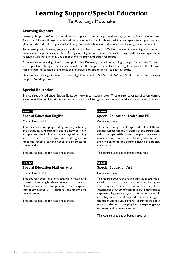# <span id="page-17-0"></span>**Learning Support/Special Education**

# Te Akoranga Motuhake

# **Learning Support**

Learning Support refers to the additional support some äkonga need to engage and achieve in education. As with all full-time äkonga, a dedicated kaimanaaki will work closely with whänau and specialist support services (if required) to develop a personalised programme that takes individual needs and strengths into account.

Some äkonga with learning support needs will be able to access My Te Kura, our online learning environment, once specific supports are in place. Äkonga with higher and more complex learning needs, for example, those receiving ORS funding, may use a mix of online, print and other resources.

A personalised learning plan is developed in My Korowai, the online learning plan platform in My Te Kura, with input from äkonga, whänau, kaimanaaki, and the support team. There are regular reviews of the äkonga's learning plan, discussion of progress against goals, and opportunities to set new goals.

Dual-enrolled äkonga in Years 1–8 are eligible to enrol in SEENG, SEMAS and SETOP, under the Learning Support Needs gateway.

# **Special Education**

The courses offered under Special Education vary in curriculum levels. They ensure coverage of seven learning areas, as well as two life skill courses and are open to all äkonga in the compulsory education years and to adults.

# **SEENG**

# **Special Education English**

Curriculum Level 1

This includes developing reading, writing, listening and speaking, and teaching äkonga how to view and present work. There are a range of learning activities, and each programme is designed to meet the specific learning needs and interests of the individual.

This course uses paper-based resources.

# **SEMAS**

# **Special Education Mathematics**

Curriculum Level 1

This course covers level one strands in maths and statistics. Emerging level one covers basic concepts of colour, shape, size and position. Topics explore numeracy stages 0–4, algebra, geometry and measurement.

This course uses paper-based resources.

# **SEHPE**

# **Special Education Health and PE**

Curriculum Level 1

This course supports äkonga to develop skills and abilities across the four strands of the curriculum: relationships with other people, movement concepts and motor skills, healthy communities and environments, and personal health and physical development.

This course uses paper-based resources.

# **SEART Special Education Art**

Curriculum Level 1

This course covers the four curriculum strands of visual art, music, dance and drama, exploring art and design in their environment and daily lives. Äkonga use a variety of techniques and materials to explore collage, mosaics, decorations and wearable art. They listen to and respond to a broad range of sounds, music and visual images, sharing ideas about sounds and music in everyday life and exploring ways to create and represent sound.

This course uses paper-based resources.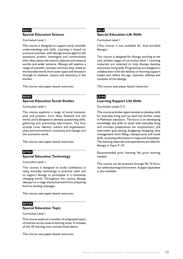# **SESCI Special Education Science**

Curriculum Level 1

This course is designed to support early scientific understandings and skills. Learning is based on practical activities, with äkonga encouraged to ask questions, predict, investigate and communicate their ideas about the natural, physical and material worlds and wider universe. Äkonga will explore a range of scientific concepts and how they relate to the everyday world, from outer space and dinosaurs through to shadows, insects and chemistry in the kitchen.

This course uses paper-based resources.

# **SESST**

# **Special Education Social Studies**

Curriculum Level 1

This course explores a range of social contexts, past and present, from New Zealand and the world, and is designed to develop questioning skills, gathering and presenting information. The four strands cover identity, culture and organisation, place and environment; continuity and change; and the economic world.

This course uses paper-based resources.

# **SETEC Special Education Technology**

Curriculum Level 1

This course is designed to build confidence in using everyday technology in practical tasks and to support äkonga to participate in a constantly changing world. Throughout this course, äkonga take part in a range of practical work from preparing food to sending messages.

This course uses paper-based resources.

# **SETOP Special Education Topic**

Curriculum Level 1

This course explores a number of integrated topics of interest across several learning areas. It includes all the SE learning area courses listed above.

This course uses paper-based resources.

# **SELS Special Education Life Skills**

Curriculum Level 1

(This course is not available for dual-enrolled äkonga.)

This course is designed for äkonga working at the very earliest stages of curriculum level 1. Learning materials are selected to help äkonga develop some basic living skills. Programmes are designed in collaboration with the whänau or learning support kaiako and reflect the age, interests, abilities and contexts of the äkonga.

This course uses paper-based resources.

# **LS100 Learning Support Life Skills**

Curriculum Levels 2–3

This course provides opportunities to develop skills for everyday living and can lead into further study in Pathways education. The focus is on developing knowledge and skills to assist with everyday living and includes preparation for employment; job interviews; goal setting; budgeting; shopping; time management; form filling; interpersonal and social skills, accessing information in maps and timetables. The learning materials and experiences are ideal for äkonga in Years 9–10.

Recommended prior learning: No prior learning needed.

This course can be accessed through My Te Kura, our online learning environment. A paper equivalent is also available.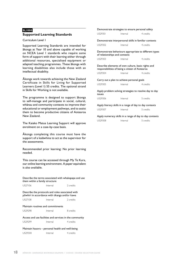# **SL1000 Supported Learning Standards**

Curriculum Level 1

Supported Learning Standards are intended for äkonga at Year 10 and above capable of working on NCEA Level 1 standards who require some form of support with their learning either through additional resources, specialised equipment or adapted teaching programmes. These äkonga with learning disabilities also include those with an intellectual disability.

Äkonga work towards achieving the New Zealand Certificate in Skills for Living for Supported Learners (Level 1) 55 credits. The optional strand in Skills for Working is not available.

The programme is designed to support äkonga to self-manage and participate in social, cultural, whänau and community contexts to improve their educational or employment pathways, and to assist them to become productive citizens of Aotearoa New Zealand.

The Kaiako Matua Learning Support will approve enrolment on a case-by-case basis.

Äkonga completing this course must have the support of a kaiäwhina to act as the supervisor for the assessments.

Recommended prior learning: No prior learning needed.

This course can be accessed through My Te Kura, our online learning environment. A paper equivalent is also available.

Describe the terms associated with whakapapa and use them within a family structure

| US27106<br>2 credits<br>Internal |  |
|----------------------------------|--|
|----------------------------------|--|

Describe the protocols and roles associated with pöwhiri in accordance with tikanga and/or kawa

US27108 Internal 2 credits

Maintain routines and commitments US29298 Internal 8 credits

Access and use facilities and services in the community US29299 Internal 4 credits

# Maintain hauora – personal health and well-being US29300 Internal 4 credits

|                               | Demonstrate strategies to ensure personal safety                                                      |                                                         |
|-------------------------------|-------------------------------------------------------------------------------------------------------|---------------------------------------------------------|
| US29301                       | Internal                                                                                              | 4 credits                                               |
|                               |                                                                                                       | Demonstrate interpersonal skills in familiar contexts   |
| US29302                       | Internal                                                                                              | 4 credits                                               |
| of relationships and contexts |                                                                                                       | Demonstrate behaviours appropriate to different types   |
| US29303                       | Internal                                                                                              | 4 credits                                               |
|                               | Describe elements of own culture, basic rights and<br>responsibilities of being a citizen of Aotearoa |                                                         |
| <b>US29304</b>                | Internal                                                                                              | 4 credits                                               |
|                               | Carry out a plan to achieve personal goals                                                            |                                                         |
| <b>US29305</b>                | Internal                                                                                              | 4 credits                                               |
| issues                        |                                                                                                       | Apply problem solving strategies to resolve day to day  |
| US29306                       | Internal                                                                                              | 5 credits                                               |
|                               |                                                                                                       | Apply literacy skills in a range of day to day contexts |
| US29307                       | Internal                                                                                              | 5 credits                                               |
|                               |                                                                                                       | Apply numeracy skills in a range of day to day contexts |
| US29308                       | Internal                                                                                              | 5 credits                                               |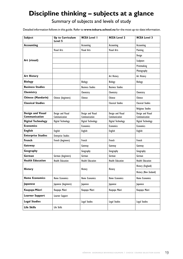# <span id="page-20-0"></span>**Discipline thinking – subjects at a glance**

# Summary of subjects and levels of study

Detailed information follows in this guide. Refer to **www.tekura.school.nz** for the most up-to-date information.

| Subject                   | <b>Up to Curriculum</b><br>Level 5 | <b>NCEA Level I</b>     | <b>NCEA Level 2</b>      | <b>NCEA Level 3</b>      |
|---------------------------|------------------------------------|-------------------------|--------------------------|--------------------------|
| <b>Accounting</b>         |                                    | Accounting              | Accounting               | Accounting               |
|                           | <b>Visual Arts</b>                 | Visual Arts             | Visual Arts              | Painting                 |
|                           |                                    |                         |                          | Design                   |
| Art (visual)              |                                    |                         |                          | Sculpture                |
|                           |                                    |                         |                          | Printmaking              |
|                           |                                    |                         |                          | Photography              |
| <b>Art History</b>        |                                    |                         | Art History              | Art History              |
| <b>Biology</b>            |                                    | Biology                 | Biology                  | Biology                  |
| <b>Business Studies</b>   |                                    | <b>Business Studies</b> | <b>Business Studies</b>  |                          |
| Chemistry                 |                                    | Chemistry               | Chemistry                | Chemistry                |
| Chinese (Mandarin)        | Chinese (beginners)                | Chinese                 | Chinese                  | Chinese                  |
| <b>Classical Studies</b>  |                                    |                         | <b>Classical Studies</b> | <b>Classical Studies</b> |
|                           |                                    |                         |                          | <b>Religious Studies</b> |
| <b>Design and Visual</b>  | Design and Visual                  | Design and Visual       | Design and Visual        | Design and Visual        |
| Communication             | Communication                      | Communication           | Communication            | Communication            |
| <b>Digital Technology</b> | Digital Technology                 | Digital Technology      | Digital Technology       | Digital Technology       |
| <b>Economics</b>          |                                    | <b>Economics</b>        | <b>Economics</b>         | <b>Economics</b>         |
| <b>English</b>            | English                            | <b>English</b>          | English                  | English                  |
| <b>Enterprise Studies</b> | <b>Enterprise Studies</b>          |                         |                          |                          |
| <b>French</b>             | French (beginners)                 | French                  | French                   | French                   |
| Gateway                   |                                    | Gateway                 | Gateway                  | Gateway                  |
| Geography                 |                                    | Geography               | Geography                | Geography                |
| German                    | German (beginners)                 | German                  | German                   | German                   |
| <b>Health Education</b>   | <b>Health Education</b>            | <b>Health Education</b> | <b>Health Education</b>  | <b>Health Education</b>  |
|                           |                                    |                         |                          | History (England)        |
| <b>History</b>            |                                    | History                 | History                  | History (New Zealand)    |
| <b>Home Economics</b>     | Home Economics                     | Home Economics          | <b>Home Economics</b>    | <b>Home Economics</b>    |
| Japanese                  | Japanese (beginners)               | Japanese                | Japanese                 | Japanese                 |
| Kaupapa Māori             | Kaupapa Māori                      | Kaupapa Māori           | Kaupapa Māori            | Kaupapa Māori            |
| <b>Learner Support</b>    | Learner Support                    |                         |                          |                          |
| <b>Legal Studies</b>      |                                    | <b>Legal Studies</b>    | Legal Studies            | Legal Studies            |
| <b>Life Skills</b>        | Life Skills                        |                         |                          |                          |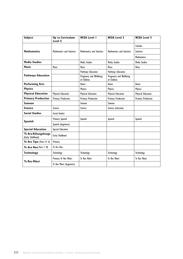| Subject                                  | <b>Up to Curriculum</b><br>Level 5 | <b>NCEA Level I</b>                    | <b>NCEA Level 2</b>                    | <b>NCEA Level 3</b>       |
|------------------------------------------|------------------------------------|----------------------------------------|----------------------------------------|---------------------------|
|                                          |                                    |                                        |                                        | Calculus                  |
| <b>Mathematics</b>                       | Mathematics and Statistics         | Mathematics and Statistics             | Mathematics and Statistics             | <b>Statistics</b>         |
|                                          |                                    |                                        |                                        | <b>Mathematics</b>        |
| <b>Media Studies</b>                     |                                    | Media Studies                          | Media Studies                          | Media Studies             |
| <b>Music</b>                             | Music                              | <b>Music</b>                           | Music                                  | <b>Music</b>              |
|                                          |                                    | Pathways Education                     | Pathways Education                     |                           |
| <b>Pathways Education</b>                |                                    | Pregnancy and Wellbeing<br>of Children | Pregnancy and Wellbeing<br>of Children |                           |
| <b>Performing Arts</b>                   |                                    | Dance                                  | Dance                                  | Dance                     |
| <b>Physics</b>                           |                                    | <b>Physics</b>                         | <b>Physics</b>                         | <b>Physics</b>            |
| <b>Physical Education</b>                | Physical Education                 | Physical Education                     | <b>Physical Education</b>              | Physical Education        |
| <b>Primary Production</b>                | <b>Primary Production</b>          | <b>Primary Production</b>              | <b>Primary Production</b>              | <b>Primary Production</b> |
| <b>Samoan</b>                            |                                    | Samoan                                 | Samoan                                 |                           |
| <b>Science</b>                           | Science                            | Science                                | Science (selection)                    |                           |
| <b>Social Studies</b>                    | <b>Social Studies</b>              |                                        |                                        |                           |
| Spanish                                  | Primary Spanish                    | Spanish                                | Spanish                                | Spanish                   |
|                                          | Spanish (beginners)                |                                        |                                        |                           |
| <b>Special Education</b>                 | Special Education                  |                                        |                                        |                           |
| Te Ara Kōhungahunga<br>(Early Childhood) | Early Childhood                    |                                        |                                        |                           |
| Te Ara Tipu (Years 0-6)                  | Primary                            |                                        |                                        |                           |
| Te Ara Hou (Years $7-10$ )               | Te Ara Hou                         |                                        |                                        |                           |
| <b>Technology</b>                        | Technology                         | Technology                             | Technology                             | Technology                |
| Te Reo Māori                             | Primary Te Reo Māori               | Te Reo Māori                           | Te Reo Māori                           | Te Reo Mãori              |
|                                          | Te Reo Māori (beginners)           |                                        |                                        |                           |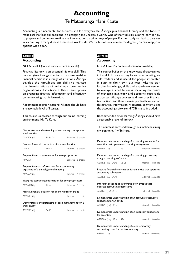# **Accounting**

# Te Mätauranga Mahi Kaute

<span id="page-22-0"></span>Accounting is fundamental for business and for everyday life. Äkonga gain financial literacy and the tools to make real-life financial decisions in a changing and uncertain world. One of the vital skills äkonga learn is how to prepare and communicate financial information to a wide range of people. Further study can lead to a career in accounting in many diverse businesses worldwide. With a business or commerce degree, you can keep your options wide open.

# **AC1000**

# **Accounting**

NCEA Level 1 (course endorsement available)

Financial literacy is an essential lifelong skill. This course gives äkonga the tools to make real-life financial decisions in a range of situations. Äkonga develop the knowledge and skills to manage the financial affairs of individuals, community organisations and sole traders. There is an emphasis on preparing financial information and effectively communicating that information.

Recommended prior learning: Äkonga should have a reasonable level of literacy.

This course is accessed through our online learning environment, My Te Kura.

### Demonstrate understanding of accounting concepts for small entities

| AS90976 (la)                                                       | Pr Se Cr                                                                               | External 3 credits |  |  |  |
|--------------------------------------------------------------------|----------------------------------------------------------------------------------------|--------------------|--|--|--|
| Process financial transactions for a small entity                  |                                                                                        |                    |  |  |  |
| AS90977                                                            | Se Cr                                                                                  | Internal 5 credits |  |  |  |
| Prepare financial statements for sole proprietors                  |                                                                                        |                    |  |  |  |
| AS90978                                                            |                                                                                        | External 5 credits |  |  |  |
|                                                                    | Prepare financial information for a community<br>organisation's annual general meeting |                    |  |  |  |
| AS90979 (la)                                                       |                                                                                        | Internal 4 credits |  |  |  |
| Interpret accounting information for sole proprietors              |                                                                                        |                    |  |  |  |
| AS90980 (la)                                                       | Pr Cr                                                                                  | External 4 credits |  |  |  |
| Make a financial decision for an individual or group               |                                                                                        |                    |  |  |  |
| AS90981 (la)                                                       |                                                                                        | Internal 3 credits |  |  |  |
| Demonstrate understanding of cash management for a<br>small entity |                                                                                        |                    |  |  |  |
| AS90982 (la)                                                       | Se Cr                                                                                  | Internal 4 credits |  |  |  |

# **AC2000 Accounting**

NCEA Level 2 (course endorsement available)

This course builds on the knowledge already gained in Level 1. It has a strong focus on accounting for sole traders and is useful for people interested in running their own business. Äkonga gain further knowledge, skills and experience needed to manage a small business, including the basics of managing inventory and accounts receivable processes. Äkonga process and interpret financial transactions and then, more importantly, report on this financial information. A practical segment using the accounting software MYOB is also included.

Recommended prior learning: Äkonga should have a reasonable level of literacy.

| Demonstrate understanding of accounting concepts for<br>an entity that operates accounting subsystems |     |  |                    |
|-------------------------------------------------------------------------------------------------------|-----|--|--------------------|
| AS91174 (la)                                                                                          | Se. |  | External 4 credits |
| Demonstrate understanding of accounting processing<br>using accounting software                       |     |  |                    |
| AS91175 (na) UEna Se Cr                                                                               |     |  | Internal 4 credits |
| Prepare financial information for an entity that operates<br>accounting subsystems                    |     |  |                    |
| AS91176 (na) UEna                                                                                     |     |  | External 5 credits |
| Interpret accounting information for entities that<br>operate accounting subsystems                   |     |  |                    |
| AS91177 (Ina) UEna                                                                                    |     |  | External 4 credits |
| Demonstrate understanding of an accounts receivable<br>subsystem for an entity                        |     |  |                    |
| AS91179 (Ina) UEna                                                                                    |     |  | Internal 3 credits |
| Demonstrate understanding of an inventory subsystem<br>for an entity                                  |     |  |                    |
| AS91386 (Ina) UEna SSe                                                                                |     |  | Internal 3 credits |
| Demonstrate understanding of a contemporary<br>accounting issue for decision-making                   |     |  |                    |
| AS91481 (la)                                                                                          |     |  | Internal 4 credits |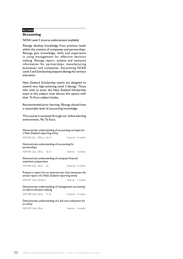# **AC3000**

# **Accounting**

NCEA Level 3 (course endorsement available)

Äkonga develop knowledge from previous levels within the context of companies and partnerships. Äkonga gain knowledge, skills and experience in using management for effective decision making. Äkonga report, analyse and interpret information for partnerships, manufacturing businesses and companies. Accounting NCEA Level 3 and Scholarship prepares äkonga for tertiary education.

New Zealand Scholarship exams are designed to extend very high-achieving Level 3 äkonga. Those who wish to enter the New Zealand Scholarship exam in this subject must discuss this option with their Te Kura subject kaiako.

Recommended prior learning: Äkonga should have a reasonable level of accounting knowledge.

| Demonstrate understanding of accounting concepts for<br>a New Zealand reporting entity |  |                                                                                                              |                    |                    |
|----------------------------------------------------------------------------------------|--|--------------------------------------------------------------------------------------------------------------|--------------------|--------------------|
| AS91404 (la) UElwra Se Cr                                                              |  |                                                                                                              | External 4 credits |                    |
| partnerships                                                                           |  | Demonstrate understanding of accounting for                                                                  |                    |                    |
| AS91405 (na) UEna Se Cr                                                                |  |                                                                                                              |                    | Internal 4 credits |
| statement preparation                                                                  |  | Demonstrate understanding of company financial                                                               |                    |                    |
| AS91406 (na) UEna Se                                                                   |  |                                                                                                              |                    | External 5 credits |
|                                                                                        |  | Prepare a report for an external user that interprets the<br>annual report of a New Zealand reporting entity |                    |                    |
| AS91407 (Ina) UEnlwra                                                                  |  |                                                                                                              | Internal 5 credits |                    |
| Demonstrate understanding of management accounting<br>to inform decision-making        |  |                                                                                                              |                    |                    |
| AS91408 (Ina) UEna Pr Se                                                               |  |                                                                                                              |                    | External 4 credits |
| Demonstrate understanding of a job cost subsystem for<br>an entity                     |  |                                                                                                              |                    |                    |
| AS91409 (Ina) UEna                                                                     |  |                                                                                                              | Internal 4 credits |                    |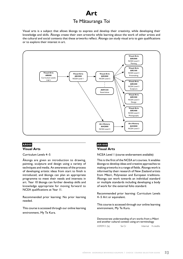# **Art** Te Mätauranga Toi

<span id="page-24-0"></span>Visual arts is a subject that allows äkonga to express and develop their creativity, while developing their knowledge and skills. Äkonga create their own artworks while learning about the work of other artists and the cultural and social contexts that these artworks reflect. Äkonga can study visual arts to gain qualifications or to explore their interest in art.



# **AR000 Visual Arts**

Curriculum Levels 4–5

Äkonga are given an introduction to drawing, painting, sculpture and design using a variety of techniques and media. An awareness of the process of developing artistic ideas from start to finish is introduced, and äkonga can plan an appropriate programme to meet their needs and interests in art. Year 10 äkonga can further develop skills and knowledge appropriate for moving forward to NCEA qualifications at Year 11.

Recommended prior learning: No prior learning needed.

This course is accessed through our online learning environment, My Te Kura.

# **AR1000 Visual Arts**

NCEA Level 1 (course endorsement available)

This is the first of the NCEA art courses. It enables äkonga to develop ideas and creative approaches to making artworks in a range of fields. Äkonga work is informed by their research of New Zealand artists from Mäori, Polynesian and European traditions. Äkonga can work towards an individual standard or multiple standards including developing a body of work for the external folio standard.

Recommended prior learning: Curriculum Levels 4–5 Art or equivalent.

This course is accessed through our online learning environment, My Te Kura.

Demonstrate understanding of art works from a Mäori and another cultural context using art terminology

| AS90913 (la) | Se Cr |  | Internal 4 credits |
|--------------|-------|--|--------------------|
|--------------|-------|--|--------------------|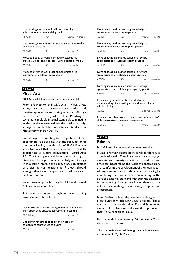| Use drawing methods and skills for recording<br>information using wet and dry media                      |    |                     |  |  |  |
|----------------------------------------------------------------------------------------------------------|----|---------------------|--|--|--|
| AS90914                                                                                                  | Сr | Internal 4 credits  |  |  |  |
| Use drawing conventions to develop work in more than<br>one field of practice                            |    |                     |  |  |  |
| AS90915                                                                                                  | Сr | Internal 6 credits  |  |  |  |
| Produce a body of work informed by established<br>practice, which develops ideas, using a range of media |    |                     |  |  |  |
| AS90916                                                                                                  | Cr | External 12 credits |  |  |  |
| Produce a finished work that demonstrates skills<br>appropriate to cultural conventions                  |    |                     |  |  |  |

### AS90917 Cr Internal 4 credits

# **AR2000**

# **Visual Arts**

NCEA Level 2 (course endorsement available)

From a foundation of NCEA Level 1 Visual Arts, äkonga continue to critically develop ideas and creative approaches to making artworks. Äkonga can produce a body of work in Painting by completing multiple internal standards culminating in the portfolio external standard. Alternatively, äkonga can undertake two internal standards in Photography and/or Design.

For äkonga not wanting to complete a full art programme, it is possible, with the consultation of the senior kaiako, to undertake AS91325: Produce a resolved work that demonstrates control of skills appropriate to cultural conventions, (Visual Arts 2.5). This is a single, standalone standard in any art discipline. This opportunity particularly suits äkonga with existing interest and skills, a passion project or artist mentor relationship. Projects should strongly identify with a specific art tradition or art field convention.

Recommended prior learning: NCEA Level 1 Visual Art course or equivalent.

This course is accessed through our online learning environment, My Te Kura.

Demonstrate an understanding of methods and ideas from established practice appropriate to painting AS91306 (la) SCr Internal 4 credits

Use drawing methods to apply knowledge of conventions appropriate to design

| AS91310 | SCr | Internal 4 credits |
|---------|-----|--------------------|
|         |     |                    |

| Use drawing methods to apply knowledge of<br>conventions appropriate to painting                                     |     |                     |  |  |  |  |
|----------------------------------------------------------------------------------------------------------------------|-----|---------------------|--|--|--|--|
| AS91311                                                                                                              | SCr | Internal 4 credits  |  |  |  |  |
| Use drawing methods to apply knowledge of<br>conventions appropriate to photography                                  |     |                     |  |  |  |  |
| AS91312                                                                                                              | SCr | Internal 4 credits  |  |  |  |  |
| Develop ideas in a related series of drawings<br>appropriate to established design practice                          |     |                     |  |  |  |  |
| AS91315                                                                                                              | SCr | Internal 4 credits  |  |  |  |  |
| Develop ideas in a related series of drawings<br>appropriate to established painting practice                        |     |                     |  |  |  |  |
| AS91316                                                                                                              | SCr | Internal 4 credits  |  |  |  |  |
| Develop ideas in a related series of drawings<br>appropriate to established photography practice                     |     |                     |  |  |  |  |
| AS91317                                                                                                              | SCr | Internal 4 credits  |  |  |  |  |
| Produce a systematic body of work that shows<br>understanding of art making conventions and ideas<br>within painting |     |                     |  |  |  |  |
| AS91321                                                                                                              | Cr  | External 12 credits |  |  |  |  |
| Produce a resolved work that demonstrates control of<br>skills appropriate to cultural conventions                   |     |                     |  |  |  |  |

| AS91325 |  | Internal 4 credits |
|---------|--|--------------------|
|         |  |                    |

# **AR3000 Painting**

NCEA Level 3 (course endorsement available)

In Level 3 Painting, äkonga study, develop and produce a body of work. They learn to critically engage, evaluate and investigate artistic procedures and practices. Researching the work of contemporary artists informs the development of their own ideas. Äkonga can produce a body of work in Painting by completing the two internals culminating in the portfolio external standard. Although the emphasis is on painting, äkonga work can demonstrate influences from design, printmaking, sculpture and photography.

New Zealand Scholarship exams are designed to extend very high-achieving Level 3 äkonga. Those who wish to enter the New Zealand Scholarship exam in this subject must discuss this option with their Te Kura subject kaiako.

Recommended prior learning: NCEA Level 2 Visual Art course or equivalent.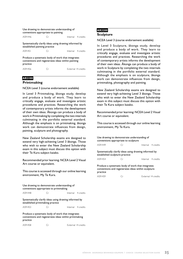| Use drawing to demonstrate understanding of<br>conventions appropriate to painting                                 |             |  |                     |  |  |
|--------------------------------------------------------------------------------------------------------------------|-------------|--|---------------------|--|--|
| AS91446                                                                                                            | Сr          |  | Internal 4 credits  |  |  |
| Systematically clarify ideas using drawing informed by<br>established painting practice                            |             |  |                     |  |  |
| AS91451                                                                                                            | $\subset$ r |  | Internal 4 credits  |  |  |
| Produce a systematic body of work that integrates<br>conventions and regenerates ideas within painting<br>practice |             |  |                     |  |  |
| AS91456                                                                                                            | C.n         |  | External 14 credits |  |  |

# **AR3100**

# **Printmaking**

NCEA Level 3 (course endorsement available)

In Level 3 Printmaking, äkonga study, develop and produce a body of work. They learn to critically engage, evaluate and investigate artistic procedures and practices. Researching the work of contemporary artists informs the development of their own ideas. Äkonga can produce a body of work in Printmaking by completing the two internals culminating in the portfolio external standard. Although the emphasis is on printmaking, äkonga work can demonstrate influences from design, painting, sculpture and photography.

New Zealand Scholarship exams are designed to extend very high-achieving Level 3 äkonga. Those who wish to enter the New Zealand Scholarship exam in this subject must discuss this option with their Te Kura subject kaiako.

Recommended prior learning: NCEA Level 2 Visual Art course or equivalent.

This course is accessed through our online learning environment, My Te Kura.

Use drawing to demonstrate understanding of conventions appropriate to printmaking

AS91448 Cr Internal 4 credits

Systematically clarify ideas using drawing informed by established printmaking practice

AS91453 Cr Internal 4 credits

Produce a systematic body of work that integrates conventions and regenerates ideas within printmaking practice

| AS91458 | External 14 credits |
|---------|---------------------|
|         |                     |

# **AR3200 Sculpture**

### NCEA Level 3 (course endorsement available)

In Level 3 Sculpture, äkonga study, develop and produce a body of work. They learn to critically engage, evaluate and investigate artistic procedures and practices. Researching the work of contemporary artists informs the development of their own ideas. Äkonga can produce a body of work in Sculpture by completing the two internals culminating in the portfolio external standard. Although the emphasis is on sculpture, äkonga work can demonstrate influences from design, printmaking, photography and painting.

New Zealand Scholarship exams are designed to extend very high-achieving Level 3 äkonga. Those who wish to enter the New Zealand Scholarship exam in this subject must discuss this option with their Te Kura subject kaiako.

Recommended prior learning: NCEA Level 2 Visual Art course or equivalent.

| Use drawing to demonstrate understanding of<br>conventions appropriate to sculpture                                                        |             |  |                    |  |  |
|--------------------------------------------------------------------------------------------------------------------------------------------|-------------|--|--------------------|--|--|
| AS91449                                                                                                                                    | Сr          |  | Internal 4 credits |  |  |
| Systematically clarify ideas using drawing informed by<br>established sculpture practice                                                   |             |  |                    |  |  |
| AS91454                                                                                                                                    | $\subset$ r |  | Internal 4 credits |  |  |
| Produce a systematic body of work that integrates<br>conventions and regenerates ideas within sculpture<br>practice<br>External 14 credits |             |  |                    |  |  |
| AS91459                                                                                                                                    | Cr          |  |                    |  |  |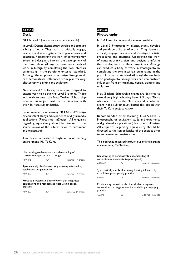# **AR3300**

# **Design**

NCEA Level 3 (course endorsement available)

In Level 3 Design, äkonga study, develop and produce a body of work. They learn to critically engage, evaluate and investigate artistic procedures and practices. Researching the work of contemporary artists and designers informs the development of their own ideas. Äkonga can produce a body of work in Design by completing the two internals culminating in the portfolio external standard. Although the emphasis is on design, äkonga work can demonstrate influences from printmaking, photography, painting and sculpture.

New Zealand Scholarship exams are designed to extend very high-achieving Level 3 äkonga. Those who wish to enter the New Zealand Scholarship exam in this subject must discuss this option with their Te Kura subject kaiako.

Recommended prior learning: NCEA Level 2 Design or equivalent study and experience of digital media applications (Photoshop, InDesign). All enquiries regarding equivalency should be directed to the senior kaiako of the subject prior to enrolment and registration.

This course is accessed through our online learning environment, My Te Kura.

| Use drawing to demonstrate understanding of<br>conventions appropriate to design                                 |    |  |                     |  |  |
|------------------------------------------------------------------------------------------------------------------|----|--|---------------------|--|--|
| AS91445                                                                                                          | Сr |  | Internal 4 credits  |  |  |
| Systematically clarify ideas using drawing informed by<br>established design practice                            |    |  |                     |  |  |
| AS91450                                                                                                          | Сr |  | Internal 4 credits  |  |  |
| Produce a systematic body of work that integrates<br>conventions and regenerates ideas within design<br>practice |    |  |                     |  |  |
| AS91455                                                                                                          | ⊤r |  | External 14 credits |  |  |

# **AR3400 Photography**

NCEA Level 3 (course endorsement available)

In Level 3 Photography, äkonga study, develop and produce a body of work. They learn to critically engage, evaluate and investigate artistic procedures and practices. Researching the work of contemporary artists and designers informs the development of their own ideas. Äkonga can produce a body of work in Photography by completing the two internals culminating in the portfolio external standard. Although the emphasis is on photography, äkonga work can demonstrate influences from printmaking, design, painting and sculpture.

New Zealand Scholarship exams are designed to extend very high-achieving Level 3 äkonga. Those who wish to enter the New Zealand Scholarship exam in this subject must discuss this option with their Te Kura subject kaiako.

Recommended prior learning: NCEA Level 2 Photography or equivalent study and experience of digital media applications (Photoshop, InDesign). All enquiries regarding equivalency should be directed to the senior kaiako of the subject prior to enrolment and registration.

| Use drawing to demonstrate understanding of<br>conventions appropriate to photography      |                                                                                                           |  |                     |  |  |
|--------------------------------------------------------------------------------------------|-----------------------------------------------------------------------------------------------------------|--|---------------------|--|--|
| AS91447                                                                                    | Сr                                                                                                        |  | Internal 4 credits  |  |  |
|                                                                                            |                                                                                                           |  |                     |  |  |
| Systematically clarify ideas using drawing informed by<br>established photography practice |                                                                                                           |  |                     |  |  |
| AS91452                                                                                    | $\subset$ r                                                                                               |  | Internal 4 credits  |  |  |
|                                                                                            |                                                                                                           |  |                     |  |  |
| practice                                                                                   | Produce a systematic body of work that integrates<br>conventions and regenerates ideas within photography |  |                     |  |  |
| AS91457                                                                                    |                                                                                                           |  | External 14 credits |  |  |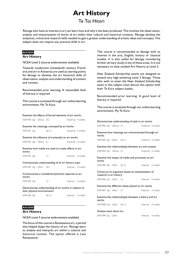# **Art History**

# Te Toi Hitori

<span id="page-28-0"></span>Äkonga who have an interest in art can learn how and why it has been produced. This involves the observation, analysis and interpretation of works of art within their cultural and historical contexts. Äkonga develop the analytical, critical and research skills needed to gain a greater understanding of artistic ideas and concepts. This subject does not require any practical skills in art.

# **AH2000**

# **Art History**

NCEA Level 2 (course endorsement available)

Towards modernism (nineteenth century French art) and art in Aotearoa are used as starting points for äkonga to develop the art historical skills of observation, analysis and understanding of content and context.

Recommended prior learning: A reasonable level of literacy is required.

This course is accessed through our online learning environment, My Te Kura.

| Examine the effects of formal elements of art works                                  |  |  |                                                     |                    |  |
|--------------------------------------------------------------------------------------|--|--|-----------------------------------------------------|--------------------|--|
| AS91180 (la) UEIwa SCr                                                               |  |  | External 4 credits                                  |                    |  |
|                                                                                      |  |  | Examine the meanings conveyed by art works          |                    |  |
| AS91181 (la) Se Cr                                                                   |  |  |                                                     | External 4 credits |  |
|                                                                                      |  |  | Examine the influence of context(s) on art works    |                    |  |
| AS91182 (la) UEIwa Cr                                                                |  |  |                                                     | External 4 credits |  |
| works                                                                                |  |  | Examine how media are used to create effects in art |                    |  |
| AS91183 (la)                                                                         |  |  | Cr                                                  | Internal 4 credits |  |
|                                                                                      |  |  | Communicate understanding of an art history topic   |                    |  |
| AS91184 (la) UElra SCr                                                               |  |  |                                                     | Internal 4 credits |  |
| works                                                                                |  |  | Communicate a considered personal response to art   |                    |  |
| AS91185 (la)                                                                         |  |  | Cr.                                                 | Internal 4 credits |  |
| Demonstrate understanding of art works in relation to<br>their physical environments |  |  |                                                     |                    |  |
| AS91186 (la) Se Cr                                                                   |  |  |                                                     | Internal 4 credits |  |

# **AH3000**

**Art History**

NCEA Level 3 (course endorsement available)

The focus of this course is Renaissance art, a period that helped shape the history of art. Äkonga learn to analyse and interpret art within a cultural and historical context. The option offered is Late Renaissance.

This course is recommended to äkonga with an interest in the arts, English, history or classical studies. It is also useful for äkonga considering further tertiary study in any of these areas. It is not necessary to have studied Art History at Level 2.

New Zealand Scholarship exams are designed to extend very high-achieving Level 3 äkonga. Those who wish to enter the New Zealand Scholarship exam in this subject must discuss this option with their Te Kura subject kaiako.

Recommended prior learning: A good level of literacy is required.

| Demonstrate understanding of style in art works                             |  |                                                      |                    |                    |  |
|-----------------------------------------------------------------------------|--|------------------------------------------------------|--------------------|--------------------|--|
| AS91482 (la) UElwra Cr                                                      |  | External 4 credits                                   |                    |                    |  |
| works                                                                       |  | Examine how meanings are communicated through art    |                    |                    |  |
| AS91483 (la) UEIra Se Cr                                                    |  |                                                      | External 4 credits |                    |  |
|                                                                             |  | Examine the relationship(s) between art and context  |                    |                    |  |
| AS91484 (la) UElwra Cr                                                      |  |                                                      | External 4 credits |                    |  |
| works                                                                       |  | Examine the impact of media and processes on art     |                    |                    |  |
| AS91485 (la) UElra Se Cr                                                    |  | Internal 4 credits                                   |                    |                    |  |
| Construct an argument based on interpretation of<br>research in art history |  |                                                      |                    |                    |  |
|                                                                             |  |                                                      |                    |                    |  |
| AS91486 (la) UElra Cr                                                       |  |                                                      |                    | Internal 4 credits |  |
|                                                                             |  | Examine the different values placed on art works     |                    |                    |  |
| AS91487 (la) UElra Cr                                                       |  |                                                      |                    | Internal 4 credits |  |
| works                                                                       |  | Examine the relationship(s) between a theory and art |                    |                    |  |
| AS91488 (la) UElra Se Cr                                                    |  |                                                      |                    | Internal 4 credits |  |
| Analyse texts about art                                                     |  |                                                      |                    |                    |  |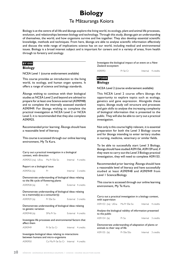# **Biology** Te Mätauranga Koiora

<span id="page-29-0"></span>Biology is at the centre of all life and äkonga explore the living world, its ecology, plant and animal life processes, evolution, and relationships between biology and technology. Through this study, äkonga gain an understanding of themselves, the world, and how organisms survive and live together. They also develop essential scientific knowledge, methods and techniques. From here, äkonga are able to analyse scientific information effectively and discuss the wide range of implications science has on our world, including medical and environmental issues. Biology is a broad interest subject and is important for careers and in a variety of areas, from health through to forestry and zoology.

# **BY1000**

# **Biology**

NCEA Level 1 (course endorsement available)

This course provides an introduction to the living world, its ecology, and human organ systems. It offers a range of science and biology standards.

Äkonga wishing to continue with their biological studies at NCEA Level 2 and beyond are advised to prepare for at least one Science external (AS90948) and to complete the internally assessed standard AS90949. For äkonga wishing to complete the practical investigation at NCEA Level 2 or NCEA Level 3, it is recommended that they also complete AS90925.

Recommended prior learning: Äkonga should have a reasonable level of literacy.

This course is accessed through our online learning environment, My Te Kura.

| Carry out a practical investigation in a biological<br>context, with direction                  |                                |                    |                    |  |  |
|-------------------------------------------------------------------------------------------------|--------------------------------|--------------------|--------------------|--|--|
| AS90925 (na) UEna Ma Pr SSe So                                                                  |                                |                    | Internal 4 credits |  |  |
| Report on a biological issue                                                                    |                                |                    |                    |  |  |
| AS90926 (la)                                                                                    | Pr                             |                    | Internal 3 credits |  |  |
| Demonstrate understanding of biological ideas relating<br>to the life cycle of flowering plants |                                |                    |                    |  |  |
| AS90928 (la)                                                                                    | Pr                             |                    | External 4 credits |  |  |
| Demonstrate understanding of biological ideas relating<br>to a mammal(s) as a consumer(s)       |                                |                    |                    |  |  |
| AS90929 (la)                                                                                    | <b>Pr</b> SSe So               | External 3 credits |                    |  |  |
| Demonstrate understanding of biological ideas relating<br>to genetic variation                  |                                |                    |                    |  |  |
| AS90948 (la)                                                                                    | SMa Pr So                      | External 4 credits |                    |  |  |
| Investigate life processes and environmental factors that<br>affect them                        |                                |                    |                    |  |  |
| AS90949                                                                                         | Pr Se So Cr Internal 4 credits |                    |                    |  |  |
| Investigate biological ideas relating to interactions<br>between humans and micro-organisms     |                                |                    |                    |  |  |

AS90950 Co Ma Pr Se So Cr Internal 4 credits

Investigate the biological impact of an event on a New Zealand ecosystem

AS90951 Pr Se Cr Internal 4 credits

# **BY2000 Biology**

NCEA Level 2 (course endorsement available)

This NCEA Level 2 course offers äkonga the opportunity to explore topics such as ecology, genetics and gene expression. Alongside these topics, äkonga study cell structure and processes and gain skills to analyse the increasing complexity of biological information that is presented to the public. They will also be able to carry out a practical investigation.

Not only is this course highly relevant, it is essential preparation for both the Level 3 Biology course and for äkonga intending to enter tertiary studies in nursing, medicine, veterinary or similar fields.

To be able to successfully start Level 3 Biology, äkonga should have studied AS91156, AS91159 and, if they want to carry out the Level 3 Biology practical investigation, they will need to complete AS91153.

Recommended prior learning: Äkonga should have a reasonable level of literacy and have successfully studied at least AS90948 and AS90949 from Level 1 Science/Biology.

This course is accessed through our online learning environment, My Te Kura.

Carry out a practical investigation in a biology context, with supervision

AS91153 (na) UEna Ma Pr SSe So Internal 4 credits

Analyse the biological validity of information presented to the public

| AS91154 (la) | Pr So |  | Internal 3 credits |
|--------------|-------|--|--------------------|
|--------------|-------|--|--------------------|

Demonstrate understanding of adaptation of plants or animals to their way of life

| AS91155 (la) | Pr SSe SSo |  | Internal 3 credits |
|--------------|------------|--|--------------------|
|--------------|------------|--|--------------------|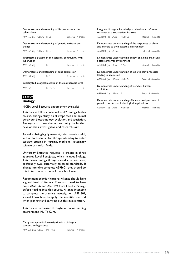| Demonstrate understanding of life processes at the<br>cellular level |                                                          |                                                        |                    |                    |  |
|----------------------------------------------------------------------|----------------------------------------------------------|--------------------------------------------------------|--------------------|--------------------|--|
| AS91156 (la) UEIwa Pr So                                             |                                                          |                                                        | External 4 credits |                    |  |
| change                                                               |                                                          | Demonstrate understanding of genetic variation and     |                    |                    |  |
| AS91157 (la) UElwa Pr So                                             |                                                          |                                                        |                    | External 4 credits |  |
| supervision                                                          |                                                          | Investigate a pattern in an ecological community, with |                    |                    |  |
| AS91158 (la)                                                         |                                                          | Pr                                                     |                    | Internal 4 credits |  |
|                                                                      |                                                          | Demonstrate understanding of gene expression           |                    |                    |  |
| AS91159 (la)                                                         |                                                          | Pr So                                                  |                    | External 4 credits |  |
|                                                                      | Investigate biological material at the microscopic level |                                                        |                    |                    |  |
| AS91160                                                              |                                                          | Pr SSe So                                              |                    | Internal 3 credits |  |
| <b>Y3000</b>                                                         |                                                          |                                                        |                    |                    |  |

# **Biology**

# NCEA Level 3 (course endorsement available)

This course follows on from Level 2 Biology. In this course, äkonga study plant responses and animal behaviour, biotechnology, evolution, and speciation. Äkonga also have the opportunity to further develop their investigative and research skills.

As well as being highly relevant, this course is useful, and often essential, for äkonga intending to enter tertiary studies in nursing, medicine, veterinary science or similar fields.

University Entrance requires 14 credits in three approved Level 3 subjects, which includes Biology. This means Biology äkonga should sit at least one, preferably two, externally assessed standards. If äkonga intend to complete AS91601, they should do this in term one or two of the school year.

Recommended prior learning: Äkonga should have a good level of literacy. They also need to have done AS91156 and AS91159 from Level 2 Biology before heading into this course. Äkonga intending to complete the practical investigation, AS91601, should know how to apply the scientific method when planning and carrying out this investigation.

This course is accessed through our online learning environment, My Te Kura.

Carry out a practical investigation in a biological context, with guidance

AS91601 (Ina) UEna Ma Pr So Internal 4 credits

|                               | Integrate biological knowledge to develop an informed<br>response to a socio-scientific issue     |                    |
|-------------------------------|---------------------------------------------------------------------------------------------------|--------------------|
| AS91602 (la) UEIra Ma Pr So   |                                                                                                   | Internal 3 credits |
|                               | Demonstrate understanding of the responses of plants<br>and animals to their external environment |                    |
| AS91603 (la) UEIwra Pr        |                                                                                                   | External 5 credits |
| a stable internal environment | Demonstrate understanding of how an animal maintains                                              |                    |
| AS91604 (la) UEIra Pr So      |                                                                                                   | Internal 3 credits |
| leading to speciation         | Demonstrate understanding of evolutionary processes                                               |                    |
| AS91605 (la) UEIwra Ma Pr So  |                                                                                                   | External 4 credits |
| evolution                     | Demonstrate understanding of trends in human                                                      |                    |
| AS91606 (la) UEIwra Pr        |                                                                                                   | External 4 credits |
|                               | Demonstrate understanding of buman manipulations of                                               |                    |

Demonstrate understanding of human manipulations of genetic transfer and its biological implications

| AS91607 (la) UEIra Ma Pr So |  |  |  | Internal 3 credits |
|-----------------------------|--|--|--|--------------------|
|-----------------------------|--|--|--|--------------------|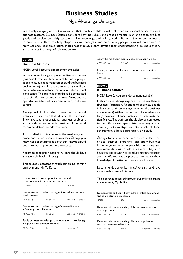# **Business Studies**

# Ngä Akoranga Umanga

<span id="page-31-0"></span>In a rapidly changing world, it is important that people are able to make informed and rational decisions about business matters. Business Studies considers how individuals and groups organise, plan and act to produce goods and services to satisfy customers. The knowledge and skills gained in Business Studies and exposure to enterprise culture can help shape creative, energetic and enterprising people who will contribute to New Zealand's economic future. In Business Studies, äkonga develop their understanding of business theory and practices in a range of relevant contexts.

# **BS1000**

# **Business Studies**

NCEA Level 1 (course endorsement available)

In this course, äkonga explore the five key themes (business formation, functions of business, people in business, business management and the business environment) within the context of a small-tomedium business, of local, national or international significance. The business should also be connected to their life, for example: a local farm, tourist operator, retail outlet, franchise, or early childcare centre.

Äkonga will look at the internal and external features of businesses that influence their success. They investigate operational business problems and provide causes, impacts, possible solutions and recommendations to address them.

Also studied in this course is the marketing mix model and human resources processes. Äkonga gain knowledge of enterprising behaviour, innovation and entrepreneurship in business contexts.

Recommended prior learning: Äkonga should have a reasonable level of literacy.

This course is accessed through our online learning environment, My Te Kura.

| Demonstrate knowledge of innovation and<br>entrepreneurship in business contexts           |          |  |                    |  |  |  |
|--------------------------------------------------------------------------------------------|----------|--|--------------------|--|--|--|
| US22847                                                                                    | Cr       |  | Internal 2 credits |  |  |  |
| Demonstrate an understanding of internal features of a<br>small business                   |          |  |                    |  |  |  |
| AS90837 (la)                                                                               | Pr Se Cr |  | External 4 credits |  |  |  |
| Demonstrate an understanding of external factors<br>influencing a small business           |          |  |                    |  |  |  |
| AS90838 (la)                                                                               | Pr Se Cr |  | External 4 credits |  |  |  |
| Apply business knowledge to an operational problem(s)<br>in a given small business context |          |  |                    |  |  |  |
|                                                                                            |          |  |                    |  |  |  |

Apply the marketing mix to a new or existing product AS90840 (la) Pr Se Cr Internal 3 credits

Investigate aspects of human resource processes in a business

AS90841 (la) Pr Internal 3 credits

# **BS2000 Business Studies**

NCEA Level 2 (course endorsement available)

In this course, äkonga explore the five key themes (business formation, functions of business, people in business, business management and the business environment) within the context of a medium-tolarge business of local, national or international significance. The business should also be connected to their life, for example: a listed company, a retail company with multiple outlets, a school, local government, a large corporation, or a bank.

Äkonga look at internal and external features, critical business problems, and apply business knowledge to provide possible solutions and recommendations to address them. They also have the opportunity to conduct market research and identify motivation practices and apply their knowledge of motivation theory in a business.

Recommended prior learning: Äkonga should have a reasonable level of literacy.

This course is accessed through our online learning environment, My Te Kura.

| Demonstrate and apply knowledge of office equipment<br>and administration processes |      |  |                    |
|-------------------------------------------------------------------------------------|------|--|--------------------|
| USI2L                                                                               | SSe. |  | Internal 4 credits |

| JJU<br>. | HICIIdI TUCUID<br>. |
|----------|---------------------|
|          |                     |
|          |                     |

Demonstrate understanding of the internal operations of a large business

AS90843 (la) Pr Se External 4 credits

Demonstrate understanding of how a large business responds to external factors

AS90844 (la) Pr Se External 4 credits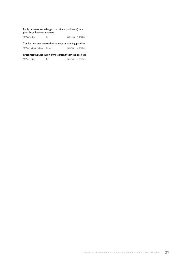### Apply business knowledge to a critical problem(s) in a given large business context

AS90845 (la) Pr External 4 credits

Conduct market research for a new or existing product

AS90846 (Ina) UEna Pr Cr Internal 3 credits

AS90847 (la) Cr Internal 3 credits

Investigate the application of motivation theory in a business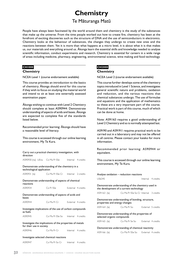# **Chemistry**

# Te Mäturanga Matü

<span id="page-33-0"></span>People have always been fascinated by the world around them and chemistry is the study of the substances that make up the universe. From the time people worked out how to create fire, chemistry has been at the forefront of exciting discoveries such as the structure of DNA and the use of semiconductors in electronics. Chemistry looks at the behaviour of substances, the changes they undergo to create new ones and the reactions between them. Yet it is more than what happens at a micro level, it is about what it is that makes us, our materials and everything around us. Äkonga learn the essential skills and knowledge needed to analyse scientific information, conduct experiments and research. Chemistry is essential for careers in a wide range of areas including medicine, pharmacy, engineering, environmental science, wine making and food technology.

# **CH1000**

### **Chemistry**

NCEA Level 1 (course endorsement available)

This course provides an introduction to the basics of chemistry. Äkonga should enrol for this course if they wish to focus on studying the material world and intend to sit at least one externally assessed examination paper.

Äkonga wishing to continue with Level 2 Chemistry should complete at least AS90944: Demonstrate understanding of aspects of acids and bases. Äkonga are expected to complete five of the standards listed below.

Recommended prior learning: Äkonga should have a reasonable level of literacy.

This course is accessed through our online learning environment, My Te Kura.

| Carry out a practical chemistry investigation, with<br>direction                     |                                    |  |                    |  |  |  |
|--------------------------------------------------------------------------------------|------------------------------------|--|--------------------|--|--|--|
| AS90930 (na) UEna Co Ma Pr SSe Internal 4 credits                                    |                                    |  |                    |  |  |  |
| Demonstrate understanding of the chemistry in a<br>technological application         |                                    |  |                    |  |  |  |
| AS90931 (la) Co Ma Pr SSe Cr Internal 2 credits                                      |                                    |  |                    |  |  |  |
| Demonstrate understanding of aspects of chemical<br>reactions                        |                                    |  |                    |  |  |  |
| AS90934                                                                              | Co Pr SSe                          |  | External 4 credits |  |  |  |
| Demonstrate understanding of aspects of acids and<br>bases                           |                                    |  |                    |  |  |  |
| AS90944                                                                              | Co Ma Pr Cr External 4 credits     |  |                    |  |  |  |
| Investigate implications of the use of carbon compounds<br>as fuels                  |                                    |  |                    |  |  |  |
| AS90945                                                                              | Co Ma Pr SSe So Internal 4 credits |  |                    |  |  |  |
| Investigate the implications of the properties of metals<br>for their use in society |                                    |  |                    |  |  |  |
| AS90946                                                                              | Co Ma Pr Cr Linternal 4 credits    |  |                    |  |  |  |

### Investigate selected chemical reactions

AS90947 Co Ma Pr So Cr Internal 4 credits

# **CH2000 Chemistry**

NCEA Level 2 (course endorsement available)

This course further develops some of the chemistry topics introduced in Level 1 Science, and investigates general scientific nature and problems, oxidation and reduction, and the various reactions that chemical substances undergo. The use of formulae and equations and the application of mathematics to these are a very important part of the course. Practical work is part of this course, much of which can be done at home.

Note: AS91163 requires a good understanding of Level 2 Chemistry and so is normally attempted last.

AS9190 and AS91911 requires practical work to be carried out in a laboratory and may not be offered in all centres. Please contact your kaiako for more information.

Recommended prior learning: AS90944 or equivalent.

|                                                                                   |              | Analyse oxidation - reduction reactions                                                       |                    |  |
|-----------------------------------------------------------------------------------|--------------|-----------------------------------------------------------------------------------------------|--------------------|--|
| US6345                                                                            |              |                                                                                               | Internal 4 credits |  |
|                                                                                   |              | Demonstrate understanding of the chemistry used in<br>the development of a current technology |                    |  |
|                                                                                   | AS91163 (la) | Co Ma Pr SSe So Cr Internal 3 credits                                                         |                    |  |
| Demonstrate understanding of bonding, structure,<br>properties and energy changes |              |                                                                                               |                    |  |
|                                                                                   |              | AS91164 (la) Co Ma Pr So                                                                      | External 5 credits |  |
| Demonstrate understanding of the properties of<br>selected organic compounds      |              |                                                                                               |                    |  |
|                                                                                   |              | AS91165 (la) Co Ma Pr Se So External 4 credits                                                |                    |  |
| Demonstrate understanding of chemical reactivity                                  |              |                                                                                               |                    |  |
|                                                                                   | AS91166 (la) | Co Ma Pr SSe So External 4 credits                                                            |                    |  |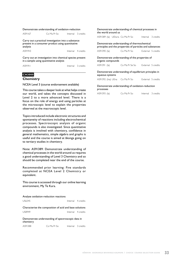### Demonstrate understanding of oxidation-reduction

| AS91167 | Co Ma Pr So                                                                                              | Internal 3 credits |
|---------|----------------------------------------------------------------------------------------------------------|--------------------|
|         | Carry out a practical investigation into a substance<br>present in a consumer product using quantitative |                    |

analysis AS91910 **Internal** 4 credits

Carry out an investigation into chemical species present in a sample using quantitative analysis

AS91911 **Internal** 3 credits

# **CH3000**

# **Chemistry**

NCEA Level 3 (course endorsement available)

This course takes a deeper look at what helps create our world, and takes the concepts discussed in Level 2 to a more advanced level. There is a focus on the role of energy and using particles at the microscopic level to explain the properties observed at the macroscopic level.

Topics introduced include electronic structures and spontaneity of reactions including electrochemical processes. Spectroscopic analysis of organic compounds is also investigated. Since quantitative analysis is involved with chemistry, confidence in general mathematics, simple algebra and graphs is useful and the course is aimed at äkonga going on to tertiary studies in chemistry.

Note: AS91389: Demonstrate understanding of chemical processes in the world around us requires a good understanding of Level 3 Chemistry and so should be completed near the end of the course.

Recommended prior learning: Five standards completed at NCEA Level 2 Chemistry or equivalent.

This course is accessed through our online learning environment, My Te Kura.

| Analyse oxidation-reduction reactions |                    |
|---------------------------------------|--------------------|
| US6345                                | Internal 4 credits |

Characterise the composition of acid and base solutions US8949 Internal 4 credits

Demonstrate understanding of spectroscopic data in chemistry AS91388 Co Ma Pr So Internal 3 credits Demonstrate understanding of chemical processes in the world around us

AS91389 (la) UElwra Co Ma Pr So Internal 3 credits

Demonstrate understanding of thermochemical principles and the properties of particles and substances AS91390 (la) Co Ma Pr So External 5 credits Demonstrate understanding of the properties of

organic compounds AS91391 (la) Co Ma Pr Se So External 5 credits

Demonstrate understanding of equilibrium principles in aqueous systems

AS91392 (lna) UEna Co Ma Pr So External 5 credits

### Demonstrate understanding of oxidation-reduction processes

| AS91393 (la)<br>Co Ma Pr So |  | Internal 3 credits |
|-----------------------------|--|--------------------|
|-----------------------------|--|--------------------|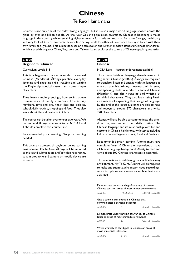# **Chinese**

# Te Reo Hainamana

<span id="page-35-0"></span>Chinese is not only one of the oldest living languages, but it is also a major world language spoken across the globe by over one billion people. As the New Zealand population diversifies, Chinese is becoming a major language in this country while remaining highly important for trade and tourism. For some äkonga, the history and very look of its written characters are fascinating, while for others it is a chance to stay in touch with their own family background. This subject focuses on both spoken and written modern standard Chinese (Mandarin), which is used throughout China, Singapore and Taiwan. It also explores the culture of Chinese-speaking countries.

# **ZH000**

# **Beginners' Chinese**

Curriculum Levels 1–5

This is a beginners' course in modern standard Chinese (Mandarin). Äkonga practise everyday listening and speaking skills, reading and writing the Pinyin alphabetical system and some simple characters.

They learn simple greetings, how to introduce themselves and family members, how to say numbers, time and age, their likes and dislikes, school, daily routine, shopping and food. They also learn about life and customs in China.

The course can be taken over one or two years. We recommend äkonga who want to do NCEA Level 1 should complete this course first.

Recommended prior learning: No prior learning needed.

This course is accessed through our online learning environment, My Te Kura. Äkonga will be required to make and submit audio and/or video recordings, so a microphone and camera or mobile device are essential.

# **ZH1000**

# **Chinese**

NCEA Level 1 (course endorsement available)

This course builds on language already covered in Beginners' Chinese (ZH000). Äkonga are required to translate, listen and engage with the language as much as possible. Äkonga develop their listening and speaking skills in modern standard Chinese (Mandarin) and their reading and writing of simplified characters. They also learn using Pinyin as a means of expanding their range of language. By the end of this course, äkonga are able to read and recognise around 370 characters and write 220 characters.

Äkonga will also be able to communicate the time, direction, seasons and their daily routine. The Chinese language and its relationship with life and customs in China is highlighted, with topics including folk stories and legends, sport, food and festivals.

Recommended prior learning: Äkonga must have completed Year 10 Chinese or equivalent or have a Chinese language background. Ability to read and write about 100 Chinese characters is essential.

This course is accessed through our online learning environment, My Te Kura. Äkonga will be required to make and submit audio and/or video recordings, so a microphone and camera or mobile device are essential.

| Demonstrate understanding of a variety of spoken<br>Chinese texts on areas of most immediate relevance |                                                      |                    |  |  |
|--------------------------------------------------------------------------------------------------------|------------------------------------------------------|--------------------|--|--|
| AS90868                                                                                                | Pr Se So SCr                                         | External 5 credits |  |  |
| Give a spoken presentation in Chinese that<br>communicates a personal response                         |                                                      |                    |  |  |
| AS90869                                                                                                | Pr                                                   | Internal 4 credits |  |  |
| Demonstrate understanding of a variety of Chinese<br>texts on areas of most immediate relevance        |                                                      |                    |  |  |
|                                                                                                        |                                                      |                    |  |  |
| AS90871                                                                                                | Se                                                   | External 5 credits |  |  |
| most immediate relevance                                                                               | Write a variety of text types in Chinese on areas of |                    |  |  |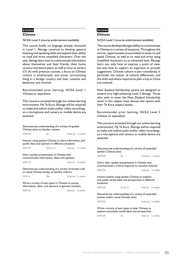### **ZH2000**

#### **Chinese**

NCEA Level 2 (course endorsement available)

This course builds on language already mastered in Level 1. Äkonga continue to develop general listening and speaking skills and expand their ability to read and write simplified characters. Over the year, äkonga learn how to communicate information about themselves and their friends, their home country and future plans, as well as how to write a CV. As with previous courses, a focus on Chinese culture is emphasised, and issues surrounding living in a foreign country and their customs and behaviour are covered.

Recommended prior learning: NCEA Level 1 Chinese or equivalent.

This course is accessed through our online learning environment, My Te Kura. Äkonga will be required to make and submit audio and/or video recordings, so a microphone and camera or mobile device are essential.

Demonstrate understanding of a variety of spoken Chinese texts on familiar matters

| AS91108                                                                                                    | Se.                                                                                                          |                    | External 5 credits |  |
|------------------------------------------------------------------------------------------------------------|--------------------------------------------------------------------------------------------------------------|--------------------|--------------------|--|
|                                                                                                            | Interact using spoken Chinese to share information and<br>justify ideas and opinions in different situations |                    |                    |  |
| AS91109                                                                                                    | SSe So Cr                                                                                                    | Internal 5 credits |                    |  |
|                                                                                                            | Give a spoken presentation in Chinese that<br>communicates information, ideas and opinions                   |                    |                    |  |
| AS91110                                                                                                    |                                                                                                              |                    | Internal 4 credits |  |
| Demonstrate understanding of a variety of written and/<br>or visual Chinese text(s) on familiar matters    |                                                                                                              |                    |                    |  |
| AS9IIII                                                                                                    | SSe                                                                                                          |                    | External 5 credits |  |
| Write a variety of text types in Chinese to convey<br>information, ideas, and opinions in genuine contexts |                                                                                                              |                    |                    |  |
|                                                                                                            |                                                                                                              |                    |                    |  |

## **ZH3000 Chinese**

NCEA Level 3 (course endorsement available)

This course develops äkonga's ability to communicate in Chinese in a variety of situations. Throughout the course, opportunities are provided to listen to and speak Chinese, as well as to read and write using simplified characters to an advanced level. Äkonga learn not only how to express a point of view, but also how to support an argument or provide suggestions. Chinese culture is also considered, in particular the matter of cultural differences, and the skills and advice required to plan a trip to China are covered.

New Zealand Scholarship exams are designed to extend very high-achieving Level 3 äkonga. Those who wish to enter the New Zealand Scholarship exam in this subject must discuss this option with their Te Kura subject kaiako.

Recommended prior learning: NCEA Level 2 Chinese or equivalent.

This course is accessed through our online learning environment, My Te Kura. Äkonga will be required to make and submit audio and/or video recordings, so a microphone and camera or mobile device are essential.

Demonstrate understanding of a variety of extended spoken Chinese texts

| AS91533<br>External 5 credits<br>5e |
|-------------------------------------|
|-------------------------------------|

Give a clear spoken presentation in Chinese that communicates a critical response to stimulus material

| AS91534 | Internal 3 credits |
|---------|--------------------|
|         |                    |

Interact clearly using spoken Chinese to explore and justify varied ideas and perspectives in different situations AS91535 Se So Cr
Se So Cr
Se Thternal
6 credits

Demonstrate understanding of a variety of extended written and/or visual Chinese texts

AS91536 **External 5 credits** 

Write a variety of text types in clear Chinese to explore and justify varied ideas and perspectives

AS91537 Se Internal 5 credits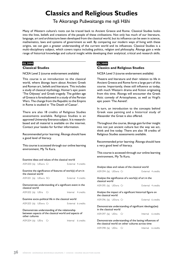# **Classics and Religious Studies**

Te Akoranga Puäwaitanga me ngä Hähi

Many of Western culture's roots can be traced back to Ancient Greece and Rome. Classical Studies looks into the lives, beliefs and creations of the people of these civilisations. Not only has much of our literature, language, art and architecture been developed from the classical world, but its influence can be seen in science, mathematics, laws and systems of government as well. By comparing our modern ways of living with these origins, we can gain a greater understanding of the current world and its influences. Classical Studies is a multi-disciplinary subject, which covers topics including politics, religion and philosophy. Äkonga gain a wide range of historical knowledge and cultural insight while developing their analytical, critical and research skills.

## **GL2000**

#### **Classical Studies**

NCEA Level 2 (course endorsement available)

This course is an introduction to the classical world, where äkonga learn about Ancient Greek and Roman art, beliefs and literature. This includes a study of classical mythology, Homer's epic poem 'The Odyssey' and Greek tragedy. The golden age of Greece is foreshadowed in a study of the Persian Wars. The change from the Republic to the Empire in Rome is studied in 'The Death of Caesar'.

There are also 18 credits of Religious Studies assessments available. Religious Studies is an approved University Entrance subject. It is researchbased and all material is available on the internet. Contact your kaiako for further information.

Recommended prior learning: Äkonga should have a good level of literacy.

This course is accessed through our online learning environment, My Te Kura.

| Examine ideas and values of the classical world                                                                          |  |                                                           |                    |  |
|--------------------------------------------------------------------------------------------------------------------------|--|-----------------------------------------------------------|--------------------|--|
| AS91200 (la) UEIwra Cr                                                                                                   |  |                                                           | External 4 credits |  |
| the classical world                                                                                                      |  | Examine the significance of features of work(s) of art in |                    |  |
| AS91201 (la) UEIwra SCr                                                                                                  |  |                                                           | External 4 credits |  |
| classical world                                                                                                          |  | Demonstrate understanding of a significant event in the   |                    |  |
| AS91202 (la) UElra Cr                                                                                                    |  |                                                           | Internal 4 credits |  |
|                                                                                                                          |  | Examine socio-political life in the classical world       |                    |  |
| AS91203 (la) UEIwra Cr                                                                                                   |  |                                                           | External 6 credits |  |
| Demonstrate understanding of the relationship<br>between aspects of the classical world and aspects of<br>other cultures |  |                                                           |                    |  |
| AS91204 (la) UElra Cr                                                                                                    |  |                                                           | Internal 6 credits |  |

## **GL3000**

## **Classics and Religious Studies**

NCEA Level 3 (course endorsement available)

Theatre and literature and their relation to life in Ancient Greece and Rome form a large part of this course. Importantly, these still influence us today, with much Western drama and fiction originating from this time. Äkonga will encounter the Greek Attic comedy of Aristophanes, as well as Virgil's epic poem 'The Aeneid'.

In turn, an introduction to the concepts behind Greek vase painting and a historical study of Alexander the Great is also offered.

Throughout the course, äkonga gain further insight into not just ancient culture but the way we act, think and live today. There are also 18 credits of Religious Studies assessments available.

Recommended prior learning: Äkonga should have a very good level of literacy.

This course is accessed through our online learning environment, My Te Kura.

| Analyse ideas and values of the classical world                                                             |  |                                                          |  |                    |
|-------------------------------------------------------------------------------------------------------------|--|----------------------------------------------------------|--|--------------------|
| AS91394 (la) UEIwra Cr                                                                                      |  |                                                          |  | External 4 credits |
| classical world                                                                                             |  | Analyse the significance of a work(s) of art in the      |  |                    |
| AS91395 (la) UEIwra Cr                                                                                      |  |                                                          |  | External 4 credits |
| the classical world                                                                                         |  | Analyse the impact of a significant historical figure on |  |                    |
| AS91396 (la) UEIwra Cr                                                                                      |  |                                                          |  | External 6 credits |
|                                                                                                             |  | Demonstrate understanding of significant ideology(ies)   |  |                    |
| in the classical world                                                                                      |  |                                                          |  |                    |
| AS91397 (la) UEIra Cr                                                                                       |  |                                                          |  | Internal 6 credits |
| Demonstrate understanding of the lasting influences of<br>the classical world on other cultures across time |  |                                                          |  |                    |
| AS91398 (la) UEIra Cr                                                                                       |  |                                                          |  | Internal 6 credits |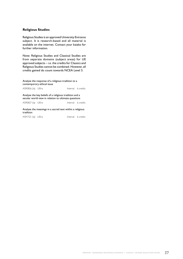#### **Religious Studies**

Religious Studies is an approved University Entrance subject. It is research-based and all material is available on the internet. Contact your kaiako for further information.

Note: Religious Studies and Classical Studies are from separate domains (subject areas) for UE approved subjects – i.e. the credits for Classics and Religious Studies cannot be combined. However, all credits gained do count towards NCEA Level 3.

Analyse the response of a religious tradition to a contemporary ethical issue

AS90826 (la) UElra **Internal** 6 credits

Analyse the key beliefs of a religious tradition and a secular world view in relation to ultimate questions

AS90827 (la) UElra **Internal** 6 credits

Analyse the meanings in a sacred text within a religious tradition

AS91725 (la) UElra<br>
Internal 6 credits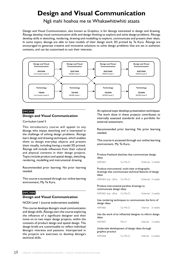# **Design and Visual Communication**

Ngä mahi hoahoa me te Whakawhitiwhiti ataata

Design and Visual Communication, also known as Graphics, is for äkonga interested in design and drawing. Äkonga develop visual communication skills and design thinking to explore and solve design problems. Äkonga develop skills in sketching, rendering, drawing and modelling to explore, communicate and present their ideas. In some topics, äkonga are able to have models of their design work 3D printed by Te Kura. Äkonga are encouraged to generate creative and innovative solutions to solve design problems that are set in authentic contexts, and can be customised to suit their interests.



## **DVC000 Design and Visual Communication**

Curriculum Level 5

This introductory course will appeal to any äkonga who enjoys sketching and is interested in the challenge of solving design problems. Äkonga learn design and drawing techniques, which enables them to design everyday objects and present them visually, including having a model 3D printed. Äkonga will include influences from their cultural and physical contexts in their design projects. Topics include product and spatial design, sketching, rendering, modelling and instrumental drawing.

Recommended prior learning: No prior learning needed.

This course is accessed through our online learning environment, My Te Kura.

## **DVC1000**

## **Design and Visual Communication**

NCEA Level 1 (course endorsement available)

This course develops äkonga's visual communication and design skills. Äkonga start the course exploring the influence of a significant designer and then move on to two major design projects, within the contexts of product design and spatial design. The design briefs are customisable to reflect individual äkonga's interests and passions. Interspersed in the projects are exercises to develop äkonga's technical skills.

An optional topic develops presentation techniques. The work done in these projects contributes to internally assessed standards and a portfolio for external assessment.

Recommended prior learning: No prior learning needed.

This course is accessed through our online learning environment, My Te Kura.

| ideas                      | Produce freehand sketches that communicate design                                                       |                    |                    |
|----------------------------|---------------------------------------------------------------------------------------------------------|--------------------|--------------------|
| AS91063                    | Co Ma Cr                                                                                                |                    | External 3 credits |
| ideas                      | Produce instrumental, multi-view orthographic<br>drawings that communicate technical features of design |                    |                    |
| AS91064 (na) UEna Co Ma Cr |                                                                                                         |                    | External 3 credits |
| communicate design ideas   | Produce instrumental paraline drawings to                                                               |                    |                    |
| AS91065 (na) UEna Co Ma Cr |                                                                                                         |                    | External 3 credits |
| design ideas               | Use rendering techniques to communicate the form of                                                     |                    |                    |
| AS91066                    | Co Ma Cr                                                                                                | Internal 3 credits |                    |
| ideas                      | Use the work of an influential designer to inform design                                                |                    |                    |
| AS91067                    | Ma Cr                                                                                                   | Internal 3 credits |                    |

Undertake development of design ideas through graphics practice AS91068 Co Ma Cr Internal 6 credits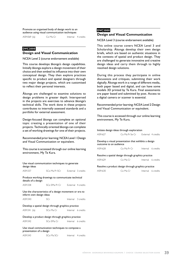Promote an organised body of design work to an audience using visual communication techniques

AS91069 (la) Co Ma Cr Internal 4 credits

### **DVC2000**

#### **Design and Visual Communication**

NCEA Level 2 (course endorsement available)

This course develops äkonga's design capabilities. Initially äkonga explore a design movement of their choice and then embed its influence into their own conceptual design. They then explore practices specific to product and spatial designers through two major design projects, which are customised to reflect their personal interests.

Äkonga are challenged to examine solutions to design problems in greater depth. Interspersed in the projects are exercises to advance äkonga's technical skills. The work done in these projects contributes to internally assessed standards and a portfolio for external assessment.

Design-focused äkonga can complete an optional topic creating a presentation of one of their projects. Technically oriented äkonga can complete a set of working drawings for one of their projects.

Recommended prior learning: NCEA Level 1 Design and Visual Communication or equivalent.

This course is accessed through our online learning environment, My Te Kura.

| Use visual communication techniques to generate<br>design ideas                   |                                  |                    |  |
|-----------------------------------------------------------------------------------|----------------------------------|--------------------|--|
| AS91337                                                                           | SCo Ma Pr SCr External 3 credits |                    |  |
| Produce working drawings to communicate technical<br>details of a design          |                                  |                    |  |
| AS91338                                                                           | SCo SMa Pr Cr External 4 credits |                    |  |
| Use the characteristics of a design movement or era to<br>inform own design ideas |                                  |                    |  |
| AS91340                                                                           | SCr                              | Internal 3 credits |  |
| Develop a spatial design through graphics practice                                |                                  |                    |  |
| AS91341 (la)                                                                      | SCo Ma Cr   Internal 6 credits   |                    |  |
| Develop a product design through graphics practice                                |                                  |                    |  |
| AS91342                                                                           | SCo SMa Cr                       | Internal 6 credits |  |
| Use visual communication techniques to compose a<br>presentation of a design      |                                  |                    |  |

| AS91343 | SCo Ma SCr | Internal 4 credits |
|---------|------------|--------------------|
|         |            |                    |

#### **DVC3000**

#### **Design and Visual Communication**

NCEA Level 3 (course endorsement available)

This online course covers NCEA Level 3 and Scholarship. Äkonga develop their own design briefs, which are based on authentic situations in the contexts of spatial and product design. They are challenged to generate innovative and creative design ideas and carry them through to highly resolved design solutions.

During this process they participate in online discussions and critiques, submitting their work digitally. Äkonga work in a range of different media, both paper based and digital, and can have some models 3D printed by Te Kura. Final assessments are paper based and submitted by post. Access to a digital camera or scanner is essential.

Recommended prior learning: NCEA Level 2 Design and Visual Communication or equivalent.

This course is accessed through our online learning environment, My Te Kura.

#### Initiate design ideas through exploration

| AS91627                                                                        | Co Ma Pr Se Cr |          | External 4 credits |  |
|--------------------------------------------------------------------------------|----------------|----------|--------------------|--|
| Develop a visual presentation that exhibits a design<br>outcome to an audience |                |          |                    |  |
| AS91628                                                                        | Co Ma Pr Cr    |          | Internal 6 credits |  |
| Resolve a spatial design through graphics practice                             |                |          |                    |  |
| AS91629                                                                        | Co Ma Cr       |          | Internal 6 credits |  |
| Resolve a product design through graphics practice                             |                |          |                    |  |
| AS91630                                                                        | Co Ma Cr       | Internal | 6 credits          |  |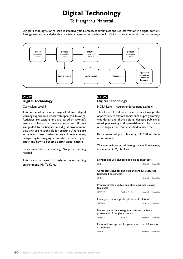# **Digital Technology**

## Te Hangarau Mamatai

Digital Technology äkonga learn to effectively find, create, communicate and use information in a digital context. Äkonga are also provided with an excellent introduction to the world of information communication technology.



## **DT000 Digital Technology**

Curriculum Level 5

This course offers a wide range of different digital learning experiences which will appeal to all äkonga. Activities are exciting and are based on äkonga's interest. There is a creative focus and äkonga are guided to participate in a digital environment that they are responsible for creating. Äkonga are introduced to web design, coding and programming, design, digital imaging, computer science, cyber safety and how to become better digital citizens.

Recommended prior learning: No prior learning needed.

This course is accessed through our online learning environment, My Te Kura.

## **DT1000 Digital Technology**

NCEA Level 1 (course endorsement available)

This Level 1 online course offers äkonga the opportunity to explore topics such as programming, web design and photo editing, desktop publishing, word processing and spreadsheets. The course offers topics that can be studied in any order.

Recommended prior learning: DT000 modules recommended.

This course is accessed through our online learning environment, My Te Kura.

| Develop and use keyboarding skills to enter text                                   |             |                    |
|------------------------------------------------------------------------------------|-------------|--------------------|
| USI01                                                                              |             | Internal 3 credits |
| Consolidate keyboarding skills and produce accurate<br>text based documents        |             |                    |
| <b>US102</b>                                                                       |             | Internal 3 credits |
| Produce simple desktop published documents using<br>templates                      |             |                    |
| US2792                                                                             | Co Ma Pr Cr | Internal 2 credits |
| Investigate use of digital applications for leisure                                |             |                    |
| US5943                                                                             |             | Internal 2 credits |
| Use computer technology to create and deliver a<br>presentation from given content |             |                    |
| US5946                                                                             | Ma Cr       | Internal 3 credits |
| Enter and manage text for generic text and information<br>management               |             |                    |

US12883 Internal 4 credits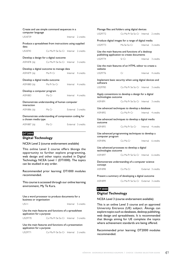| Create and use simple command sequences in a<br>computer language          |                                      |                    |  |
|----------------------------------------------------------------------------|--------------------------------------|--------------------|--|
| <b>US18739</b>                                                             |                                      | Internal 2 credits |  |
| Produce a spreadsheet from instructions using supplied<br>data             |                                      |                    |  |
| US18743                                                                    | Co Ma Pr Se So Cr Internal 2 credits |                    |  |
| Develop a design for a digital outcome                                     |                                      |                    |  |
| AS91878 (la) Co Ma Pr Se So Cr Internal 3 credits                          |                                      |                    |  |
| Develop a digital outcome to manage data                                   |                                      |                    |  |
| AS91879 (la)                                                               | Ma Pr Cr                             | Internal 4 credits |  |
| Develop a digital media outcome                                            |                                      |                    |  |
| AS91880 (la) Ma Pr So Cr                                                   |                                      | Internal 4 credits |  |
| Develop a computer program                                                 |                                      |                    |  |
| AS91883                                                                    | Ma Cr                                | Internal 4 credits |  |
| Demonstrate understanding of human computer<br>interaction                 |                                      |                    |  |
| AS91886 (la)                                                               | Ma Cr                                | External 3 credits |  |
| Demonstrate understanding of compression coding for<br>a chosen media type |                                      |                    |  |
| AS91887 (la)                                                               | Ma Cr                                | External 3 credits |  |

## **DT2000**

## **Digital Technology**

NCEA Level 2 (course endorsement available)

This online Level 2 course offers äkonga the opportunity to further explore programming, web design and other topics studied in Digital Technology NCEA Level 1 (DT1000). The topics can be studied in any order.

Recommended prior learning: DT1000 modules recommended.

This course is accessed through our online learning environment, My Te Kura.

Use a word processor to produce documents for a business or organisation

USIII Internal 5 credits

Use the main features and functions of a spreadsheet application for a purpose

US29770 Co Ma Pr Se So Cr Internal 3 credits

Use the main features and functions of a presentation application for a purpose

US29771 Co Ma Pr Se So Cr Internal 2 credits

| Manage files and folders using digital devices                                                 |                                      |                    |                    |  |
|------------------------------------------------------------------------------------------------|--------------------------------------|--------------------|--------------------|--|
| US29772                                                                                        | Co Ma Pr Se So Cr Internal 2 credits |                    |                    |  |
| Produce digital images for a range of digital media                                            |                                      |                    |                    |  |
| US29773                                                                                        | Ma Se So Cr                          |                    | Internal 3 credits |  |
| Use the main features and functions of a desktop<br>publishing application to create documents |                                      |                    |                    |  |
| US29774                                                                                        | Sr Cr                                |                    | Internal 3 credits |  |
| Use the main features of an HTML editor to create a<br>website                                 |                                      |                    |                    |  |
| US29776                                                                                        | Cr                                   |                    | Internal 4 credits |  |
| Implement basic security when using digital devices and<br>software                            |                                      |                    |                    |  |
| US29783                                                                                        | Co Ma Pr Se So Cr Internal 3 credits |                    |                    |  |
| Apply conventions to develop a design for a digital<br>technologies outcome                    |                                      |                    |                    |  |
| AS91891                                                                                        | Co Ma Pr Se So Cr Internal 3 credits |                    |                    |  |
|                                                                                                |                                      |                    |                    |  |
| Use advanced techniques to develop a database                                                  |                                      |                    |                    |  |
| AS91892                                                                                        | Co Ma Pr Cr                          |                    | Internal 4 credits |  |
| Use advanced techniques to develop a digital media<br>outcome                                  |                                      |                    |                    |  |
| AS91893                                                                                        | Co Ma Pr So Cr                       | Internal 4 credits |                    |  |
| Use advanced programming techniques to develop a<br>computer program                           |                                      |                    |                    |  |
| AS91896                                                                                        | Co Ma Cr                             | Internal 6 credits |                    |  |
| Use advanced processes to develop a digital<br>technologies outcome                            |                                      |                    |                    |  |
| AS91897                                                                                        | Co Ma Pr Se So Cr Internal 6 credits |                    |                    |  |
| Demonstrate understanding of a computer science<br>concept                                     |                                      |                    |                    |  |
| AS91898                                                                                        | Co Ma Cr                             |                    | External 3 credits |  |
| Present a summary of developing a digital outcome                                              |                                      |                    |                    |  |

## **DT3000**

### **Digital Technology**

NCEA Level 3 (course endorsement available)

This is an online Level 3 course and an approved University Entrance (UE) subject. Äkonga can explore topics such as databases, desktop publishing, web design and spreadsheets. It is recommended that äkonga aiming for UE complete the topics where achievement standards are being offered.

Recommended prior learning: DT2000 modules recommended.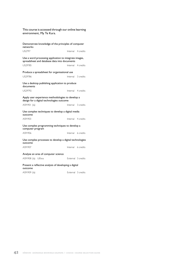This course is accessed through our online learning environment, My Te Kura.

| Demonstrate knowledge of the principles of computer<br>networks                                        |                    |
|--------------------------------------------------------------------------------------------------------|--------------------|
| <b>US2797</b>                                                                                          | Internal 4 credits |
| Use a word processing application to integrate images,<br>spreadsheet and database data into documents |                    |
| US29785                                                                                                | Internal 4 credits |
| Produce a spreadsheet for organisational use                                                           |                    |
| US29786                                                                                                | Internal 3 credits |
| Use a desktop publishing application to produce<br>documents                                           |                    |
| US29792                                                                                                | Internal 4 credits |
| Apply user experience methodologies to develop a<br>design for a digital technologies outcome          |                    |
| AS91901 (la)                                                                                           | Internal 3 credits |
|                                                                                                        |                    |
| Use complex techniques to develop a digital media<br>outcome                                           |                    |
| AS91903                                                                                                | Internal 4 credits |
| Use complex programming techniques to develop a<br>computer program                                    |                    |
| AS91906                                                                                                | Internal 6 credits |
| Use complex processes to develop a digital technologies<br>outcome                                     |                    |
| AS91907                                                                                                | Internal 6 credits |
| Analyse an area of computer science                                                                    |                    |
| AS91908 (la) UElwa                                                                                     | External 3 credits |
| Present a reflective analysis of developing a digital<br>outcome                                       |                    |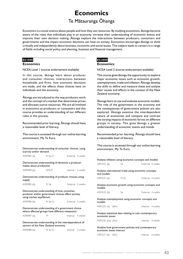# **Economics**

## Te Mätauranga Öhanga

Economics is a social science about people and how they use resources. By studying economics, äkonga become aware of the roles that individuals play in an economy, increase their understanding of economic events and improve their own decision making. Äkonga explore the interactions between producers, consumers and governments and the impact economic decisions can have on society. Economics encourages äkonga to think critically and independently about business, economic and social issues. This subject leads to careers in a range of fields including social policy and planning, business and financial management.

## **EC1000**

#### **Economics**

NCEA Level 1 (course endorsement available)

In this course, äkonga learn about producer and consumer choices, interactions between households and firms, how economic decisions are made, and the effects these choices have on individuals and the economy.

Äkonga are introduced to the way producers work and the concept of a market that determines prices and allocates scarce resources. We are all involved in economics as producers or consumers and this course provides an understanding of our different roles in this process.

Recommended prior learning: Äkonga should have a reasonable level of literacy.

This course is accessed through our online learning environment, My Te Kura.

| Demonstrate understanding of consumer choices, using<br>scarcity and/or demand                                               |          |  |                    |  |  |
|------------------------------------------------------------------------------------------------------------------------------|----------|--|--------------------|--|--|
| AS90983 (la)                                                                                                                 | Pr Se Cr |  | External 4 credits |  |  |
| Demonstrate understanding of decisions a producer<br>makes about production                                                  |          |  |                    |  |  |
| AS90984 (la)                                                                                                                 | SMa Pr   |  | Internal 5 credits |  |  |
| Demonstrate understanding of producer choices using<br>supply                                                                |          |  |                    |  |  |
| AS90985 (la)                                                                                                                 | Pr Se    |  | External 3 credits |  |  |
| Demonstrate understanding of how consumer,<br>producer and/or government choices affect society,<br>using market equilibrium |          |  |                    |  |  |
| AS90986 (la) Pr Se Cr                                                                                                        |          |  | External 5 credits |  |  |
| Demonstrate understanding of a government choice<br>where affected groups have different viewpoints                          |          |  |                    |  |  |
| AS90987 (la)                                                                                                                 | Pr       |  | Internal 4 credits |  |  |
| Demonstrate understanding of the interdependence of<br>sectors of the New Zealand economy                                    |          |  |                    |  |  |
| AS90988 (la)                                                                                                                 | Pr So Cr |  | Internal 3 credits |  |  |

## **EC2000**

## **Economics**

NCEA Level 2 (course endorsement available)

This course gives äkonga the opportunity to explore major economic issues such as economic growth, unemployment, trade and inflation. Äkonga develop the skills to define and measure these and analyse their causes and effects in the context of the New Zealand economy.

Äkonga learn to use and evaluate economic models. The role of the government in the economy and the consequences of government policies are also explored. Äkonga examine the interdependent nature of economies and compare and contrast the varying impacts of economic forces on different groups in society. This gives äkonga a greater understanding of economic events and trends.

Recommended prior learning: Äkonga should have a reasonable level of literacy.

This course is accessed through our online learning environment, My Te Kura.

| Analyse inflation using economic concepts and models |                                                       |                                                     |  |
|------------------------------------------------------|-------------------------------------------------------|-----------------------------------------------------|--|
| AS91222 (la)                                         | Se                                                    | External 4 credits                                  |  |
| and models                                           |                                                       | Analyse international trade using economic concepts |  |
| AS91223 (la)                                         | Pr Se                                                 | External 4 credits                                  |  |
| models                                               |                                                       | Analyse economic growth using economic concepts and |  |
| AS91224 (la)                                         | Se.                                                   | External 4 credits                                  |  |
| models                                               |                                                       | Analyse unemployment using economic concepts and    |  |
| AS91225 (la) UElra                                   |                                                       | Internal 4 credits                                  |  |
|                                                      | Analyse statistical data relating to two contemporary |                                                     |  |
| economic issues                                      |                                                       |                                                     |  |
| AS91226 (Ina) UEna                                   |                                                       | Internal 4 credits                                  |  |
| economic issues interact                             |                                                       | Analyse how government policies and contemporary    |  |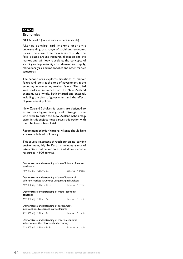## **EC3000**

## **Economics**

NCEA Level 3 (course endorsement available)

Äkonga develop and improve economic understanding of a range of social and economic issues. There are three main areas of study. The first is based around resource allocation and the market and will look closely at the concepts of scarcity and opportunity cost, demand and supply, market analysis, and monopolies and other market structures.

The second area explores situations of market failure and looks at the role of government in the economy in correcting market failure. The third area looks at influences on the New Zealand economy as a whole, both internal and external, including the aims of government and the effects of government policies.

New Zealand Scholarship exams are designed to extend very high-achieving Level 3 äkonga. Those who wish to enter the New Zealand Scholarship exam in this subject must discuss this option with their Te Kura subject kaiako.

Recommended prior learning: Äkonga should have a reasonable level of literacy.

This course is accessed through our online learning environment, My Te Kura. It includes a mix of interactive online modules and downloadable resources in PDF format.

Demonstrate understanding of the efficiency of market equilibrium AS91399 (la) UElwra Se **External** 4 credits Demonstrate understanding of the efficiency of different market structures using marginal analysis AS91400 (la) UElwra Pr Se **External** 4 credits Demonstrate understanding of micro-economic concepts AS91401 (la) UElra Se **Internal** 5 credits Demonstrate understanding of government interventions to correct market failures AS91402 (la) UElra Pr<br>
Internal 5 credits Demonstrate understanding of macro-economic influences on the New Zealand economy AS91403 (la) UElwra Pr Se **External** 6 credits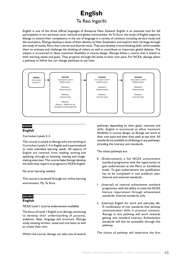# **English** Te Reo Ingarihi

English is one of the three official languages of Aotearoa New Zealand. English is an essential tool for full participation in our personal, local, national and global communities. At Te Kura, the study of English supports äkonga to extend their competency in the use of language in a variety of contexts including tertiary study and the workplace. Äkonga develop a sense of their identity as New Zealanders and explore their heritage through the study of novels, films, short stories and shorter texts. They also develop critical thinking skills, which enables them to evaluate and challenge the thinking of others as well as contribute to important global debates. The subject is structured to allow maximum flexibility in course design. Äkonga follow a course that is linked to their learning needs and goals. They progress through the levels at their own pace. For NCEA, äkonga select a pathway to follow but can change pathways at any time.



#### **EN000 English**

Curriculum Levels 2–5

This course is suited to äkonga who are working at Curriculum Levels 2–5 in English and is personalised to meet individual learning needs. All aspects of English are covered, from reading, writing and speaking, through to listening, viewing and imagemaking exercises. This course helps äkonga develop the skills they require to progress to NCEA English.

No prior learning needed.

This course is accessed through our online learning environment, My Te Kura.

## **EN1000**

## **English**

NCEA Level 1 (course endorsement available)

The focus of Level 1 English is on äkonga continuing to develop their understanding of purpose, audience, ideas, language and structure. Äkonga study existing written, visual and oral texts as well as create their own.

Within the course, äkonga can take one of several

pathways depending on their goals, interests and skills. English is structured to allow maximum flexibility in course design, so äkonga can work at their own pace and alter their path at any time. All standards are available to all äkonga in any pathways, including the Literacy unit standards.

The initial pathways are:

- E (Endorsement) a full NCEA achievement standard programme with the opportunity to gain endorsement at the Merit or Excellence levels. To gain endorsement the qualification has to be completed in one academic year. Internal and external standards.
- I (Internal) an internal achievement standard programme, with the ability to meet the NCEA literacy requirement through achievement standards. Internal standards only.
- L (Literacy) English for work and everyday life. A combination of unit standards that develop communication skills in practical contexts. Äkonga in this pathway will work towards gaining unit standard Literacy. Achievement standards will also be accessible through this pathway.

The choice of pathway will determine the first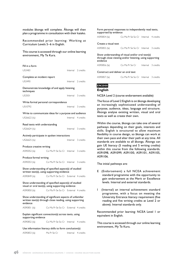modules äkonga will complete. Äkonga will then plan a programme in consultation with their kaiako.

Recommended prior learning: Working at Curriculum Levels 5–6 in English.

This course is accessed through our online learning environment, My Te Kura.

| Fill in a form                                                                                                                 |                                      |                    |
|--------------------------------------------------------------------------------------------------------------------------------|--------------------------------------|--------------------|
| US3483                                                                                                                         |                                      | Internal 2 credits |
| Complete an incident report                                                                                                    |                                      |                    |
| US3490                                                                                                                         |                                      | Internal 2 credits |
| Demonstrate knowledge of and apply listening<br>techniques                                                                     |                                      |                    |
| US3501                                                                                                                         |                                      | Internal 3 credits |
| Write formal personal correspondence                                                                                           |                                      |                    |
| US10792                                                                                                                        |                                      | Internal 3 credits |
| Write to communicate ideas for a purpose and audience                                                                          |                                      |                    |
| US26622 (lu)                                                                                                                   |                                      | Internal 4 credits |
| Read texts with understanding                                                                                                  |                                      |                    |
| US26624 (lu)                                                                                                                   |                                      | Internal 3 credits |
| Actively participate in spoken interactions                                                                                    |                                      |                    |
| US26625 (lu)                                                                                                                   |                                      | Internal 3 credits |
| Produce creative writing                                                                                                       |                                      |                    |
| AS90052 (la)                                                                                                                   | Co Ma Pr Se So Cr Internal 3 credits |                    |
| Produce formal writing                                                                                                         |                                      |                    |
| AS90053 (la)                                                                                                                   | Co Ma Pr Se So Cr Internal 3 credits |                    |
| Show understanding of specified aspect(s) of studied<br>written text(s), using supporting evidence                             |                                      |                    |
| AS90849 (la)                                                                                                                   | Co Ma Pr Se So Cr External 4 credits |                    |
| Show understanding of specified aspect(s) of studied<br>visual or oral text(s), using supporting evidence                      |                                      |                    |
| AS90850 (la)                                                                                                                   | Co Ma Pr Se So Cr External 4 credits |                    |
| Show understanding of significant aspects of unfamiliar<br>written text(s) through close reading, using supporting<br>evidence |                                      |                    |
| AS90851 (la)                                                                                                                   | Co Ma Pr Se So Cr External 4 credits |                    |
| Explain significant connection(s) across texts, using<br>supporting evidence                                                   |                                      |                    |
| AS90852 (la)                                                                                                                   | Co Ma Pr Se So Cr Internal 4 credits |                    |
| Use information literacy skills to form conclusion(s)                                                                          |                                      |                    |

Form personal responses to independently read texts, supported by evidence AS90854 (la) Co Ma Pr Se So Cr Internal 4 credits Create a visual text AS90855 (la) Co Ma Pr Se So Cr Internal 3 credits Show understanding of visual and/or oral text(s) through close viewing and/or listening, using supporting evidence AS90856 (la) Co Ma Pr Se Cr Internal 3 credits Construct and deliver an oral text AS90857 (la) Co Ma Pr Se So Cr Internal 3 credits

## **EN2000**

**English**

NCEA Level 2 (course endorsement available)

The focus of Level 2 English is on äkonga developing an increasingly sophisticated understanding of purpose, audience, ideas, language and structure. Äkonga analyse existing written, visual and oral texts as well as create their own.

Within the course, äkonga can take one of several pathways depending on their goals, interests and skills. English is structured to allow maximum flexibility in course design, so äkonga can work at their own pace and alter their path at any time. All standards are available to all äkonga. Äkonga can gain UE literacy (5 reading and 5 writing credits) within this course from the following standards. AS91098, AS91099, AS91100, AS91101, AS91105, AS91106.

The initial pathways are:

- E (Endorsement) a full NCEA achievement standard programme with the opportunity to gain endorsement at the Merit or Excellence levels. Internal and external standards.
- I (Internal) an internal achievement standard programme, with a focus on meeting the University Entrance literacy requirement (five reading and five writing credits at Level 2 or above). Internal standards only.

Recommended prior learning: NCEA Level 1 or equivalent in English.

This course is accessed through our online learning environment, My Te Kura.

AS90853 (la) Ma Pr Se Cr Internal 4 credits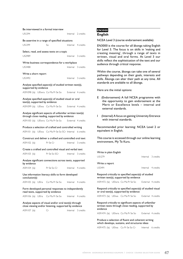| Be interviewed in a formal interview                                                                           |                                 |                    |                    |
|----------------------------------------------------------------------------------------------------------------|---------------------------------|--------------------|--------------------|
| USI294                                                                                                         |                                 |                    | Internal 2 credits |
| Be assertive in a range of specified situations                                                                |                                 |                    |                    |
| <b>USI299</b>                                                                                                  | So                              | Internal 4 credits |                    |
| Select, read, and assess texts on a topic                                                                      |                                 |                    |                    |
| US2989                                                                                                         |                                 | Internal 3 credits |                    |
| Write business correspondence for a workplace                                                                  |                                 |                    |                    |
| <b>US3488</b>                                                                                                  |                                 |                    | Internal 3 credits |
| Write a short report                                                                                           |                                 |                    |                    |
| US3492                                                                                                         |                                 | Internal 3 credits |                    |
| Analyse specified aspect(s) of studied written text(s),<br>supported by evidence                               |                                 |                    |                    |
| AS91098 (la) UEIwra Co Ma Pr Se So External 4 credits                                                          |                                 |                    |                    |
| Analyse specified aspect(s) of studied visual or oral<br>text(s), supported by evidence                        |                                 |                    |                    |
| AS91099 (la) UEIwa Co Ma Pr Se So                                                                              |                                 | External 4 credits |                    |
| Analyse significant aspects of unfamiliar written text(s)<br>through close reading, supported by evidence      |                                 |                    |                    |
| AS91100 (la) UEIwra Co Ma Pr Se So External 4 credits                                                          |                                 |                    |                    |
| Produce a selection of crafted and controlled writing                                                          |                                 |                    |                    |
| AS91101 (la) UEIwa Co Ma Pr Se So SCr Internal 6 credits                                                       |                                 |                    |                    |
| Construct and deliver a crafted and controlled oral text                                                       |                                 |                    |                    |
| AS91102 (la)                                                                                                   | Pr Se Cr                        | Internal 3 credits |                    |
| Create a crafted and controlled visual and verbal text                                                         |                                 |                    |                    |
| AS91103 (la)                                                                                                   | Pr Se So SCr Internal 3 credits |                    |                    |
| Analyse significant connections across texts, supported<br>by evidence                                         |                                 |                    |                    |
| AS91104 (la)                                                                                                   | Pr Se So Cr                     | Internal 4 credits |                    |
| Use information literacy skills to form developed<br>conclusion(s)                                             |                                 |                    |                    |
| AS91105 (la) UEIra Co Ma Pr Se So                                                                              |                                 | Internal 4 credits |                    |
| Form developed personal responses to independently<br>read texts, supported by evidence                        |                                 |                    |                    |
| AS91106 (la) UElra Co Ma Pr Se So Internal 4 credits                                                           |                                 |                    |                    |
| Analyse aspects of visual and/or oral text(s) through<br>close viewing and/or listening, supported by evidence |                                 |                    |                    |
| AS91107 (la)                                                                                                   | Cr                              |                    | Internal 3 credits |

## **EN3000 English**

NCEA Level 3 (course endorsement available)

EN3000 is the course for all äkonga taking English for Level 3. The focus is on skills in 'making and creating meaning', through a range of texts in written, visual and oral forms. At Level 3 our skills reflect the sophistication of the text and our audience through critical response.

Within the course, äkonga can take one of several pathways depending on their goals, interests and skills. Äkonga can alter their path at any time. All standards are available to all äkonga.

Here are the initial options:

- E (Endorsement) A full NCEA programme with the opportunity to gain endorsement at the Merit or Excellence levels – internal and external standards.
- I (Internal) A focus on gaining University Entrance with internal standards.

Recommended prior learning: NCEA Level 2 or equivalent in English.

This course is accessed through our online learning environment, My Te Kura.

| Write in plain English<br>US1279                                                                                         |  | Internal 3 credits |
|--------------------------------------------------------------------------------------------------------------------------|--|--------------------|
| Write a report<br>US3491                                                                                                 |  | Internal 4 credits |
| Respond critically to specified aspect(s) of studied<br>written text(s), supported by evidence                           |  |                    |
| AS91472 (la) UEIwra Co Ma Pr Se So External 4 credits                                                                    |  |                    |
| Respond critically to specified aspect(s) of studied visual<br>or oral text(s), supported by evidence                    |  |                    |
| AS91473 (la) UElwa Co Ma Pr Se So External 4 credits                                                                     |  |                    |
| Respond critically to significant aspects of unfamiliar<br>written texts through close reading, supported by<br>evidence |  |                    |

AS91474 (la) UElwra Co Ma Pr Se So External 4 credits

#### Produce a selection of fluent and coherent writing which develops, sustains, and structures ideas

AS91475 (la) UElwa Co Pr Se So Cr Internal 6 credits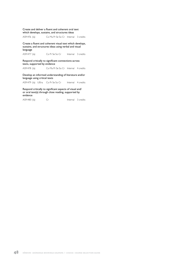#### Create and deliver a fluent and coherent oral text which develops, sustains, and structures ideas

AS91476 (la) Co Ma Pr Se So Cr Internal 3 credits

Create a fluent and coherent visual text which develops, sustains, and structures ideas using verbal and visual language

AS91477 (la) Co Pr Se So Cr Internal 3 credits

Respond critically to significant connections across texts, supported by evidence

AS91478 (la) Co Ma Pr Se So Cr Internal 4 credits

Develop an informed understanding of literature and/or language using critical texts

AS91479 (la) UElra Co Pr Se So Cr Internal 4 credits

Respond critically to significant aspects of visual and/ or oral text(s) through close reading, supported by evidence

AS91480 (la) Cr Internal 3 credits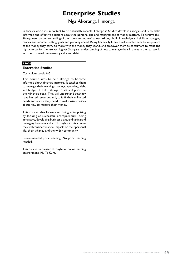# **Enterprise Studies**

## Ngä Akoranga Hinonga

In today's world it's important to be financially capable. Enterprise Studies develops äkonga's ability to make informed and effective decisions about the personal use and management of money matters. To achieve this, äkonga need an understanding of their own and others' values. Äkonga build knowledge and skills in managing money and income, setting goals and planning ahead. Being financially literate will enable them to keep more of the money they earn, do more with the money they spend, and empower them as consumers to make the right choices for themselves. It gives äkonga an understanding of how to manage their finances in the real world in order to avoid unnecessary risks and debt.

## **ES000**

#### **Enterprise Studies**

Curriculum Levels 4–5

This course aims to help äkonga to become informed about financial matters. It teaches them to manage their earnings, savings, spending, debt and budget. It helps äkonga to set and prioritise their financial goals. They will understand that they have limited resources and, to fulfil their unlimited needs and wants, they need to make wise choices about how to manage their money.

This course also focuses on being enterprising by looking at successful entrepreneurs, being innovative, developing business plans, and taking and managing business risks. Throughout this course they will consider financial impacts on their personal life, their whänau and the wider community.

Recommended prior learning: No prior learning needed.

This course is accessed through our online learning environment, My Te Kura.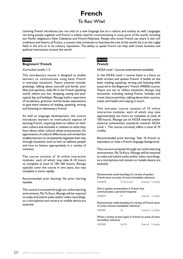# **French** Te Reo Wïwï

Learning French introduces you not only to a new language but to a culture and society as well. Languages can bring people together and French is widely used for communicating in many parts of the world, including our Pacific neighbours New Caledonia and French Polynesia. People who know French can share in the rich traditions and history of France, a country that continues to fascinate the rest of the world, be it on the rugby field, in the arts or in its culinary reputation. The ability to speak French can help with travel, business and political interactions around the world.

### **FR000**

#### **Beginners' French**

#### Curriculum Levels 1–5

This introductory course is designed to enable learners to communicate using basic French in everyday situations. Topics covered include: greetings, talking about yourself and family, your likes and opinions, daily life in the French-speaking world, where you live, shopping, eating and your typical day and holidays. Äkonga build a repertoire of vocabulary, grammar and formulaic expressions to give them mastery of reading, speaking, writing and listening to elementary French.

As well as language development, the course introduces learners to intercultural aspects of learning French, requiring them to reflect on their own culture and attitudes in relation to what they learn about other cultural values and practices. An appreciation of cultural differences and similarities enables learners to competently negotiate their way through situations such as how to address people and how to behave appropriately in a variety of contexts.

The course consists of 16 online interactive modules, each of which may take 8–10 hours to complete (a total of 130–160 hours). Äkonga typically cover the course in two years, but may complete it more rapidly.

Recommended prior learning: No prior learning needed.

This course is accessed through our online learning environment, My Te Kura. Äkonga will be required to make and submit audio and/or video recordings, so a microphone and camera or mobile device are essential.

## **FR1000**

### **French**

NCEA Level 1 (course endorsement available)

In this NCEA Level 1 course there is a focus on both written and spoken French. It builds on the basic reading, speaking, writing and listening skills acquired in the Beginners' French (FR000) course. Topics are set to reflect situations äkonga may encounter, including visiting France, holidays and travel, leisure activities, talking about their country, meals and health and staying in touch.

This one-year course consists of 10 online interactive modules, each of which may take approximately ten hours to complete (a total of 100 hours). Äkonga can sit NCEA internal and/or external achievement standards towards NCEA Level 1. The course currently offers a total of 19 credits.

Recommended prior learning: Year 10 French or equivalent or have a French language background.

This course is accessed through our online learning environment, My Te Kura. Äkonga will be required to make and submit audio and/or video recordings, so a microphone and camera or mobile device are essential.

| Demonstrate understanding of a variety of spoken<br>French texts on areas of most immediate relevance |              |                    |                    |  |
|-------------------------------------------------------------------------------------------------------|--------------|--------------------|--------------------|--|
| AS90878                                                                                               | Pr Se So SCr | External 5 credits |                    |  |
|                                                                                                       |              |                    |                    |  |
| Give a spoken presentation in French that<br>communicates a personal response                         |              |                    |                    |  |
| AS90879                                                                                               | Pr           |                    | Internal 4 credits |  |
| Demonstrate understanding of a variety of French texts<br>on areas of most immediate relevance        |              |                    |                    |  |
| AS90881                                                                                               | Se.          |                    | External 5 credits |  |
|                                                                                                       |              |                    |                    |  |

#### Write a variety of text types in French on areas of most immediate relevance

AS90882 Se SCr<br>
Internal 5 credits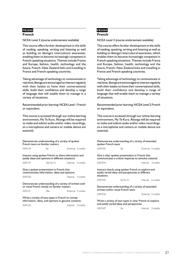## **FR2000**

### **French**

NCEA Level 2 (course endorsement available)

This course offers further development in the skills of reading, speaking, writing and listening as well as building on äkonga's intercultural awareness, enabling them to become increasingly competent in French-speaking situations. Themes include France and Europe, fashion, health, technology and the future, French–New Zealand links and travelling in France and French-speaking countries.

Taking advantage of technology to communicate in real time, äkonga are encouraged to interact regularly with their kaiako to hone their conversational skills, build their confidence and develop a range of language that will enable them to manage in a variety of situations.

Recommended prior learning: NCEA Level 1 French or equivalent.

This course is accessed through our online learning environment, My Te Kura. Äkonga will be required to make and submit audio and/or video recordings, so a microphone and camera or mobile device are essential.

| Demonstrate understanding of a variety of spoken<br>French texts on familiar matters                        |                              |  |                    |  |
|-------------------------------------------------------------------------------------------------------------|------------------------------|--|--------------------|--|
| AS91118                                                                                                     | Se                           |  | External 5 credits |  |
| Interact using spoken French to share information and<br>justify ideas and opinions in different situations |                              |  |                    |  |
| AS91119                                                                                                     | SSe So Cr Internal 5 credits |  |                    |  |
| Give a spoken presentation in French that<br>communicates information, ideas and opinions                   |                              |  |                    |  |
| AS91120                                                                                                     |                              |  | Internal 4 credits |  |
| Demonstrate understanding of a variety of written and/<br>or visual French text(s) on familiar matters      |                              |  |                    |  |
| AS91121                                                                                                     | SSe                          |  | External 5 credits |  |
| Write a variety of text types in French to convey<br>information, ideas, and opinions in genuine contexts   |                              |  |                    |  |
| AS91122                                                                                                     |                              |  | Internal 5 credits |  |

## **FR3000 French**

NCEA Level 3 (course endorsement available)

This course offers further development in the skills of reading, speaking, writing and listening as well as building on äkonga's intercultural awareness, which enables them to become increasingly competent in French-speaking situations. Themes include France and Europe, fashion, health, technology and the future, French–New Zealand links and travelling in France and French-speaking countries.

Taking advantage of technology to communicate in real time, äkonga are encouraged to interact regularly with their kaiako to hone their conversational skills, build their confidence and develop a range of language that will enable them to manage a variety of situations.

Recommended prior learning: NCEA Level 2 French or equivalent.

This course is accessed through our online learning environment, My Te Kura. Äkonga will be required to make and submit audio and/or video recordings, so a microphone and camera or mobile device are essential.

| Demonstrate understanding of a variety of extended<br>spoken French texts                                               |          |                    |  |  |
|-------------------------------------------------------------------------------------------------------------------------|----------|--------------------|--|--|
| AS91543                                                                                                                 | Se       | External 5 credits |  |  |
| Give a clear spoken presentation in French that                                                                         |          |                    |  |  |
| communicates a critical response to stimulus material                                                                   |          |                    |  |  |
| AS91544                                                                                                                 |          | Internal 3 credits |  |  |
| Interact clearly using spoken French to explore and<br>justify varied ideas and perspectives in different<br>situations |          |                    |  |  |
| AS91545                                                                                                                 | Se So Cr | Internal 6 credits |  |  |
| Demonstrate understanding of a variety of extended<br>written and/or visual French texts                                |          |                    |  |  |
| AS91546                                                                                                                 |          | External 5 credits |  |  |
| Write a variety of text types in clear French to explore<br>and justify varied ideas and perspectives                   |          |                    |  |  |
| AS91547                                                                                                                 | Se.      | Internal 5 credits |  |  |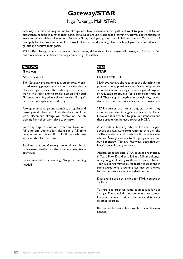# **Gateway/STAR**

## Ngä Pokenga Mahi/STAR

Gateway is a tailored programme for äkonga who have a chosen career path and want to gain the skills and experience needed to further their goals. Structured around work-based learning, Gateway allows äkonga to learn and work while still at school. Full-time äkonga and young adults in a full-time course in Years 11 to 13 can apply for Gateway and complete a work placement and learning plan, which will give them confidence to go out and achieve their goals.

STAR offers äkonga access to short tertiary courses, either to explore an area of interest, e.g. Barista, or find out more about a particular tertiary course, e.g. Hospitality.

#### **GATEWAY**

#### **Gateway**

NCEA Levels 1–3

The Gateway programme is a structured, workbased learning programme in a vocational pathway of an äkonga's choice. The Gateway co-ordinator works with each äkonga to develop an individual Gateway learning plan related to the äkonga's particular workplace and industry.

Äkonga must arrange and complete a regular and ongoing work placement. Over the duration of the work placement, äkonga will receive on-the-job training from their workplace supervisor.

Gateway applications are welcome from our full-time and young adult äkonga in a full time programme and Years 11 to 13 äkonga who are work ready. Places are limited.

Read more about Gateway [www.tekura.school.](https://www.tekura.school.nz/learn-with-us/learn-with-us/secondary-tertiary-pathways) [nz/learn-with-us/learn-with-us/secondary-tertiary](https://www.tekura.school.nz/learn-with-us/learn-with-us/secondary-tertiary-pathways)[pathways](https://www.tekura.school.nz/learn-with-us/learn-with-us/secondary-tertiary-pathways)/

Recommended prior learning: No prior learning needed.

### **STAR STAR**

#### NCEA Levels 1–3

STAR courses are short courses at polytechnics or private training providers specifically designed for secondary school äkonga. Courses give äkonga an introduction to training for a particular trade or skill. They range in length from a single day, several days in a row or one day a week for up to two terms.

STAR courses are not a subject, rather they complement the äkonga's studies at Te Kura. However, it is possible to gain unit standards and these credits can be used towards NCEA.

A secondary–tertiary advisor for each region advertises available programmes through the Te Kura website or through the äkonga's learning advisor. Äkonga can link to the programmes, and our Secondary Tertiary Pathways page through My Korowai, Leaving to Learn.

Äkonga accepted onto STAR courses are typically in Years 11 to 13 and enrolled as a full time äkonga, or a young adult studying three or more subjects. Year 10 äkonga may apply for taster courses and in some exceptional circumstances may be referred by their kaiako for a unit standard course.

Dual äkonga are not eligible for STAR courses at Te Kura.

Te Kura also arranges some courses just for our äkonga. These include outdoor education camps, Learner Licence, first aid courses and tertiary distance courses.

Recommended prior learning: No prior learning needed.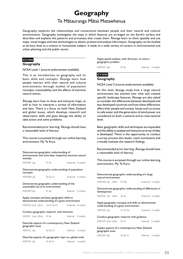# **Geography**

## Te Mätauranga Mätai Matawhenua

Geography explores the relationships and connections between people and their natural and cultural environments. Geography investigates the ways in which features are arranged on the Earth's surface and describes and explains the patterns and processes that create them. Äkonga learn to think spatially and use maps, visual images and new technologies to obtain, present and analyse information. Geography can be studied at tertiary level as a science or humanities subject. It leads to a wide variety of careers in environmantal and urban planning and the public sector.

## **GY1000**

#### **Geography**

#### NCEA Level 1 (course endorsement available)

This is an introduction to geography and its basic skills and concepts. Äkonga learn how people interact with their natural and cultural environments through studies of population concepts, sustainability and the effects of extreme natural events.

Äkonga learn how to draw and interpret maps, as well as how to interpret a variety of information and data. There is a focus on both New Zealand and global issues, which develops research and observation skills and gives äkonga the ability to take action and solve problems.

Recommended prior learning: Äkonga should have a reasonable level of literacy.

This course is accessed through our online learning environment, My Te Kura.

| Demonstrate geographic understanding of<br>environments that have been shaped by extreme natural<br>event(s) |          |                    |  |
|--------------------------------------------------------------------------------------------------------------|----------|--------------------|--|
| AS91007 (la)                                                                                                 | Pr Se    | External 4 credits |  |
| Demonstrate geographic understanding of population<br>concepts                                               |          |                    |  |
| AS91008 (la)                                                                                                 | Se So Cr | External 4 credits |  |
| Demonstrate geographic understanding of the<br>sustainable use of an environment                             |          |                    |  |
| AS91009 (la)                                                                                                 | Pr Se    | Internal 3 credits |  |
|                                                                                                              |          |                    |  |
| Apply concepts and basic geographic skills to<br>demonstrate understanding of a given environment            |          |                    |  |
| AS91010 (na) UEna Co Pr Se Cr External 4 credits                                                             |          |                    |  |
| Conduct geographic research, with direction                                                                  |          |                    |  |
| AS91011 (Ina) UEna Pr Se                                                                                     |          | Internal 4 credits |  |
| Describe aspects of a contemporary New Zealand<br>geographic issue                                           |          |                    |  |
| AS91012 (la) Se So Cr                                                                                        |          | Internal 3 credits |  |

AS91013 (la) Pr Se Cr Internal 3 credits

Apply spatial analysis, with direction, to solve a geographic problem

AS91014 (la) Pr Se Internal 3 credits

## **GY2000**

## **Geography**

NCEA Level 2 (course endorsement available)

At this level, äkonga study how a large natural environment has evolved over time and created specific landscape features. Äkonga are also asked to consider the differences between developed and less developed countries and how these differences affect their people and society. Issues such as access to safe water and the generation of wind power are considered on both a national and an international level.

Basic geographic skills and techniques are expanded and the ability to analyse and interpret an array of data is developed. There is the opportunity to conduct a survey, process the results, reach conclusions and critically evaluate the research findings.

Recommended prior learning: Äkonga should have a reasonable level of literacy.

This course is accessed through our online learning environment, My Te Kura.

| Demonstrate geographic understanding of a large<br>natural environment |  |                                                                                            |                    |  |
|------------------------------------------------------------------------|--|--------------------------------------------------------------------------------------------|--------------------|--|
| AS91240 (la) UElra Pr SSe                                              |  |                                                                                            | External 4 credits |  |
| development                                                            |  | Demonstrate geographic understanding of differences in                                     |                    |  |
| AS91242 (la) UElra Se So                                               |  |                                                                                            | External 4 credits |  |
|                                                                        |  | Apply geography concepts and skills to demonstrate<br>understanding of a given environment |                    |  |
| AS91243 (la) Co Pr Se                                                  |  |                                                                                            | External 4 credits |  |
|                                                                        |  | Conduct geographic research with guidance                                                  |                    |  |
| AS91244 (Ina) UEna Se Cr                                               |  |                                                                                            | Internal 5 credits |  |
| Explain aspects of a contemporary New Zealand<br>geographic issue      |  |                                                                                            |                    |  |
| AS91245 (la) Se So Cr                                                  |  |                                                                                            | Internal 3 credits |  |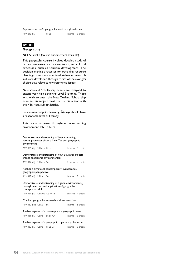#### Explain aspects of a geographic topic at a global scale

## **GY3000**

## **Geography**

#### NCEA Level 3 (course endorsement available)

This geography course involves detailed study of natural processes, such as volcanism, and cultural processes, such as tourism development. The decision-making processes for obtaining resource planning consent are examined. Advanced research skills are developed through topics of the äkonga's choice that relate to environmental issues.

New Zealand Scholarship exams are designed to extend very high-achieving Level 3 äkonga. Those who wish to enter the New Zealand Scholarship exam in this subject must discuss this option with their Te Kura subject kaiako.

Recommended prior learning: Äkonga should have a reasonable level of literacy.

This course is accessed through our online learning environment, My Te Kura.

| Demonstrate understanding of how interacting<br>natural processes shape a New Zealand geographic<br>environment               |  |  |                                                                                         |                    |                    |
|-------------------------------------------------------------------------------------------------------------------------------|--|--|-----------------------------------------------------------------------------------------|--------------------|--------------------|
| AS91426 (la) UElwra Pr Se                                                                                                     |  |  |                                                                                         | External 4 credits |                    |
|                                                                                                                               |  |  | Demonstrate understanding of how a cultural process<br>shapes geographic environment(s) |                    |                    |
| AS91427 (la) UEIwra Se                                                                                                        |  |  |                                                                                         |                    | External 4 credits |
| Analyse a significant contemporary event from a<br>geographic perspective                                                     |  |  |                                                                                         |                    |                    |
| AS91428 (la) UElra Se                                                                                                         |  |  |                                                                                         | Internal 3 credits |                    |
| Demonstrate understanding of a given environment(s)<br>through selection and application of geographic<br>concepts and skills |  |  |                                                                                         |                    |                    |
|                                                                                                                               |  |  |                                                                                         |                    |                    |
|                                                                                                                               |  |  | AS91429 (la) UEIwra Co Pr Se                                                            |                    | External 4 credits |
|                                                                                                                               |  |  | Conduct geographic research with consultation                                           |                    |                    |
| AS91430 (lna) UEna Se                                                                                                         |  |  |                                                                                         | Internal 5 credits |                    |
|                                                                                                                               |  |  | Analyse aspects of a contemporary geographic issue                                      |                    |                    |
|                                                                                                                               |  |  | AS91431 (la) UEIra Se So Cr                                                             | Internal 3 credits |                    |
|                                                                                                                               |  |  | Analyse aspects of a geographic topic at a global scale                                 |                    |                    |

| AS91432 (la) UEIra Pr Se Cr |  |  |  | Internal 3 credits |
|-----------------------------|--|--|--|--------------------|
|-----------------------------|--|--|--|--------------------|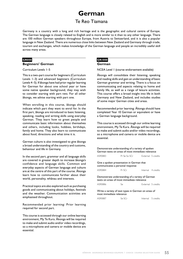# **German**

## Te Reo Tiamana

Germany is a country with a long and rich heritage and is the geographic and cultural centre of Europe. The German language is closely related to English and is more similar to it than to any other language. There are 100 million German speakers throughout Europe, from Austria to Switzerland, and it is also a popular language in New Zealand. There are numerous close links between New Zealand and Germany through trade, tourism and exchanges, which makes knowledge of the German language and people an incredibly useful skill across many areas.

### **GR000**

#### **Beginners' German**

#### Curriculum Levels 1–5

This is a two-part course for beginners (Curriculum Levels 1–3) and advanced beginners (Curriculum Levels 4–5). If äkonga have had prior regular learning for German for about one school year or have some native speaker background, they may wish to consider starting with part two. For all other äkonga, we advise starting with part one.

When enrolling in this course, äkonga should indicate which part they want to enrol for. In the first part, äkonga are introduced to basic listening, speaking, reading and writing skills using everyday German. They learn how to greet people and communicate basic information about themselves and others, including looks, hobbies, birthdays, family and home. They also learn to communicate about food, directions and what time it is.

German culture is also investigated to give äkonga a broad understanding of the country and customs, behaviour and life in Germany.

In the second part, grammar and all language skills are covered in greater depth to increase äkonga's confidence and language skills. Common and everyday aspects of German language and culture are at the centre of this part of the course. Äkonga learn how to communicate further about their world, personality, whänau and interests.

Practical topics are also explored such as purchasing goods and communicating about holidays, festivals and the weather. Communication activities are emphasised throughout.

Recommended prior learning: Prior learning required for second part.

This course is accessed through our online learning environment, My Te Kura. Äkonga will be required to make and submit audio and/or video recordings, so a microphone and camera or mobile device are essential.

## **GR1000**

#### **German**

NCEA Level 1 (course endorsement available)

Äkonga will consolidate their listening, speaking and reading skills and gain an understanding of basic German grammar and writing. There is a focus on communicating and aspects relating to home and family life, as well as a range of leisure activities. This course offers a broad insight into life in both Germany and New Zealand, and includes studies of some major German cities and areas.

Recommended prior learning: Äkonga should have completed Year 10 German or equivalent or have a German language background.

This course is accessed through our online learning environment, My Te Kura. Äkonga will be required to make and submit audio and/or video recordings, so a microphone and camera or mobile device are essential.

Demonstrate understanding of a variety of spoken German texts on areas of most immediate relevance

| AS90883                                                                                        | Pr Se So SCr |  | External 5 credits |  |  |
|------------------------------------------------------------------------------------------------|--------------|--|--------------------|--|--|
| Give a spoken presentation in German that<br>communicates a personal response                  |              |  |                    |  |  |
| AS90884                                                                                        | Pr SCr       |  | Internal 4 credits |  |  |
| Demonstrate understanding of a variety of German<br>texts on areas of most immediate relevance |              |  |                    |  |  |
| AS90886                                                                                        | Se.          |  | External 5 credits |  |  |
| Write a variety of text types in German on areas of                                            |              |  |                    |  |  |

Write a variety of text types in German on areas of most immediate relevance

AS90887 Se SCr<br>
Internal 5 credits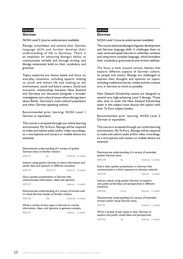### **GR2000**

#### **German**

NCEA Level 2 (course endorsement available)

Äkonga consolidate and extend their German language skills and further develop their understanding of life in Germany. There is an emphasis on advancing äkonga's ability to communicate verbally and through writing, and äkonga extensively build on their vocabulary and grammar.

Topics explored are theme based and focus on everyday situations, including aspects relating to social and school life and looking at the environment, youth and future careers. Social and economic relationships between New Zealand and Germany are discussed alongside a broader investigation into cultural issues where äkonga learn about Berlin, Germany's multi-cultural population and other German-speaking nations.

Recommended prior learning: NCEA Level 1 German or equivalent.

This course is accessed through our online learning environment, My Te Kura. Äkonga will be required to make and submit audio and/or video recordings, so a microphone and camera or mobile device are essential.

|         | Demonstrate understanding of a variety of spoken                                                          |                    |    |
|---------|-----------------------------------------------------------------------------------------------------------|--------------------|----|
|         | German texts on familiar matters                                                                          |                    | D  |
| AS91123 | Se.                                                                                                       | External 5 credits | s  |
|         |                                                                                                           |                    | Α  |
|         | Interact using spoken German to share information and                                                     |                    |    |
|         | justify ideas and opinions in different situations                                                        |                    | G  |
| AS91124 | SSe So Cr                                                                                                 | Internal 5 credits | C) |
|         |                                                                                                           |                    | Α  |
|         | Give a spoken presentation in German that                                                                 |                    |    |
|         | communicates information, ideas and opinions                                                              |                    | Ir |
| AS91125 |                                                                                                           | Internal 4 credits | a  |
|         |                                                                                                           |                    | si |
|         | Demonstrate understanding of a variety of written and/<br>or visual German text(s) on familiar matters    |                    | Α  |
| AS91126 | <b>SSe</b>                                                                                                | External 5 credits | D  |
|         |                                                                                                           |                    | W  |
|         | Write a variety of text types in German to convey<br>information, ideas, and opinions in genuine contexts |                    | Α  |
| AS91127 |                                                                                                           | Internal 5 credits | ٧  |
|         |                                                                                                           |                    | e: |

## **GR3000 German**

NCEA Level 3 (course endorsement available)

This course advances äkonga's linguistic development and German language skills. It challenges them to read, write and speak German in unfamiliar contexts and using more complex language, which broadens their vocabulary, grammatical and written abilities.

The focus is built around various themes that explore different aspects of German culture, its people and events. Äkonga are challenged to express their thoughts and opinions on topics, including traditional stories, media and the creative arts, in German as much as possible.

New Zealand Scholarship exams are designed to extend very high-achieving Level 3 äkonga. Those who wish to enter the New Zealand Scholarship exam in this subject must discuss this option with their Te Kura subject kaiako.

Recommended prior learning: NCEA Level 2 German or equivalent.

This course is accessed through our online learning environment, My Te Kura. Äkonga will be required to make and submit audio and/or video recordings, so a microphone and camera or mobile device are essential.

| Demonstrate understanding of a variety of extended<br>spoken German texts                                               |         |  |                    |  |  |
|-------------------------------------------------------------------------------------------------------------------------|---------|--|--------------------|--|--|
| AS91548                                                                                                                 | Se.     |  | External 5 credits |  |  |
| Give a clear spoken presentation in German that<br>communicates a critical response to stimulus material                |         |  |                    |  |  |
| AS91549                                                                                                                 |         |  | Internal 3 credits |  |  |
| Interact clearly using spoken German to explore<br>and justify varied ideas and perspectives in different<br>situations |         |  |                    |  |  |
| AS91550                                                                                                                 | $Se$ So |  | Internal 6 credits |  |  |
| Demonstrate understanding of a variety of extended<br>written and/or visual German texts                                |         |  |                    |  |  |
| AS91551                                                                                                                 |         |  | External 5 credits |  |  |
| Write a variety of text types in clear German to<br>explore and justify varied ideas and perspectives                   |         |  |                    |  |  |
| AS91552                                                                                                                 | Se      |  | Internal 5 credits |  |  |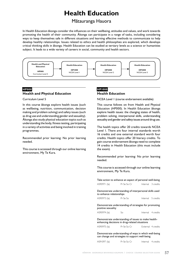# **Health Education**

## Mätauranga Hauora

In Health Education äkonga consider the influences on their wellbeing, attitudes and values, and work towards promoting the health of their community. Äkonga can participate in a range of tasks, including considering ways to keep themselves safe in different situations and learning effective methods to communicate to help develop healthy relationships. Issues related to ethics and health philosophies are explored, which develops critical thinking skills in äkonga. Health Education can be studied at tertiary levels as a science or humanities subject. It leads to a wide variety of careers in social, community and health sectors.



## **HP000 Health and Physical Education**

Curriculum Level 5

In this course äkonga explore health issues (such as wellbeing, nutrition, communication, decision making and problem solving) and safety issues (such as drug use and understanding gender and sexuality). Äkonga also study physical education topics such as understanding the body, fitness testing, participating in a variety of activities and being involved in training programmes.

Recommended prior learning: No prior learning needed.

This course is accessed through our online learning environment, My Te Kura.

## **HP1000 Health Education**

NCEA Level 1 (course endorsement available)

This course follows on from Health and Physical Education (HP000). In Health Education äkonga explore health issues: the changing states of health, problem solving, interpersonal skills, understanding sexuality and gender and safety issues around drug use.

The health topics offer 20 credits towards NCEA Level 1. There are four internal standards worth 16 credits and one external standard worth four credits. Health topics offer 20 literacy credits. To gain course endorsement äkonga need to complete 14 credits in Health Education (this must include the exam).

Recommended prior learning: No prior learning needed.

This course is accessed through our online learning environment, My Te Kura.

| Take action to enhance an aspect of personal well-being |                                                        |  |                    |  |  |
|---------------------------------------------------------|--------------------------------------------------------|--|--------------------|--|--|
| AS90971 (la)                                            | Pr Se So Cr                                            |  | Internal 3 credits |  |  |
| to enhance relationships                                | Demonstrate understanding of interpersonal skills used |  |                    |  |  |
| AS90973 (la)                                            | Pr Se So                                               |  | Internal 5 credits |  |  |
| positive sexuality                                      | Demonstrate understanding of strategies for promoting  |  |                    |  |  |
| AS90974 (la)                                            | So                                                     |  | Internal 4 credits |  |  |

Demonstrate understanding of issues to make healthenhancing decisions in drug-related situations

AS90975 (la) Pr Se So Cr External 4 credits

Demonstrate understanding of ways in which well-being can change and strategies to support well-being

AS91097 (la) Pr Se So Cr Internal 4 credits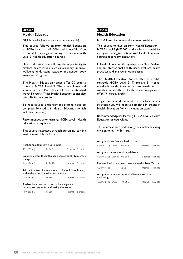#### **HP2000**

#### **Health Education**

NCEA Level 2 (course endorsement available)

This course follows on from Health Education – NCEA Level 1 (HP1000) and is useful, often essential for äkonga intending to continue with Level 3 Health Education courses.

Health Education offers äkonga the opportunity to explore health issues, such as resiliency, improve wellbeing, understand sexuality and gender, body image and drug use.

The Health Education topics offer 20 credits towards NCEA Level 2. There are 3 internal standards worth 15 credits and 1 external standard worth 5 credits. These Health Education topics also offer 20 literacy credits.

To gain course endorsement äkonga need to complete 14 credits in Health Education (which includes the exam).

Recommended prior learning: NCEA Level 1 Health Education or equivalent.

This course is accessed through our online learning environment, My Te Kura.

| Analyse an adolescent health issue                                                              |           |  |                    |  |  |  |
|-------------------------------------------------------------------------------------------------|-----------|--|--------------------|--|--|--|
| AS91235 (la)                                                                                    | Pr Se So  |  | External 5 credits |  |  |  |
| Evaluate factors that influence people's ability to manage<br>change                            |           |  |                    |  |  |  |
| AS91236 (la)                                                                                    | Pr Se SSo |  | Internal 5 credits |  |  |  |
| Take action to enhance an aspect of people's well-being<br>within the school or wider community |           |  |                    |  |  |  |
| AS91237 (la)                                                                                    | Se Sso    |  | Internal 5 credits |  |  |  |

Analyse issues related to sexuality and gender to develop strategies for addressing the issues

AS91239 (la) Pr SSo Internal 5 credits

## **HP3000**

#### **Health Education**

NCEA Level 3 (course endorsement available)

This course follows on from Health Education – NCEA Level 2 (HP2000) and is often essential for äkonga intending to continue with Health Education courses at tertiary institutions.

In Health Education äkonga explore a New Zealand and an international health issue, evaluate health practices and analyse an ethical issue.

The Health Education topics offer 19 credits towards NCEA Level 3. There are 3 internal standards worth 14 credits and 1 external standard worth 5 credits. These Health Education topics also offer 19 literacy credits.

To gain course endorsement or entry to a tertiary institution you will need to complete 14 credits in Health Education (which includes an exam).

Recommended prior learning: NCEA Level 2 Health Education or equivalent.

This course is accessed through our online learning environment, My Te Kura.

#### Analyse a New Zealand health issue

|                              |  | AS91461 (la) UEIra Pr Se So                             | Internal 5 credits |                    |
|------------------------------|--|---------------------------------------------------------|--------------------|--------------------|
|                              |  | Analyse an international health issue                   |                    |                    |
| AS91462 (la) UEIwra Pr Se So |  |                                                         | External 5 credits |                    |
|                              |  | Evaluate health practices currently used in New Zealand |                    |                    |
| AS91463 (la)                 |  | Se So                                                   |                    | Internal 5 credits |

Analyse a contemporary ethical issue in relation to well-being

AS91464 (la) UElra Pr Se So Internal 4 credits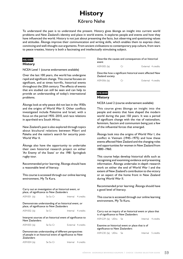# **History** Körero Nehe

To understand the past is to understand the present. History gives äkonga an insight into current world problems and New Zealand's identity and place in world events. It explores people and events and how they have influenced the world. History is not just about presenting the facts, but observing and questioning values and attitudes. Äkonga improve their communication and writing skills, which enables them to express clear, convincing and well-thought-out arguments. From ancient civilisations to contemporary pop culture, from wars to peace treaties, history is both a fascinating and intellectually stimulating subject.

## **HS1000**

#### **History**

NCEA Level 1 (course endorsement available)

Over the last 100 years, the world has undergone rapid and significant change. This course focuses on significant, and at times horrific, historical events throughout the 20th century. The effects of events that are studied can still be seen and can help to provide an understanding of today's international problems.

Äkonga look at why peace did not last in the 1930s and the origins of World War II. Other conflicts investigated include Palestine and Israel, with a focus on the period 1935–2010, and race relations in apartheid-era South Africa.

New Zealand's past is also explored through topics about bicultural relations between Mäori and Pakeha and the nation's search for security post-World War II.

Äkonga also have the opportunity to undertake their own historical research project on either 'An Enemy of the State' or the 1981 Springbok rugby tour.

Recommended prior learning: Äkonga should have a reasonable level of literacy.

This course is accessed through our online learning environment, My Te Kura.

Carry out an investigation of an historical event, or place, of significance to New Zealanders

AS91001 (la) Se So Cr 
Internal 4 credits

Demonstrate understanding of an historical event, or place, of significance to New Zealanders

AS91002 (la) Se Cr Internal 4 credits

Interpret sources of an historical event of significance to New Zealanders

AS91003 (la) Se So Cr<br>
External 4 credits

Demonstrate understanding of different perspectives of people in an historical event of significance to New Zealanders

| AS91004 (la) | Se So Cr |  | Internal 4 credits |
|--------------|----------|--|--------------------|
|--------------|----------|--|--------------------|

Describe the causes and consequences of an historical event

AS91005 (la) Cr External 4 credits

Describe how a significant historical event affected New Zealand society

AS91006 (la) Cr External 4 credits

## **HS2000 History**

NCEA Level 2 (course endorsement available)

This course gives äkonga an insight into the people and events that have shaped the modern world during the past 150 years. It was a period of significant change with the rise of nationalism, feminism, fascism and communism being just a few of the influential forces that emerged.

Äkonga look into the origins of World War I, the conflict in Vietnam (1945–1975) and how these events affected New Zealand and the changing roles and opportunities for women in New Zealand from 1880–1960.

This course helps develop historical skills such as recognising and examining evidence and presenting information. Äkonga undertake in-depth research work on either the end of World War I and the extent of New Zealand's contribution to the victory or an aspect of the home front in New Zealand during World War II.

Recommended prior learning: Äkonga should have a good level of literacy.

This course is accessed through our online learning environment, My Te Kura.

Carry out an inquiry of an historical event or place that is of significance to New Zealanders AS91229 (la) UElra Se **Internal** 4 credits

Examine an historical event or place that is of significance to New Zealanders

AS91230 (la) UElra Se Internal 5 credits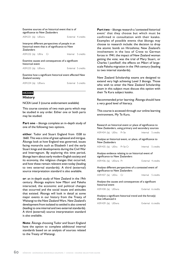| significance to New Zealanders                                                                                           |  | Examine sources of an historical event that is of       |  |                    |  |
|--------------------------------------------------------------------------------------------------------------------------|--|---------------------------------------------------------|--|--------------------|--|
| AS91231 (la) UElwra                                                                                                      |  |                                                         |  | External 4 credits |  |
| Interpret different perspectives of people in an<br>historical event that is of significance to New<br><b>Zealanders</b> |  |                                                         |  |                    |  |
| AS91232 (la) UElra Cr                                                                                                    |  |                                                         |  | Internal 5 credits |  |
| historical event                                                                                                         |  | Examine causes and consequences of a significant        |  |                    |  |
| AS91233 (la) UElwra                                                                                                      |  |                                                         |  | External 5 credits |  |
| Zealand society                                                                                                          |  | Examine how a significant historical event affected New |  |                    |  |
| AS91234 (la) UElwra                                                                                                      |  |                                                         |  | External 5 credits |  |

## **HS3000**

#### **History**

NCEA Level 3 (course endorsement available)

This course consists of two main parts which may be studied in any order. Either one or both parts may be studied.

**Part one** – äkonga complete an in-depth study of one of the following two options.

**either**: Tudor and Stuart England from 1558 to 1660. This was a time of great upheaval and intrigue. Äkonga look at how England was governed, issues facing monarchs such as Elizabeth I and the early Stuart kings and developments during the Civil War and Interregnum. By exploring this time period, äkonga learn about early modern English society and its economy, the religious changes that occurred, and how these remain relevent even today (leading to two external standards). A third (external) source interpretation standard is also available.

**or**: an in-depth study of New Zealand in the 19th century. Äkonga explore how Mäori and Pakeha interacted, the economic and political changes that occurred and the social issues and attitudes that existed. Äkonga will look in detail at some major events in our history from the Treaty of Waitangi to the New Zealand Wars. New Zealand's development from isolated to settled is also covered (leading to one internal and two external standards). A third (external) source interpretation standard is also available.

**Note**: Äkonga choosing Tudor and Stuart England have the option to complete additional internal standards based on an analysis of sources related to the Treaty of Waitangi.

**Part two** – äkonga research a 'contested historical event' that they choose but which must be confirmed in consultation with their kaiako. Examples of possible events that äkonga may choose to research include: the decision to drop the atomic bomb on Hiroshima; New Zealand's involvement in the loss of Crete to German forces in 1941; the impact of New Zealand woman getting the vote; was the trial of Mary Stuart, or Charles I justified?; the effects on Mäori of largescale Pakeha migration in the 19th century (leading to two internal standards).

New Zealand Scholarship exams are designed to extend very high achieving Level 3 äkonga. Those who wish to enter the New Zealand Scholarship exam in this subject must discuss this option with their Te Kura subject kaiako.

Recommended prior learning: Äkonga should have a very good level of literacy.

This course is accessed through our online learning environment, My Te Kura.

Research an historical event or place of significance to New Zealanders, using primary and secondary sources AS91434 (la) UElra Pr Se **Internal** 5 credits Analyse an historical event, or place, of significance to New Zealanders AS91435 (la) UElra Pr Se Cr Internal 5 credits Analyse evidence relating to an historical event of significance to New Zealanders AS91436 (la) UElwra Pr<br>
External 4 credits Analyse different perspectives of a contested event of significance to New Zealanders AS91437 (la) UElra Cr<br>
Internal 5 credits Analyse the causes and consequences of a significant historical event

AS91438 (la) UElwra **External** 6 credits

Analyse a significant historical trend and the force(s) that influenced it

AS91439 (la) UElwra<br>
External 6 credits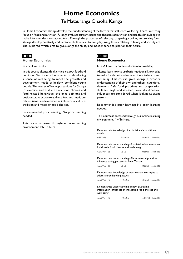# **Home Economics**

## Te Mätauranga Ohaoha Käinga

In Home Economics äkonga develop their understanding of the factors that influence wellbeing. There is a strong focus on food and nutrition. Äkonga evaluate current issues and theories of nutrition and use this knowledge to make informed decisions about food. Through the processes of selecting, preparing, cooking and serving food, äkonga develop creativity and personal skills crucial to everyday living. Issues relating to family and society are also explored, which aims to give äkonga the ability and independence to plan for their future.

#### **HE000**

#### **Home Economics**

#### Curriculum Level 5

In this course äkonga think critically about food and nutrition. Nutrition is fundamental to developing a sense of wellbeing to meet the growth and development needs of healthy, confident young people. The course offers opportunities for äkonga to: examine and evaluate their food choices and food-related behaviour; challenge opinions and positions, take action to address food and nutritionrelated issues and examine the influence of culture, tradition and media on food choices.

Recommended prior learning: No prior learning needed.

This course is accessed through our online learning environment, My Te Kura.

### **HE1000 Home Economics**

NCEA Level 1 (course endorsement available)

Äkonga learn how to use basic nutritional knowledge to make food choices that contribute to health and wellbeing. This course gives äkonga a broader understanding of their own and others' nutritional demands. Safe food practices and preparation skills are taught and assessed. Societal and cultural influences are considered when looking at eating patterns.

Recommended prior learning: No prior learning needed.

This course is accessed through our online learning environment, My Te Kura.

| Demonstrate knowledge of an individual's nutritional<br>needs |          |  |                    |  |
|---------------------------------------------------------------|----------|--|--------------------|--|
| AS90956                                                       | Pr Se So |  | Internal 5 credits |  |

Demonstrate understanding of societal influences on an individual's food choices and well-being

```
AS90957 (la) Se So So Internal 5 credits
```
Demonstrate understanding of how cultural practices influence eating patterns in New Zealand

| AS90958 (la) | Se So |  | Internal 5 credits |
|--------------|-------|--|--------------------|
|--------------|-------|--|--------------------|

#### Demonstrate knowledge of practices and strategies to address food handling issues

| AS90959 (la) | Pr Se So | Internal 5 credits |  |
|--------------|----------|--------------------|--|
|              |          |                    |  |

#### Demonstrate understanding of how packaging information influences an individual's food choices and well-being

AS90961 (la) Pr Se So External 4 credits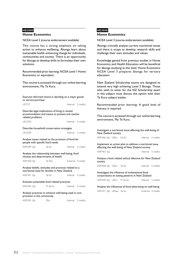#### **HE2000**

#### **Home Economics**

NCEA Level 2 (course endorsement available)

This course has a strong emphasis on taking action to enhance wellbeing. Äkonga learn about sustainable health-enhancing change for individuals, communities and society. There is an opportunity for äkonga to develop skills to formulate their own solutions.

Recommended prior learning: NCEA Level 1 Home Economics or equivalent.

This course is accessed through our online learning environment, My Te Kura.

| Exercise informed choice in deciding on a major goods<br>or service purchase                                          |          |                    |                    |  |
|-----------------------------------------------------------------------------------------------------------------------|----------|--------------------|--------------------|--|
| <b>US7127</b>                                                                                                         |          | Internal 2 credits |                    |  |
| Describe legal implications of living in rented<br>accommodation and means to prevent and resolve<br>related problems |          |                    |                    |  |
| USI2354                                                                                                               |          |                    | Internal 4 credits |  |
| Describe household conservation strategies                                                                            |          |                    |                    |  |
| USI2359                                                                                                               |          |                    | Internal 3 credits |  |
| Analyse issues related to the provision of food for<br>people with specific food needs                                |          |                    |                    |  |
| AS91299 (la)                                                                                                          | Se So    | Internal 5 credits |                    |  |
| Analyse the relationship between well-being, food<br>choices and determinants of health                               |          |                    |                    |  |
| AS91300 (la)                                                                                                          | Se SSo   | External 4 credits |                    |  |
| Analyse beliefs, attitudes and practices related to a<br>nutritional issue for families in New Zealand                |          |                    |                    |  |
| AS91301 (la)                                                                                                          | Se So    | Internal 5 credits |                    |  |
| Evaluate sustainable food related practices                                                                           |          |                    |                    |  |
| AS91302 (la)                                                                                                          | Pr Se So | Internal 5 credits |                    |  |
| Analyse practices to enhance well-being used in care<br>provision in the community                                    |          |                    |                    |  |

| AS91303 (la) | <b>SSo</b> | Internal 5 credits |
|--------------|------------|--------------------|

## **HE3000**

#### **Home Economics**

NCEA Level 3 (course endorsement available)

Äkonga critically analyse current nutritional issues and there is scope to develop research skills and challenge their own attitudes and values.

Knowledge gained from previous studies in Home Economics and Health Education will be beneficial for äkonga studying at this level. Home Economics NCEA Level 3 prepares äkonga for tertiary education.

New Zealand Scholarship exams are designed to extend very high achieving Level 3 äkonga. Those who wish to enter for the NZ Scholarship exam in this subject must discuss the option with their Te Kura subject kaiako.

Recommended prior learning: A good level of literacy is required.

This course is accessed through our online learning environment, My Te Kura.

| New Zealand society      | Investigate a nutritional issue affecting the well-being of                                                |                    |
|--------------------------|------------------------------------------------------------------------------------------------------------|--------------------|
| AS91466 (la) UElra Se So |                                                                                                            | Internal 5 credits |
|                          | Implement an action plan to address a nutritional issue<br>affecting the well-being of New Zealand society |                    |
| AS91467 (la)             |                                                                                                            | Internal 5 credits |
|                          |                                                                                                            |                    |
| society                  | Analyse a food related ethical dilemma for New Zealand                                                     |                    |
| AS91468 (la) UElra Se So |                                                                                                            | Internal 5 credits |
|                          | Investigate the influence of multinational food<br>corporations on eating patterns in New Zealand          |                    |

Analyse the influences of food advertising on well-being AS91471 (la) UElwa Se So **External** 4 credits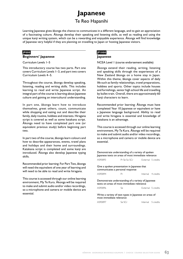# **Japanese** Te Reo Hapanihi

Learning Japanese gives äkonga the chance to communicate in a different language, and to gain an appreciation of a fascinating culture. Äkonga develop their speaking and listening skills, as well as reading and using the unique kanji writing system, which can be a rewarding and enjoyable experience. Äkonga will find knowledge of Japanese very helpful if they are planning on travelling to Japan or hosting Japanese visitors.

## **JP000**

#### **Beginners' Japanese**

Curriculum Levels 1–5

This introductory course has two parts. Part one covers Curriculum Levels 1–3, and part two covers Curriculum Levels 4–5.

Throughout the course, äkonga develop speaking, listening, reading and writing skills. This includes learning to read and write Japanese script. An integral part of the course is learning about Japanese culture and gaining an intercultural understanding.

In part one, äkonga learn how to introduce themselves, greet others, count, communicate while shopping and eating out and describe their family, daily routine, hobbies and interests. Hiragana script is covered as well as some katakana script. Äkonga need to have completed part one (or equivalent previous study) before beginning part two.

In part two of the course, äkonga learn colours and how to describe appearances, events, travel plans and holidays and their home and surroundings. Katakana script is completed and some kanji are introduced. Äkonga also develop Japanese typing skills.

Recommended prior learning: For Part Two, äkonga will need the equivalent of one year of learning and will need to be able to read and write hiragana.

This course is accessed through our online learning environment, My Te Kura. Äkonga will be required to make and submit audio and/or video recordings, so a microphone and camera or mobile device are essential.

## **JP1000**

#### **Japanese**

NCEA Level 1 (course endorsement available)

Äkonga extend their reading, writing, listening and speaking skills through the experiences of a New Zealand äkonga on a home stay in Japan. Within this theme, äkonga cover aspects of daily life such as family relationships, travel preparations, hobbies and sports. Other topics include houses and furnishings, senior high school life and travelling by bullet train. Overall, there are approximately 60 kanji characters to learn.

Recommended prior learning: Äkonga must have completed Year 10 Japanese or equivalent or have a Japanese language background. Ability to read and write hiragana is essential and knowledge of katakana is an advantage.

This course is accessed through our online learning environment, My Te Kura. Äkonga will be required to make and submit audio and/or video recordings, so a microphone and camera or mobile device are essential.

| Demonstrate understanding of a variety of spoken<br>Japanese texts on areas of most immediate relevance |               |  |                    |  |  |
|---------------------------------------------------------------------------------------------------------|---------------|--|--------------------|--|--|
| AS90893                                                                                                 | Pr Se So SCr  |  | External 5 credits |  |  |
| Give a spoken presentation in Japanese that<br>communicates a personal response                         |               |  |                    |  |  |
| AS90894                                                                                                 | Pr            |  | Internal 4 credits |  |  |
| Demonstrate understanding of a variety of Japanese<br>texts on areas of most immediate relevance        |               |  |                    |  |  |
| AS90896                                                                                                 | Se.           |  | External 5 credits |  |  |
| Write a variety of text types in Japanese on areas of<br>most immediate relevance                       |               |  |                    |  |  |
| AS90897                                                                                                 | <u>Se SCr</u> |  | Internal 5 credits |  |  |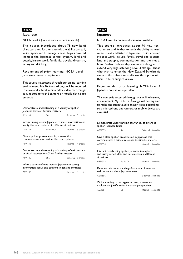#### **JP2000**

#### **Japanese**

NCEA Level 2 (course endorsement available)

This course introduces about 75 new kanji characters and further extends the ability to read, write, speak and listen in Japanese. Topics covered include: the Japanese school system, land and people, leisure, work, family life, travel and tourism, eating and drinking.

Recommended prior learning: NCEA Level 1 Japanese course or equivalent.

This course is accessed through our online learning environment, My Te Kura. Äkonga will be required to make and submit audio and/or video recordings, so a microphone and camera or mobile device are essential.

| Demonstrate understanding of a variety of spoken<br>Japanese texts on familiar matters                        |                                                                                             |                    |  |  |  |
|---------------------------------------------------------------------------------------------------------------|---------------------------------------------------------------------------------------------|--------------------|--|--|--|
| AS91133                                                                                                       | $S_{\mathsf{P}}$                                                                            | External 5 credits |  |  |  |
| Interact using spoken Japanese to share information and<br>justify ideas and opinions in different situations |                                                                                             |                    |  |  |  |
| AS91134                                                                                                       | SSe So Cr Internal 5 credits                                                                |                    |  |  |  |
|                                                                                                               | Give a spoken presentation in Japanese that<br>communicates information, ideas and opinions |                    |  |  |  |
| AS91135                                                                                                       |                                                                                             | Internal 4 credits |  |  |  |
| Demonstrate understanding of a variety of written and/<br>or visual lapanese text(s) on familiar matters      |                                                                                             |                    |  |  |  |
| AS91136                                                                                                       | SSe                                                                                         | External 5 credits |  |  |  |
| Write a variety of text types in Japanese to convey<br>information, ideas, and opinions in genuine contexts   |                                                                                             |                    |  |  |  |
| AS91137                                                                                                       |                                                                                             | Internal 5 credits |  |  |  |

## **JP3000**

#### **Japanese**

NCEA Level 3 (course endorsement available)

This course introduces about 70 new kanji characters and further extends the ability to read, write, speak and listen in Japanese. Topics covered include: work, leisure, family, travel and tourism, land and people, communication and the media. New Zealand Scholarship exams are designed to extend very high achieving Level 3 äkonga. Those who wish to enter the New Zealand Scholarship exam in this subject must discuss this option with their Te Kura subject kaiako.

Recommended prior learning: NCEA Level 2 Japanese course or equivalent.

This course is accessed through our online learning environment, My Te Kura. Äkonga will be required to make and submit audio and/or video recordings, so a microphone and camera or mobile device are essential.

| spoken Japanese texts                                                                                                     | Demonstrate understanding of a variety of extended |  |                    |  |
|---------------------------------------------------------------------------------------------------------------------------|----------------------------------------------------|--|--------------------|--|
| AS91553                                                                                                                   | Se.                                                |  | External 5 credits |  |
| Give a clear spoken presentation in Japanese that<br>communicates a critical response to stimulus material                |                                                    |  |                    |  |
| AS91554                                                                                                                   |                                                    |  | Internal 3 credits |  |
| Interact clearly using spoken Japanese to explore<br>and justify varied ideas and perspectives in different<br>situations |                                                    |  |                    |  |
| AS91555                                                                                                                   | Se So Cr                                           |  | Internal 6 credits |  |
| Demonstrate understanding of a variety of extended<br>written and/or visual Japanese texts                                |                                                    |  |                    |  |
| AS91556                                                                                                                   |                                                    |  | External 5 credits |  |

Write a variety of text types in clear Japanese to explore and justify varied ideas and perspectives AS91557 Se Internal 5 credits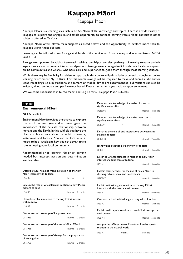# **Kaupapa Mäori**

## Kaupapa Mäori

Kaupapa Mäori is a learning area rich in Te Ao Mäori skills, knowledge and topics. There is a wide variety of kaupapa to explore and engage in, and ample opportunity to connect learning from a Mäori context to other subjects offered at Te Kura.

Kaupapa Mäori offers eleven main subjects as listed below, and the opportunity to explore more than 80 kaupapa within those subjects.

Learning can be tailored to suit äkonga at all levels of the curriculum, from primary and intermediate to NCEA Levels 1–3.

Äkonga are supported by kaiako, kaimanaaki, whänau and häpori to select pathways of learning relevant to their aspirations, career pathway or interests and passions. Äkonga are encouraged to link with their local area experts, online communities and whänau who have skills and experience to guide them through these learning kaupapa.

While there may be flexibility for a blended approach, this course will primarily be accessed through our online learning environment My Te Kura. For this course äkonga will be required to make and submit audio and/or video recordings, so a microphone and camera or mobile device are recommended. Submissions can also be written, video, audio, art and performance based. Please discuss with your kaiako upon enrolment.

We welcome submissions in te reo Mäori and English for all kaupapa Mäori subjects.

| EM9000                                                                                                   |  | Demonstrate knowledge of a native bird and its<br>significance to Maori |                               |                                                                                             |           |                    |
|----------------------------------------------------------------------------------------------------------|--|-------------------------------------------------------------------------|-------------------------------|---------------------------------------------------------------------------------------------|-----------|--------------------|
| <b>Environmental Māori</b>                                                                               |  |                                                                         | US15990                       |                                                                                             |           | Internal 4 credits |
| NCEA Levels 1-3                                                                                          |  |                                                                         |                               |                                                                                             |           |                    |
| Environment Maori provides the chance to explore                                                         |  |                                                                         | significance to Maori         | Demonstrate knowledge of a native insect and its                                            |           |                    |
| the world around you and to investigate the<br>importance of the delicate relationship between           |  |                                                                         | <b>US15991</b>                | Pr                                                                                          |           | Internal 2 credits |
| humans and the Earth. In this subfield you have the<br>chance to learn more about native birds, insects, |  |                                                                         | Mãori in te tajao             | Describe the role of, and interactions between atua                                         |           |                    |
| waterways and forests. You can explore what it<br>means to be a kaitiaki and how you can play an active  |  |                                                                         | US19670                       |                                                                                             |           | Internal 2 credits |
| role in helping your local community.                                                                    |  |                                                                         |                               | Identify and describe a Maori view of te taiao                                              |           |                    |
| Recommended prior learning: No prior learning                                                            |  |                                                                         | US19671                       |                                                                                             |           | Internal 4 credits |
| needed but, interest, passion and determination<br>are desirable.                                        |  |                                                                         |                               | Describe whanaungatanga in relation to how Māori<br>interact and take care of te taiao      |           |                    |
|                                                                                                          |  |                                                                         | <b>US6141</b>                 |                                                                                             |           | Internal 3 credits |
| Describe tapu, noa, and mana in relation to the way<br>Māori interact with te taiao                      |  |                                                                         |                               | Explain tikanga Māori for the use of rākau Māori in<br>clothing, whare, waka and implements |           |                    |
| <b>US6137</b>                                                                                            |  | Internal 3 credits                                                      | <b>US15987</b>                |                                                                                             |           | Internal 3 credits |
| Explain the role of whakataukī in relation to how Māori<br>manage te taiao                               |  |                                                                         |                               | Explain kaitiakitanga in relation to the way Māori<br>interact with the natural environment |           |                    |
| US6138                                                                                                   |  | Internal 2 credits                                                      | US6142                        |                                                                                             |           | Internal 4 credits |
| Describe aroha in relation to the way Māori interact                                                     |  |                                                                         |                               | Carry out a local kaitiakitanga activity with direction                                     |           |                    |
| with te taiao                                                                                            |  |                                                                         | US6143                        |                                                                                             |           | Internal 6 credits |
| US6139                                                                                                   |  | Internal 2 credits                                                      |                               | Explain wahi tapu in relation to how Maori manage the                                       |           |                    |
| Demonstrate knowledge of kai preservation                                                                |  |                                                                         | environment                   |                                                                                             |           |                    |
| USI5983                                                                                                  |  | Internal 2 credits                                                      | <b>US6144</b>                 |                                                                                             |           | Internal 5 credits |
| Demonstrate knowledge of the use of rākau Māori                                                          |  |                                                                         |                               | Analyse the different views Maori and Pakeha have in                                        |           |                    |
| US15985                                                                                                  |  | Internal 3 credits                                                      | relation to the natural world |                                                                                             |           |                    |
| Demonstrate knowledge of tikanga for the preparation<br>of mahinga kai                                   |  |                                                                         | <b>US6147</b>                 | Internal                                                                                    | 4 credits |                    |
| USI5988                                                                                                  |  | Internal 2 credits                                                      |                               |                                                                                             |           |                    |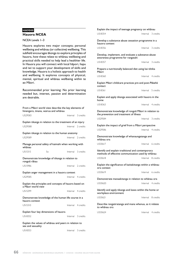## **HA9000 Hauora NCEA**

#### NCEA Levels 1–3

Hauora explores two major concepts; personal wellbeing and whänau (or collective) wellbeing. This subfield encourages äkonga to explore principles of hauora, how these relate to whänau wellbeing and practical skills needed to help lead a healthier life. In Hauora you will connect with local häpori, hapu and iwi to support your development of skills and knowledge. Hauora is a holistic approach to health and wellbeing. It explores concepts of physical, mental, spiritual and whänau wellbeing within te ao Mäori.

Recommended prior learning: No prior learning needed but, interest, passion and determination are desirable.

|                    | From a Māori world view describe the key elements of<br>hinengaro, tinana, wairua and whanau |                    |
|--------------------|----------------------------------------------------------------------------------------------|--------------------|
| US29583            |                                                                                              | Internal 3 credits |
|                    | Explain tikanga in relation to the treatment of an injury                                    |                    |
| US29588            |                                                                                              | Internal 2 credits |
|                    | Explain tikanga in relation to the human anatomy                                             |                    |
| US29589            |                                                                                              | Internal 2 credits |
| whanau             | Manage personal safety of kaimahi when working with                                          |                    |
| US15315            | So                                                                                           | Internal 3 credits |
| rongoā rākau       | Demonstrate knowledge of tikanga in relation to                                              |                    |
| US15986            |                                                                                              | Internal 2 credits |
|                    | Explain anger management in a hauora context                                                 |                    |
| US29585            |                                                                                              | Internal 4 credits |
| a Māori world view | Explain the principles and concepts of hauora based on                                       |                    |
| US15299            |                                                                                              | Internal 4 credits |
| hauora context     | Demonstrate knowledge of the human life course in a                                          |                    |
| <b>USI5310</b>     |                                                                                              | Internal 4 credits |
|                    | Explain four key dimensions of hauora                                                        |                    |
| US18352            |                                                                                              | Internal 3 credits |
| sex and sexuality  | Explain the values of whanau and peers in relation to                                        |                    |
| <b>US18353</b>     |                                                                                              | Internal 3 credits |

Explain the impact of teenage pregnancy on whänau US18354 **Internal** 3 credits Develop a substance abuse cessation programme in a hauora context US18356 Internal 3 credits Develop, implement, and evaluate a substance abuse awareness programme for rangatahi US18357 Internal 3 credits Prepare a nutritionally balanced diet using kai tötika Mäori US18360 Internal 4 credits Explain Mäori childcare practices pre and post-Päkehä contact US18361 **Internal** 5 credits Explain and apply tikanga associated with hauora in the home US18363 Internal 4 credits Demonstrate knowledge of rongoä Mäori in relation to the prevention and treatment of illness US29584 Internal 3 credits Explain the impact of grief from a Mäori perspective US29586 **Internal** 4 credits Demonstrate knowledge of whanaungatanga and whänau ora US30617 **Internal** 6 credits Identify and explain traditional and contemporary methods of effective communication used by whänau US30618 **Internal** 8 credits Explain the significance of kaitiakitanga within a whänau ora context US30619 Internal 6 credits Demonstrate manaakitanga in relation to whänau ora US30620 Internal 4 credits Identify and apply tikanga and kawa within the home or workplace environment US30621 **Internal** 8 credits Describe rangatiratanga and mana whenua, as it relates to whänau ora US30624 Internal 4 credits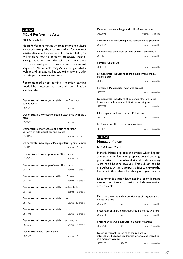## **KH9000 Mäori Performing Arts**

#### NCEA Levels 1–3

Mäori Performing Arts is where identity and culture is shared through the creation and performance of waiata, dance and movement. In this sub field you will explore how to perform möteatea, waiataa-ringa, haka and poi. You will have the chance to create and perform waiata and movement sequences. Mäori Performing Arts investigates haka wahine and tane, as well as exploring how and why certain performances are done.

Recommended prior learning: No prior learning needed but, interest, passion and determination are desirable.

| Demonstrate knowledge and skills of performance<br>components                           |                     |
|-----------------------------------------------------------------------------------------|---------------------|
| US22752                                                                                 | Internal 3 credits  |
| Demonstrate knowledge of people associated with kapa<br>haka                            |                     |
| US22753                                                                                 | Internal 4 credits  |
| Demonstrate knowledge of the origins of Māori<br>performing arts disciplines and events |                     |
| US22754                                                                                 | Internal 4 credits  |
| Demonstrate knowledge of Māori performing arts kākahu                                   |                     |
| US22755                                                                                 | Internal 3 credits  |
| Demonstrate knowledge of new Māori dance                                                |                     |
| US30428                                                                                 | Internal 4 credits  |
| Demonstrate knowledge of new Māori music                                                |                     |
| US31191                                                                                 | Internal 4 credits  |
| Demonstrate knowledge and skills of moteatea                                            |                     |
| US13359                                                                                 | Internal 6 credits  |
| Demonstrate knowledge and skills of waiata a-ringa                                      |                     |
| US13363                                                                                 | Internal 6 credits  |
| Demonstrate knowledge and skills of poi                                                 |                     |
| US13367                                                                                 | Internal 10 credits |
| Demonstrate knowledge and skills of haka                                                |                     |
| <b>USI3371</b>                                                                          | Internal 6 credits  |
| Demonstrate knowledge and skills of whakaraka                                           |                     |
| US15019                                                                                 | Internal 6 credits  |
| Demonstrate new Māori dance                                                             |                     |
| US22759                                                                                 | Internal 6 credits  |

| Demonstrate knowledge and skills of haka wahine                                                                                                                                                                                                                                                                            |     |                     |
|----------------------------------------------------------------------------------------------------------------------------------------------------------------------------------------------------------------------------------------------------------------------------------------------------------------------------|-----|---------------------|
| <b>US27698</b>                                                                                                                                                                                                                                                                                                             |     | Internal 6 credits  |
| Create a Māori Performing Arts sequence for a given brief                                                                                                                                                                                                                                                                  |     |                     |
| US29564                                                                                                                                                                                                                                                                                                                    |     | Internal 6 credits  |
| Demonstrate the essential skills of new Māori music                                                                                                                                                                                                                                                                        |     |                     |
| US31192                                                                                                                                                                                                                                                                                                                    |     | Internal 6 credits  |
| Perform whakaraka                                                                                                                                                                                                                                                                                                          |     |                     |
| US15020                                                                                                                                                                                                                                                                                                                    |     | Internal 6 credits  |
| Demonstrate knowledge of the development of new<br>Māori music                                                                                                                                                                                                                                                             |     |                     |
| US18715                                                                                                                                                                                                                                                                                                                    |     | Internal 6 credits  |
| Perform a Māori performing arts bracket                                                                                                                                                                                                                                                                                    |     |                     |
| <b>US22756</b>                                                                                                                                                                                                                                                                                                             |     | Internal 10 credits |
| Demonstrate knowledge of influencing factors in the<br>historical development of Māori performing arts                                                                                                                                                                                                                     |     |                     |
| US22757                                                                                                                                                                                                                                                                                                                    |     | Internal 6 credits  |
| Choreograph and present new Maori dance                                                                                                                                                                                                                                                                                    |     |                     |
| US22761                                                                                                                                                                                                                                                                                                                    |     | Internal 15 credits |
| Perform new Maori music compositions                                                                                                                                                                                                                                                                                       |     |                     |
| US31193                                                                                                                                                                                                                                                                                                                    |     | Internal 8 credits  |
| <b>MM9000</b><br>Manaaki Marae                                                                                                                                                                                                                                                                                             |     |                     |
| NCEA Levels 2 and 3                                                                                                                                                                                                                                                                                                        |     |                     |
|                                                                                                                                                                                                                                                                                                                            |     |                     |
| Manaaki Marae explores the events which happen<br>at marae. It involves food preparation and cooking,<br>preparation of the wharekai and understanding<br>what good hosting involves. This subject can be<br>marae based or there are possibilities to explore the<br>kaupapa in this subject by talking with your kaiako. |     |                     |
| Recommended prior learning: No prior learning<br>needed but, interest, passion and determination<br>are desirable.                                                                                                                                                                                                         |     |                     |
| Describe the roles and responsibilities of ringawera in a<br>marae wharekai                                                                                                                                                                                                                                                |     |                     |
| US21232                                                                                                                                                                                                                                                                                                                    | SSe | Internal 2 credits  |

Prepare, maintain and clear a buffet in a marae wharekai US21248 SSe Internal 2 credits

Prepare and serve beverages in a marae wharekai US21253 SSe Internal 2 credits

Describe manaaki in terms of the reciprocal interactions between the tangata whenua and manuhiri in a marae wharekai

| US27509 | SSe SSo | Internal 4 credits |
|---------|---------|--------------------|
|         |         |                    |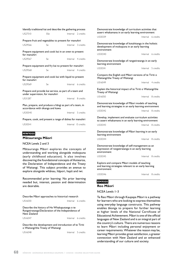| Identify traditional kai and describe the gathering process                                  |     |  |                     |  |  |
|----------------------------------------------------------------------------------------------|-----|--|---------------------|--|--|
| US27510                                                                                      | SSe |  | Internal 2 credits  |  |  |
| Prepare fruit and vegetables to present for manuhiri                                         |     |  |                     |  |  |
| US29566                                                                                      | Se  |  | Internal 3 credits  |  |  |
| Prepare equipment and cook kai in an oven to present<br>for manuhiri                         |     |  |                     |  |  |
| US29567                                                                                      | Se. |  | Internal 4 credits  |  |  |
| Prepare equipment and fry kai to present for manuhiri                                        |     |  |                     |  |  |
| US29568                                                                                      | Se  |  | Internal 4 credits  |  |  |
| Prepare equipment and cook kai with liquid to present<br>for manuhiri                        |     |  |                     |  |  |
| US29569                                                                                      | Se. |  | Internal 6 credits  |  |  |
| Prepare and provide kai service, as part of a team and<br>under supervision, for manuhiri    |     |  |                     |  |  |
| US31287                                                                                      |     |  | Internal 8 credits  |  |  |
| Plan, prepare, and produce a hangi as part of a team, in<br>accordance with tikanga and kawa |     |  |                     |  |  |
| US30540                                                                                      |     |  | Internal 5 credits  |  |  |
| Prepare, cook, and present a range of dishes for manuhiri                                    |     |  |                     |  |  |
| US30541                                                                                      |     |  | Internal 15 credits |  |  |

## **MW9000**

## **Mätauranga Mäori**

#### NCEA Levels 2 and 3

Mätauranga Mäori explores the concepts of understanding and working alongside mokopuna (early childhood education). It also involves discovering the foundational concepts of Aotearoa, the Declaration of Independence and the Treaty of Waitangi. This subject provides an avenue to explore alongside whänau, häpori, hapü and iwi.

Recommended prior learning: No prior learning needed but, interest, passion and determination are desirable.

Describe Mäori approaches to historical research US16030 Internal 6 credits

Describe the history of He Whakaputanga o te Rangatiratanga/Declaration of the Independence of New Zealand

US16047 **Internal** 6 credits

Describe the development and introduction of te Tiriti o Waitangi/the Treaty of Waitangi

US16048 **Internal** 5 credits

Demonstrate knowledge of curriculum activities that assert whakamana in an early learning environment US30339 Internal 6 credits Demonstrate knowledge of kotahitanga in the holistic development of mokopuna in an early learning environment US30340 Demonstrate knowledge of rangatiratanga in an early learning environment US30341 **Internal** 5 credits Compare the English and Mäori versions of te Tiriti o Waitangi/the Treaty of Waitangi US16049 **Internal** 4 credits Explain the historical impact of te Tiriti o Waitangi/the Treaty of Waitangi US16050 **Internal** 8 credits Demonstrate knowledge of Mäori models of teaching and learning strategies in an early learning environment US30342 Internal 8 credits Develop, implement and evaluate curriculum activities to assert whakamana in an early learning environment US30343 Internal 8 credits Demonstrate knowledge of Mäori learning in an early learning environment US30344 Internal 8 credits Demonstrate knowledge of self-management as an expression of rangatiratanga in an early learning environment US30345 Explore and compare Mäori models of teaching and learning strategies relevant to an early learning

environment

US30346 **Internal** 8 credits

#### **RM9000 Reo Mäori**

#### NCEA Levels 1–3

Te Reo Mäori through Kaupapa Mäori is a pathway for learners who are looking to express themselves using everyday language constructs. This pathway enables äkonga to prepare for further learning at higher levels of the National Certificate of Educational Achievement. Mäori is one of the official languages of New Zealand and is an integral part of the country's culture. There are numerous reasons to learn Mäori including personal enjoyment or career requirements. Whatever the reason may be, learning Mäori provides great satisfaction, a greater connection with New Zealand and an enhanced understanding of our culture and society.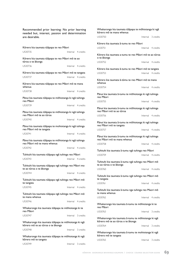Recommended prior learning: No prior learning needed but, interest, passion and determination are desirable. Körero kia taumata tüäpapa te reo Mäori US30735 Internal 4 credits Körero kia taumata tüäpapa te reo Mäori mö te ao türoa o te äkonga US30736 **Internal** 4 credits Körero kia taumata tüäpapa te reo Mäori mö te tangata US30737 Internal 4 credits Körero kia taumata tüäpapa te reo Mäori mö te mana whenua US30738 Internal 4 credits Pänui kia taumata tüäpapa te möhiotanga ki ngä tuhinga reo Mäori US30739 **Internal** 4 credits Pänui kia taumata tüäpapa te möhiotanga ki ngä tuhinga reo Mäori mö te ao türoa US30740<br>
Internal 4 credits Pänui kia taumata tüäpapa te mohiotanga ki ngä tuhinga reo Mäori mö te tangata US30741 **Internal** 4 credits Pänui kia taumata tüäpapa te möhiotanga ki ngä tuhinga reo Mäori mö te mana whenua US30742 **Internal** 4 credits Tuhituhi kia taumata tüäpapa ngä tuhinga reo Mäori US30743 Internal 4 credits Tuhituhi kia taumata tüäpapa ngä tuhinga reo Mäori mo te ao türoa o te äkonga US30744 Internal 4 credits Tuhituhi kia taumata tüäpapa ngä tuhinga reo Mäori mö te tangata US30745 Internal 4 credits Tuhituhi kia taumata tüäpapa ngä tuhinga reo Mäori mö te mana whenua US30746 **Internal** 4 credits Whakarongo kia taumata tüäpapa te möhiotanga ki te reo Mäori US30747 Internal 3 credits Whakarongo kia taumata tüäpapa te möhiotanga ki ngä körero mö te ao türoa o te äkonga US30748 Internal 3 credits Whakarongo kia taumata tüäpapa te möhiotanga ki ngä körero mö te tangata

US30749 **Internal** 3 credits

Whakarongo kia taumata tüäpapa te möhiotanga ki ngä körero mö te mana whenua US30750 **Internal** 3 credits Körero kia taumata ä-tumu te reo Mäori US30751 Internal 4 credits Körero kia taumata a-tumu te reo Mäori mö te ao türoa o te äkonga US30752 Internal 4 credits Körero kia taumata ä-tumu te reo Mäori mö te tangata US30753 Internal 4 credits Körero kia taumata ä-tümu te reo Mäori mö te mana whenua US30754 Internal 4 credits Pänui kia taumata ä-tumu te möhiotanga ki ngä tuhinga reo Mäori US30755 Internal 4 credits Pänui kia taumata ä-tumu te möhiotanga ki ngä tuhinga reo Mäori mö te ao türoa US30756 **Internal** 4 credits Pänui kia taumata ä-tumu te möhiotanga ki ngä tuhinga reo Mäori mö te tangata US30757 Internal 4 credits Pänui kia taumata ä-tumu te möhiotanga ki ngä tuhinga reo Mäori mö te mana whenua US30758 Internal 4 credits Tuhituhi kia taumata ä-tumu ngä tuhinga reo Mäori US30759 Internal 4 credits Tuhituhi kia taumata ä-tumu ngä tuhinga reo Mäori mö te ao türoa o te äkonga US30760 **Internal** 4 credits Tuhituhi kia taumata ä-tumu ngä tuhinga reo Mäori mö te tangata US30761 **Internal** 4 credits Tuhituhi kia taumata ä-tumu nga tuhinga reo Maori mö te mana whenua US30762 Internal 4 credits Whakarongo kia taumata ä-tumu te möhiotanga ki te reo Mäori US30763 Internal 3 credits Whakarongo kia taumata ä-tumu te möhiotanga ki ngä körero mö te ao türoa o te äkonga US30764 Internal 3 credits Whakarongo kia taumata ä-tumu te mohiotanga ki ngä körero mö te tangata US30765 Internal 3 credits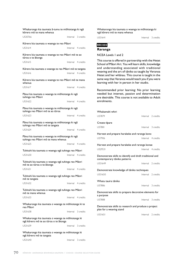| Whakarongo kia taumata ā-tumu te mōhiotanga ki ngā<br>kõrero mõ te mana whenua            |  |                    |  |  |
|-------------------------------------------------------------------------------------------|--|--------------------|--|--|
| US30766                                                                                   |  | Internal 3 credits |  |  |
| Kōrero kia taumata o waenga te reo Māori                                                  |  |                    |  |  |
| US31614                                                                                   |  | Internal 4 credits |  |  |
| Kōrero kia taumata o waenga te reo Māori mō te ao<br>tūroa o te ākonga                    |  |                    |  |  |
| US31615                                                                                   |  | Internal 4 credits |  |  |
| Kōrero kia taumata o waenga te reo Māori mō te tangata                                    |  |                    |  |  |
| US31616                                                                                   |  | Internal 4 credits |  |  |
| Kōrero kia taumata o waenga te reo Māori mō te mana<br>whenua                             |  |                    |  |  |
| US31617                                                                                   |  | Internal 4 credits |  |  |
| Pānui kia taumata o waenga te mōhiotanga ki ngā<br>tuhinga reo Māori                      |  |                    |  |  |
| US31622                                                                                   |  | Internal 4 credits |  |  |
| Pānui kia taumata o waenga te mōhiotanga ki ngā<br>tuhinga reo Māori mō te ao tūroa       |  |                    |  |  |
| US31623                                                                                   |  | Internal 4 credits |  |  |
| Pānui kia taumata o waenga te mōhiotanga ki ngā<br>tuhinga reo Māori mō te tangata        |  |                    |  |  |
| US31624                                                                                   |  | Internal 4 credits |  |  |
| Pānui kia taumata o waenga te mōhiotanga ki ngā                                           |  |                    |  |  |
| tuhinga reo Māori mō te mana whenua                                                       |  |                    |  |  |
| US31625                                                                                   |  | Internal 4 credits |  |  |
| Tuhituhi kia taumata o waenga ngā tuhinga reo Māori                                       |  |                    |  |  |
| US31630                                                                                   |  | Internal 4 credits |  |  |
| Tuhituhi kia taumata o waenga nga tuhinga reo Maori<br>mō te ao tūroa o te ākonga         |  |                    |  |  |
| US31631                                                                                   |  | Internal 4 credits |  |  |
| Tuhituhi kia taumata o waenga ngā tuhinga reo Māori<br>mō te tangata                      |  |                    |  |  |
| US31632                                                                                   |  | Internal 4 credits |  |  |
| Tuhituhi kia taumata o waenga ngā tuhinga reo Māori<br>mō te mana whenua                  |  |                    |  |  |
| US31633                                                                                   |  | Internal 4 credits |  |  |
| Whakarongo kia taumata o waenga te mōhiotanga ki te<br>reo Māori                          |  |                    |  |  |
| US31638                                                                                   |  | Internal 3 credits |  |  |
| Whakarongo kia taumata o waenga te mōhiotanga ki<br>ngā kōrero mō te ao tūroa o te ākonga |  |                    |  |  |
| US31639                                                                                   |  | Internal 3 credits |  |  |

Whakarongo kia taumata o waenga te möhiotanga ki ngä körero mö te mana whenua

US31641 **Internal** 3 credits

## **RR1000**

#### **Raranga**

NCEA Levels 1 and 2

This course is offered in partnership with the Hetet School of Mäori Art. You will learn skills, knowledge and understanding associated with traditional weaving and the art of täniko as taught by Veranoa Hetet and her whänau. This course is taught in the same way that Veranoa would teach you if you were learning with her in person in her studio.

Recommended prior learning: No prior learning needed but interest, passion and determination are desirable. This course is not available to Adult enrolments.

| Whakamahi whiri                                                                          |                    |  |  |  |
|------------------------------------------------------------------------------------------|--------------------|--|--|--|
| <b>US7879</b>                                                                            | Internal 2 credits |  |  |  |
| Create tipare                                                                            |                    |  |  |  |
| <b>US7881</b>                                                                            | Internal 3 credits |  |  |  |
| Harvest and prepare harakeke and raranga kono                                            |                    |  |  |  |
| <b>US7906</b>                                                                            | Internal 4 credits |  |  |  |
| Harvest and prepare harakeke and raranga konae                                           |                    |  |  |  |
| US29531                                                                                  | Internal 4 credits |  |  |  |
| Demonstrate skills to identify and draft traditional and<br>contemporary tāniko patterns |                    |  |  |  |
| US31649                                                                                  | Internal 2 credits |  |  |  |
| Demonstrate knowledge of tāniko techniques                                               |                    |  |  |  |
| US31650                                                                                  | Internal 2 credits |  |  |  |
| Whatu tauira tāniko                                                                      |                    |  |  |  |
| <b>US7886</b>                                                                            | Internal 3 credits |  |  |  |
| Demonstrate skills to prepare decorative elements for<br>a purpose                       |                    |  |  |  |
| <b>US7888</b>                                                                            | Internal 3 credits |  |  |  |
| Demonstrate skills to research and produce a project<br>plan for a weaving stand         |                    |  |  |  |
| US31651                                                                                  | Internal 2 credits |  |  |  |

US31640 Internal 3 credits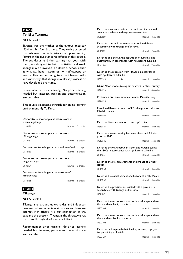#### **TI9000 Te Iti a Taranga**

#### NCEA Level 3

Taranga was the mother of the famous ancestor Mäui and his four brothers. They each possessed the intrinsic characteristics that prominently feature in the five standards offered in this course. The standards, and the learning that goes with them, are designed to link to activities and work äkonga may be involved in outside of school either at whänau, hapü, häpori or iwi hui/kaupapa or events. This course recognises the inherent skills and knowledge that äkonga may already possess or have developed over time.

Recommended prior learning: No prior learning needed but, interest, passion and determination are desirable.

This course is accessed through our online learning environment My Te Kura.

| Demonstrate knowledge and expressions of<br>whanaungatanga |                    |                    |  |  |  |
|------------------------------------------------------------|--------------------|--------------------|--|--|--|
| US32181                                                    | Internal 5 credits |                    |  |  |  |
| Demonstrate knowledge and expressions of<br>pūkengatanga   |                    |                    |  |  |  |
| US32182                                                    | Internal 5 credits |                    |  |  |  |
| Demonstrate knowledge and expressions of wairuatanga       |                    |                    |  |  |  |
| US32183                                                    | Internal 5 credits |                    |  |  |  |
| Demonstrate knowledge and expressions of<br>rangatiratanga |                    |                    |  |  |  |
| US32184                                                    | Internal 5 credits |                    |  |  |  |
| Demonstrate knowledge and expressions of<br>manaakitanga   |                    |                    |  |  |  |
| US32185                                                    |                    | Internal 5 credits |  |  |  |

#### **TK9000**

**Tikanga**

NCEA Levels 1–3

Tikanga is all around us every day and influences how we behave in certain situations and how we interact with others. It is our connection to the past and the present. Tikanga is the thread/wairua that runs through all of Kaupapa Mäori.

Recommended prior learning: No prior learning needed but, interest, passion and determination are desirable.

Describe the characteristics and actions of a selected atua in accordance with ngä körero tuku iho US16160 Internal 3 credits Describe a hui and the roles associated with hui in accordance with tikanga and/or kawa US16165 Internal 2 credits Describe and explain the separation of Ranginui and Papatüänuku in accordance with ngä körero tuku iho US27105 **Internal** 2 credits Describe the migration from Hawaiki in accordance with nga körero tuku iho US29316 Se Internal 2 credits Utilise Mäori modes to explain an event in Mäori history US16033 Internal 4 credits Present an oral account of an event in Mäori history US16038 Internal 3 credits Examine different accounts of Mäori migration prior to Päkehä contact US16043 Internal 6 credits Describe historical events of one hapü or iwi US16044 **Internal** 4 credits Describe the relationship between Mäori and Päkehä prior to 1840 US16046 **Internal** 5 credits Describe the wars between Mäori and Päkehä during the 1800s in accordance with ngä körero tuku iho US16051 **Internal** 5 credits Describe the life, achievements and impact of a Mäori leader US16054 **Internal** 3 credits Describe the establishment and history of a hähi Mäori US16058 Internal 4 credits Describe the practices associated with a pöwhiri, in accordance with tikanga and/or kawa US16142 Internal 2 credits Describe the terms associated with whakapapa and use them within a family structure US27106 **Internal** 2 credits Describe the terms associated with whakapapa and use them within a family structure US27108 **Internal** 2 credits

Describe and explain beliefs held by whänau, hapü, or iwi pertaining to kaitiaki

US27120 **Internal** 4 credits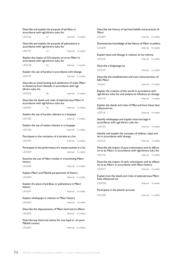| Describe and explain the purpose of pūrākau in<br>accordance with nga korero tuku iho                                           |    |  |                    | Describe the history of spiritual beliefs and practices of<br>Māori                                              |  |                    |  |
|---------------------------------------------------------------------------------------------------------------------------------|----|--|--------------------|------------------------------------------------------------------------------------------------------------------|--|--------------------|--|
| US27126                                                                                                                         | Cr |  | Internal 3 credits | US16057                                                                                                          |  | Internal 6 credits |  |
| Describe and explain the purpose of pakiwaitara in<br>accordance with nga korero tuku iho                                       |    |  |                    | Demonstrate knowledge of the history of Maori in politics<br>US16059                                             |  | Internal 8 credits |  |
| US27127                                                                                                                         | Cr |  | Internal 3 credits |                                                                                                                  |  |                    |  |
| Explain the impact of Christianity on te ao Māori in                                                                            |    |  |                    | Explain kawa and tikanga in relation to hui mārena                                                               |  |                    |  |
| accordance with ngā kōrero tuku iho                                                                                             |    |  |                    | US16136                                                                                                          |  | Internal 6 credits |  |
| US27128                                                                                                                         | So |  | Internal 3 credits | Describe a kīngitanga hui                                                                                        |  |                    |  |
| Explain the use of karakia in accordance with tikanga                                                                           |    |  |                    | US16139                                                                                                          |  | Internal 6 credits |  |
| US27129                                                                                                                         |    |  | Internal 2 credits | Describe the establishment and main characteristics of<br>hāhi Māori                                             |  |                    |  |
| Describe an initial landing and settlement of waka Māori<br>in Aotearoa from Hawaiiki in accordance with nga<br>kõrero tuku iho |    |  |                    | US16167                                                                                                          |  | Internal 4 credits |  |
| US29318                                                                                                                         | Se |  | Internal 3 credits | Explain the creation of the world in accordance with<br>ngā kōrero tuku iho and analyse its influence on tikanga |  |                    |  |
| Describe the deeds and roles of selected atua Māori in                                                                          |    |  |                    | US27110                                                                                                          |  | Internal 3 credits |  |
| accordance with ngā kōrero tuku iho<br>US29319                                                                                  | Se |  | Internal 3 credits | Explain the deeds and roles of Maui and how these have<br>influenced iwi                                         |  |                    |  |
| Explain the use of karakia relevant to a kaupapa                                                                                |    |  |                    | US27118                                                                                                          |  | Internal 4 credits |  |
| US31505                                                                                                                         |    |  | Internal 3 credits | Identify whakapapa and explain intermarriage in<br>accordance with nga korero tuku iho                           |  |                    |  |
| Explain the use of waiata relevant to a kaupapa                                                                                 |    |  |                    | US27123                                                                                                          |  | Internal 4 credits |  |
| US31506                                                                                                                         |    |  | Internal 3 credits |                                                                                                                  |  |                    |  |
| Participate in the recitation of a karakia at a hui                                                                             |    |  |                    | Identify and explain the concepts of whanau, hapu and<br>iwi in accordance with tikanga                          |  |                    |  |
| US31507                                                                                                                         |    |  | Internal 3 credits | US27124                                                                                                          |  | Internal 3 credits |  |
| Participate in the performance of a waiata tautoko in a hui                                                                     |    |  |                    | Describe the impact of post-colonisation and its effects                                                         |  |                    |  |
| US31509                                                                                                                         |    |  | Internal 3 credits | on te ao Māori, in accordance with ngā kōrero tuku iho                                                           |  |                    |  |
| Examine the use of Māori modes in transmitting Māori                                                                            |    |  |                    | US27125                                                                                                          |  | Internal 4 credits |  |
| history                                                                                                                         |    |  |                    | Describe the impact of early colonisation and its effects<br>on te ao Māori, in accordance with Māori history    |  |                    |  |
| US16032                                                                                                                         |    |  | Internal 6 credits | US29317                                                                                                          |  | Internal 4 credits |  |
| Explain Māori and Pākehā perspectives of history                                                                                |    |  |                    |                                                                                                                  |  |                    |  |
| US16034                                                                                                                         |    |  | Internal 6 credits | Explain how the deeds and roles of selected atua Maori<br>have influenced iwi                                    |  |                    |  |
| Explain the place of pūrākau or pakiwaitara in Māori<br>history                                                                 |    |  |                    | US29320                                                                                                          |  | Internal 4 credits |  |
| US16041                                                                                                                         |    |  | Internal 6 credits | Participate in the powhiri process                                                                               |  |                    |  |
|                                                                                                                                 |    |  |                    | US31508                                                                                                          |  | Internal 2 credits |  |
| Explain whakapapa in relation to Maori history<br>US16042                                                                       |    |  | Internal 4 credits |                                                                                                                  |  |                    |  |
|                                                                                                                                 |    |  |                    |                                                                                                                  |  |                    |  |
| Describe the dispossession of Maori land and its effects                                                                        |    |  |                    |                                                                                                                  |  |                    |  |
| US16052                                                                                                                         |    |  | Internal 6 credits |                                                                                                                  |  |                    |  |
| Describe key historical events for one hapū or iwi post-<br>Pākehā contact                                                      |    |  |                    |                                                                                                                  |  |                    |  |
| US16053                                                                                                                         |    |  | Internal 6 credits |                                                                                                                  |  |                    |  |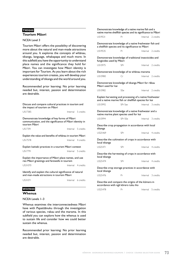#### **TM9000 Tourism Mäori**

#### NCEA Level 3

Tourism Mäori offers the possibility of discovering more about the natural and man-made attractions around you. It explores the concepts of whänau, tikanga, language, whakapapa and much more. In this subfield you have the opportunity to understand place names and the significance they hold for Mäori. You can investigate how Mäori identity is important for Tourism. As you learn about the rich experiences tourism creates, you will develop your understanding of tikanga and the world around you.

Recommended prior learning: No prior learning needed but, interest, passion and determination are desirable.

| Discuss and compare cultural practices in tourism and<br>the impact of tourism on Maori                                  |  |                    |  |  |  |  |
|--------------------------------------------------------------------------------------------------------------------------|--|--------------------|--|--|--|--|
| USI7385                                                                                                                  |  | Internal 5 credits |  |  |  |  |
| Demonstrate knowledge of key forms of Maori<br>communication, and the significance of Maori identity in<br>tourism Māori |  |                    |  |  |  |  |
| US17391                                                                                                                  |  | Internal 5 credits |  |  |  |  |
| Explain the value and benefits of whanau in tourism Maori                                                                |  |                    |  |  |  |  |
| <b>USI7578</b>                                                                                                           |  | Internal 4 credits |  |  |  |  |
| Explain kaitiaki practices in a tourism Maori context                                                                    |  |                    |  |  |  |  |
| <b>USI7791</b>                                                                                                           |  | Internal 5 credits |  |  |  |  |
| Explain the importance of Māori place names, and use<br>reo Māori greetings and farewells in tourism                     |  |                    |  |  |  |  |
| US31070                                                                                                                  |  | Internal 4 credits |  |  |  |  |
| Identify and explain the cultural significance of natural<br>and man-made attractions in tourism Maori                   |  |                    |  |  |  |  |
| US31071                                                                                                                  |  | Internal 6 credits |  |  |  |  |
| N/IU0000                                                                                                                 |  |                    |  |  |  |  |

#### **WH9000 Whenua**

NCEA Levels 1–3

Whenua examines the interconnectedness Mäori have with Papatüänuku through the investigation of various species, rakau and the marama. In this subfield you can explore how the whenua is used to sustain life and consider how we could better sustain the whenua.

Recommended prior learning: No prior learning needed but, interest, passion and determination are desirable.

| Demonstrate knowledge of a native marine fish and a<br>native marine shellfish species and its significance to Māori |         |                    |           |  |  |
|----------------------------------------------------------------------------------------------------------------------|---------|--------------------|-----------|--|--|
| US19531                                                                                                              | Pr      | Internal 2 credits |           |  |  |
| Demonstrate knowledge of a native freshwater fish and<br>a shellfish species and its significance to Māori           |         |                    |           |  |  |
| US19535                                                                                                              | Pr      | Internal 2 credits |           |  |  |
| Demonstrate knowledge of traditional insecticides and<br>fungicides used by Māori                                    |         |                    |           |  |  |
| US15975                                                                                                              | SPr     | Internal 2 credits |           |  |  |
| Demonstrate knowledge of te whanau marama                                                                            |         |                    |           |  |  |
| US15980                                                                                                              | Cr      | Internal           | 2 credits |  |  |
| Demonstrate knowledge of tikanga Māori for rākau<br>Māori used for kai                                               |         |                    |           |  |  |
| US15982                                                                                                              | SSe     | Internal 2 credits |           |  |  |
| Explain harvesting and processing of a native freshwater<br>and a native marine fish or shellfish species for kai    |         |                    |           |  |  |
| US15992                                                                                                              | SPr Sse | Internal 3 credits |           |  |  |
| Demonstrate knowledge of a native freshwater and a<br>native marine plant species used for kai                       |         |                    |           |  |  |
| US15994                                                                                                              | SPr SSe | Internal           | 3 credits |  |  |
| Describe crop propagation in accordance with local<br>tikanga                                                        |         |                    |           |  |  |
| US25469                                                                                                              | SPr     | Internal 4 credits |           |  |  |
| Describe the cultivation of crops in accordance with<br>local tikanga                                                |         |                    |           |  |  |
| US25471                                                                                                              | SPr     | Internal 4 credits |           |  |  |
| Describe the harvesting of crops in accordance with<br>local tikanga                                                 |         |                    |           |  |  |
| US25474                                                                                                              | SPr     | Internal 4 credits |           |  |  |
| Describe crop storage practices in accordance with<br>local tikanga                                                  |         |                    |           |  |  |
| US25476                                                                                                              | Pr      | Internal           | 3 credits |  |  |
| Describe and compare the origins of the kūmara in<br>accordance with nga korero tuku iho                             |         |                    |           |  |  |
|                                                                                                                      |         |                    |           |  |  |

US25478 Pr Internal 5 credits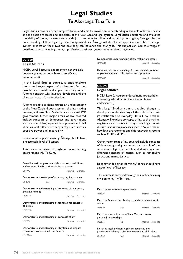## **Legal Studies**

## Te Akoranga Taha Ture

Legal Studies covers a broad range of topics and aims to provide an understanding of the role of law in society and the basic processes and principles of the New Zealand legal system. Legal Studies explores and evaluates the ability of the legal system to provide just outcomes for all individuals and groups, giving äkonga a better understanding of their legal rights and responsibilities. Äkonga will develop an appreciation of how the legal system impacts on their lives and how they can influence and change it. This subject can lead to a range of possible careers including the legal profession, business, government service or agencies.

#### **LG1000**

#### **Legal Studies**

NCEA Level 1 (course endorsement not available however grades do contribute to certificate endorsement)

In this Legal Studies course, äkonga explore law as an integral aspect of society and find out how laws are made and applied in everyday life. Äkonga consider why laws are developed and the characteristics of an effective law.

Äkonga are able to demonstrate an understanding of the New Zealand court system, the law making process, and how New Zealanders vote for an MMP government. Other major areas of law covered include concepts of democracy and government such as rule of law, separation of powers and civil liberties, and different concepts of justice, such as coercive power and impartiality.

Recommended prior learning: Äkonga should have a reasonable level of literacy.

This course is accessed through our online learning environment, My Te Kura.

Describe basic employment rights and responsibilities, and sources of information and/or assistance US1978 **Internal** 3 credits Demonstrate knowledge of assessing legal assistance US8548 So Internal 3 credits Demonstrate understanding of concepts of democracy and government US27835 Internal 4 credits Demonstrate understanding of foundational concepts of justice US27838 Internal 4 credits Demonstrate understanding of concepts of law US27841 **Internal** 4 credits Demonstrate understanding of litigation and dispute resolution processes in New Zealand

Demonstrate understanding of law making processes US27847 Internal 4 credits

Demonstrate understanding of New Zealand's system of government and its formation and operation

US27850 Internal 4 credits

#### **LG2000 Legal Studies**

NCEA Level 2 (course endorsement not available however grades do contribute to certificate endorsement)

This Legal Studies course enables äkonga to develop an understanding of the role of law and its relationship to everyday life in New Zealand. Äkonga will explore concepts of law such as crime, negligence and contract. They study litigation and dispute resolution processes used in New Zealand, how laws are reformed and different voting systems such as MMP and FPP.

Other major areas of law covered include concepts of democracy and government such as rule of law, separation of powers and liberal democracy, and different concepts of justice, such as restorative justice and marae justice.

Recommended prior learning: Äkonga should have a good level of literacy.

This course is accessed through our online learning environment, My Te Kura.

| Describe employment agreements                                                                           |            |                    |  |  |
|----------------------------------------------------------------------------------------------------------|------------|--------------------|--|--|
| <b>US1979</b>                                                                                            |            | Internal 3 credits |  |  |
| Describe factors contributing to, and consequences of,<br>crime                                          |            |                    |  |  |
| US8545                                                                                                   | <b>SSo</b> | Internal 3 credits |  |  |
| Describe the application of New Zealand law to<br>personal relationships                                 |            |                    |  |  |
| <b>US8551</b>                                                                                            | So         | Internal 3 credits |  |  |
| Describe legal and non-legal consequences and<br>protections relating to family violence and child abuse |            |                    |  |  |
| US8552                                                                                                   | SSo        | Internal 3 credits |  |  |

US27844 Internal 4 credits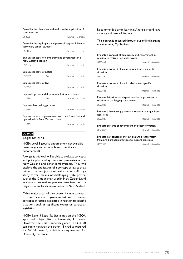| Describe the objectives and evaluate the application of<br>consumer law                     |    |  |                    |  |  |
|---------------------------------------------------------------------------------------------|----|--|--------------------|--|--|
| US8555                                                                                      |    |  | Internal 3 credits |  |  |
| Describe the legal rights and personal responsibilities of<br>secondary school students     |    |  |                    |  |  |
| US10337                                                                                     |    |  | Internal 3 credits |  |  |
| Explain concepts of democracy and government in a<br>New Zealand context                    |    |  |                    |  |  |
| US27836                                                                                     |    |  | Internal 4 credits |  |  |
| Explain concepts of justice                                                                 |    |  |                    |  |  |
| US27839                                                                                     | So |  | Internal 4 credits |  |  |
| Explain concepts of law                                                                     |    |  |                    |  |  |
| US27842                                                                                     |    |  | Internal 4 credits |  |  |
| Explain litigation and dispute resolution processes                                         |    |  |                    |  |  |
| <b>US27845</b>                                                                              | So |  | Internal 4 credits |  |  |
| Explain a law making process                                                                |    |  |                    |  |  |
| <b>US27848</b>                                                                              |    |  | Internal 4 credits |  |  |
| Explain systems of government and their formation and<br>operation in a New Zealand context |    |  |                    |  |  |
| US27851                                                                                     |    |  | Internal 4 credits |  |  |

#### **LG3000**

#### **Legal Studies**

NCEA Level 3 (course endorsement not available however grades do contribute to certificate endorsement)

Äkonga at this level will be able to evaluate concepts and principles, and systems and processes of the New Zealand and other legal systems. They will explore the application of a concept of law such as crime or natural justice to real situations. Äkonga study formal means of challenging state power, such as the Ombudsman used in New Zealand, and evaluate a law making process associated with a major issue such as film production in New Zealand.

Other major areas of law covered include concepts of democracy and government and different concepts of justice, evaluated in relation to specific situations such as significant events or particular legislation.

NCEA Level 3 Legal Studies is not on the NZQA approved subject list for University Entrance. However, the unit standards gained in LG3000 can count towards the other 18 credits required for NCEA Level 3, which is a requirement for University Entrance.

Recommended prior learning: Äkonga should have a very good level of literacy. This course is accessed through our online learning environment, My Te Kura. Evaluate a concept of democracy and government in relation to restraint on state power US27837 Internal 4 credits Evaluate a concept of justice in relation to a specific situation US27840<br>
Internal 4 credits Evaluate a concept of law in relation to a specific situation US27843 Internal 4 credits Evaluate litigation and dispute resolution processes in relation to challenging state power US27846 **Internal** 4 credits Evaluate a law making process in relation to a significant legal issue US27849 Internal 4 credits Evaluate systems of government and their formation US27852 Internal 4 credits Evaluate key concepts of New Zealand's legal system

from pre-European practices to current practices

US32360 Internal 4 credits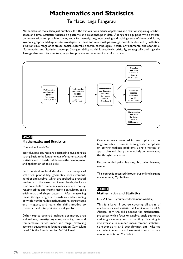## **Mathematics and Statistics**

### Te Mätauranga Pängarau

Mathematics is more than just numbers. It is the exploration and use of patterns and relationships in quantities, space and time. Statistics focuses on patterns and relationships in data. Äkonga are equipped with powerful communication and problem solving tools for investigating, interpreting and making sense of the world. Using symbols, graphs and diagrams to investigate patterns and relationships, äkonga model real-life and hypothetical situations in a range of contexts: social, cultural, scientific, technological, health, environmental and economic. Mathematics and Statistics develops äkonga's ability to think creatively, critically, strategically and logically. Äkonga also learn to structure, organise, process and communicate information.



#### **MX000 Mathematics and Statistics**

Curriculum Levels 2–5

Individualised courses are designed to give äkonga a strong basis in the fundamentals of mathematics and statistics and to build confidence in the development and application of basic skills.

Each curriculum level develops the concepts of statistics, probability, geometry, measurement, number and algebra, which are applied to practical problems. In the lower curriculum levels, the focus is on core skills of numeracy, measurement, money, reading tables and graphs, using a calculator, basic arithmetic and shape patterns. After mastering these, äkonga progress towards an understanding of whole numbers, decimals, fractions, percentages and integers, and learn the skills needed to construct and interpret statistical graphs.

Other topics covered include: perimeter, area and volume, investigating mass, capacity, time and temperature, ratios, mean and range, exploring patterns, equations and locating position. Curriculum Level 5 is the foundation for NCEA Level 1.

Concepts are connected in new topics such as trigonometry. There is even greater emphasis on solving realistic problems using a variety of approaches and clearly and concisely communicating the thought processes.

Recommended prior learning: No prior learning needed.

This course is accessed through our online learning environment, My Te Kura.

## **MX1000**

#### **Mathematics and Statistics**

NCEA Level 1 (course endorsement available)

This is a Level 1 course covering all areas of mathematics and statistics at Curriculum Level 6. Äkonga learn the skills needed for mathematical processes with a focus on algebra, angle geometry and trigonometry and probability. Teaching is also available in number, measurement, statistics, constructions and transformations. Äkonga can select from the achievement standards to a maximum total of 24 credits.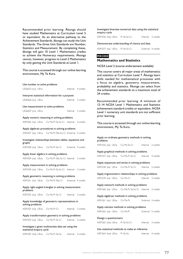Recommended prior learning: Äkonga should have studied Mathematics at Curriculum Level 5 or equivalent. As an alternative pathway to the Achievement Standards, äkonga can study the Unit Standards. The three Unit Standards are Number, Statistics and Measurement. By completing these, äkonga will gain 10 Level 1 Mathematics credits to achieve the Numeracy requirements. Äkonga cannot, however, progress to Level 2 Mathematics by only gaining the Unit Standards at Level 1.

This course is accessed through our online learning environment, My Te Kura.

Use number to solve problems

|                           |  | USC HUIHDEL tO SORE DI ODIENIS                          |                    |           |
|---------------------------|--|---------------------------------------------------------|--------------------|-----------|
| US26623 (nu) UEnu         |  |                                                         | Internal 4 credits |           |
|                           |  | Interpret statistical information for a purpose         |                    |           |
| US26626 (nu) UEnu         |  |                                                         | Internal 3 credits |           |
|                           |  | Use measurement to solve problems                       |                    |           |
| US26627 (nu) UEnu         |  |                                                         | Internal           | 3 credits |
|                           |  | Apply numeric reasoning in solving problems             |                    |           |
|                           |  | AS91026 (na) UEna Co Ma Pr Se So Cr Internal 4 credits  |                    |           |
|                           |  | Apply algebraic procedures in solving problems          |                    |           |
|                           |  | AS91027 (na) UEna Co Ma Pr SSe So Cr External 4 credits |                    |           |
| graphs                    |  | Investigate relationships between tables, equations and |                    |           |
|                           |  | AS91028 (na) UEna Co Ma Pr Se Cr                        | External 4 credits |           |
|                           |  | Apply linear algebra in solving problems                |                    |           |
|                           |  | AS91029 (na) UEna Co Ma Pr SSe So Cr Internal 3 credits |                    |           |
|                           |  | Apply measurement in solving problems                   |                    |           |
|                           |  | AS91030 (na) UEna Co Ma Pr Se So Cr Internal 3 credits  |                    |           |
|                           |  | Apply geometric reasoning in solving problems           |                    |           |
|                           |  | AS91031 (na) UEna Co Ma Pr SSe Cr External 4 credits    |                    |           |
| problems                  |  | Apply right-angled triangles in solving measurement     |                    |           |
|                           |  | AS91032 (na) UEna Co Ma Pr Se Cr                        | Internal           | 3 credits |
| solving problems          |  | Apply knowledge of geometric representations in         |                    |           |
|                           |  | AS91033 (na) UEna Co Ma Pr Cr                           | Internal 3 credits |           |
|                           |  | Apply transformation geometry in solving problems       |                    |           |
|                           |  | AS91034 (na) UEna Co Ma Pr Se Cr                        | Internal 2 credits |           |
| statistical enquiry cycle |  | Investigate a given multivariate data set using the     |                    |           |
|                           |  | AS91035 (Ina) UEna Co Ma Pr Se So                       | Internal 4 credits |           |

Investigate bivariate numerical data using the statistical enquiry cycle

AS91036 (lna) UEna Pr Se So Cr Internal 3 credits

Demonstrate understanding of chance and data

| AS91037 (na) UEna Pr Se So Cr |  |  |  | External 4 credits |
|-------------------------------|--|--|--|--------------------|
|-------------------------------|--|--|--|--------------------|

#### **MX2000**

#### **Mathematics and Statistics**

NCEA Level 2 (course endorsement available)

This course covers all major areas of mathematics and statistics at Curriculum Level 7. Äkonga learn skills needed for mathematical processes with a focus on algebra, geometry, measurement, probability and statistics. Äkonga can select from the achievement standards to a maximum total of 24 credits.

Recommended prior learning: A minimum of 12–14 NCEA Level 1 Mathematics and Statistics achievement standard credits or equivalent. NCEA Level 1 numeracy unit standards are not sufficient prior learning.

This course is accessed through our online learning environment, My Te Kura.

#### Apply co-ordinate geometry methods in solving problems AS91256 (na) UEna Co Ma Se Cr Internal 2 credits Apply graphical methods in solving problems AS91257 (na) UEna Co Ma Pr Se Cr Internal 4 credits

Apply sequences and series in solving problems AS91258 (na) UEna Co Ma Pr So Cr Internal 2 credits

Apply trigonometric relationships in solving problems

| AS91259 (na) UEna Co Ma Cr |  |  | Internal 3 credits |  |
|----------------------------|--|--|--------------------|--|
|----------------------------|--|--|--------------------|--|

Apply network methods in solving problems AS91260 (na) UEna Co Ma Pr Se So Cr Internal 2 credits

Apply algebraic methods in solving problems AS91261 (na) UEna Co Ma Pr<br>
External 4 credits

Apply calculus methods in solving problems

AS91262 (na) UEna Co Ma Pr
External 5 credits

Design a questionnaire AS91263 (Ina) UEna Pr Se So Cr Internal 3 credits

Use statistical methods to make an inference AS91264 (lna) UEna Pr Se So Internal 4 credits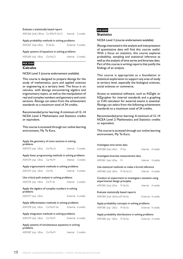#### Evaluate a statistically based report

| AS91266 (Ina) UEIrna Co SMa Pr Se Cr |  |  | Internal 2 credits |
|--------------------------------------|--|--|--------------------|
|--------------------------------------|--|--|--------------------|

#### Apply probability methods in solving problems

|  | AS91267 (Ina) UEna Pr Se So |  | External 4 credits |  |
|--|-----------------------------|--|--------------------|--|
|--|-----------------------------|--|--------------------|--|

#### Apply systems of equations in solving problems

| AS91269 (na) UEna Co Ma Cr |  | Internal 2 credits |
|----------------------------|--|--------------------|
|----------------------------|--|--------------------|

#### **MX3000**

#### **Calculus**

#### NCEA Level 3 (course endorsement available)

This course is designed to prepare äkonga for the study of mathematics, pure and applied sciences or engineering at a tertiary level. The focus is on calculus, with äkonga encountering algebra and trigonometry topics, as well as the manipulation of real and complex numbers and geometry and conic sections. Äkonga can select from the achievement standards to a maximum total of 24 credits.

Recommended prior learning: A minimum of 12–14 NCEA Level 2 Mathematics and Statistics credits or equivalent.

This course is accessed through our online learning environment, My Te Kura.

| Apply the geometry of conic sections in solving<br>problems |  |                                                      |                    |                    |
|-------------------------------------------------------------|--|------------------------------------------------------|--------------------|--------------------|
|                                                             |  | AS91573 (na) UEna Co Ma Cr                           |                    | Internal 3 credits |
|                                                             |  | Apply linear programming methods in solving problems |                    |                    |
|                                                             |  | AS91574 (na) UEna Co Ma Pr                           |                    | Internal 3 credits |
|                                                             |  | Apply trigonometric methods in solving problems      |                    |                    |
| AS91575 (na) UEna Co Ma                                     |  |                                                      |                    | Internal 4 credits |
|                                                             |  | Use critical path analysis in solving problems       |                    |                    |
| AS91576 (na) UEna Co Pr So                                  |  |                                                      | Internal 2 credits |                    |
| Apply the algebra of complex numbers in solving             |  |                                                      |                    |                    |
| problems                                                    |  |                                                      |                    |                    |
| AS91577 (na) UEna                                           |  |                                                      |                    | External 5 credits |
|                                                             |  | Apply differentiation methods in solving problems    |                    |                    |
|                                                             |  | AS91578 (na) UEna Co Ma Pr So External 6 credits     |                    |                    |
|                                                             |  | Apply integration methods in solving problems        |                    |                    |
| AS91579 (na) UEna Co Ma Pr                                  |  |                                                      |                    | External 6 credits |
| problems                                                    |  | Apply systems of simultaneous equations in solving   |                    |                    |

#### **MS3000 Statistics**

#### NCEA Level 3 (course endorsement available)

Äkonga interested in the analysis and interpretation of quantitative data will find this course useful. With a focus on statistics, this course explores probability, sampling and statistical inference as well as the analysis of time series and bivariate data. Part of this course is writing reports that justify the findings of an analysis.

This course is appropriate as a foundation in statistical exploration to support any area of study at tertiary level, especially the biological sciences, social sciences or commerce.

Access to statistical software, such as iNZight or NZgrapher for internal standards and a graphing or CAS calculator for external exams is essential. Äkonga can select from the following achievement standards to a maximum total of 24 credits.

Recommended prior learning: A minimum of 12–14 NCEA Level 2 Mathematics and Statistics credits or equivalent.

| Investigate time series data                                                             |  |  |                    |  |
|------------------------------------------------------------------------------------------|--|--|--------------------|--|
| AS91580 (Ina) UEna Pr So                                                                 |  |  | Internal 4 credits |  |
| Investigate bivariate measurement data                                                   |  |  |                    |  |
| AS91581 (Ina) UEna Pr                                                                    |  |  | Internal 4 credits |  |
| Use statistical methods to make a formal inference                                       |  |  |                    |  |
| AS91582 (Ina) UEna Pr Se So Cr                                                           |  |  | Internal 4 credits |  |
| Conduct an experiment to investigate a situation using<br>experimental design principles |  |  |                    |  |
| AS91583 (Ina) UEna Pr Se So                                                              |  |  | Internal 4 credits |  |
| Evaluate statistically based reports                                                     |  |  |                    |  |
| AS91584 (Ina) UEnlwra Pr Se So                                                           |  |  | External 4 credits |  |
| Apply probability concepts in solving problems                                           |  |  |                    |  |
| AS91585 (na) UEna Pr Se So                                                               |  |  | External 4 credits |  |
| Apply probability distributions in solving problems                                      |  |  |                    |  |
| AS91586 (na) UEna Pr Se So                                                               |  |  | External 4 credits |  |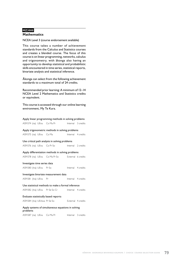#### **MZ3000 Mathematics**

NCEA Level 3 (course endorsement available)

This course takes a number of achievement standards from the Calculus and Statistics courses and creates a blended course. The focus of this course is on linear programming, networks, calculus and trigonometry, with äkonga also having an opportunity to develop statistical and probabilistic skills encountered in time series, statistical reports, bivariate analysis and statistical inference.

Äkonga can select from the following achievement standards to a maximum total of 24 credits.

Recommended prior learning: A minimum of 12–14 NCEA Level 2 Mathematics and Statistics credits or equivalent.

| Apply linear programming methods in solving problems           |  |  |                    |
|----------------------------------------------------------------|--|--|--------------------|
| AS91574 (na) UEna Co Ma Pr                                     |  |  | Internal 3 credits |
| Apply trigonometric methods in solving problems                |  |  |                    |
| AS91575 (na) UEna Co Ma                                        |  |  | Internal 4 credits |
| Use critical path analysis in solving problems                 |  |  |                    |
| AS91576 (na) UEna Co Pr So                                     |  |  | Internal 2 credits |
| Apply differentiation methods in solving problems              |  |  |                    |
| AS91578 (na) UEna Co Ma Pr So External 6 credits               |  |  |                    |
| Investigate time series data                                   |  |  |                    |
| AS91580 (Ina) UEna Pr So                                       |  |  | Internal 4 credits |
| Investigate bivariate measurement data                         |  |  |                    |
| AS91581 (Ina) UEna Pr                                          |  |  | Internal 4 credits |
| Use statistical methods to make a formal inference             |  |  |                    |
| AS91582 (Ina) UEna Pr Se So Cr                                 |  |  | Internal 4 credits |
| Evaluate statistically based reports                           |  |  |                    |
| AS91584 (Ina) UEnlwa Pr Se So                                  |  |  | External 4 credits |
| Apply systems of simultaneous equations in solving<br>problems |  |  |                    |
| AS91587 (na) UEna Co Ma Pr                                     |  |  | Internal 3 credits |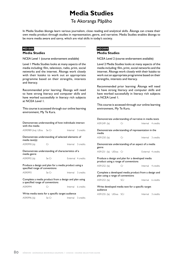## **Media Studies**

## Te Akoranga Päpäho

In Media Studies äkonga learn various journalism, close reading and analytical skills. Äkonga can create their own media product through studies in representation, genre, and narrative. Media Studies enables äkonga to be more media aware and savvy, which are vital skills in today's society.

#### **MD1000**

#### **Media Studies**

NCEA Level 1 (course endorsement available)

Level 1 Media Studies looks at many aspects of the media including: film, television, radio, print, social networks and the internet. Äkonga work closely with their kaiako to work out an appropriate programme based on their strengths, interests and literacy.

Recommended prior learning: Äkonga will need to have strong literacy and computer skills and have worked successfully in literacy rich subjects at NCEA Level 1.

This course is accessed through our online learning environment, My Te Kura.

Demonstrate understanding of how individuals interact with the media

| AS90989 (Ina) UEna Se Cr | Internal 3 credits |  |
|--------------------------|--------------------|--|
|                          |                    |  |

Demonstrate understanding of selected elements of media text(s)

AS90990 (la) Cr Internal 3 credits

Demonstrate understanding of characteristics of a media genre

AS90992 (la) Se Cr
Se Cr
External 4 credits

Produce a design and plan for a media product using a specified range of conventions

AS90993 Se Cr
Se Cr
Se Cr
annum Seternal
3 credits
Se Cr
Se Cr
Se Cr
annum Seternal
Seternal
Seternal
Seternal
Seternal
Seternal
Seternal
Seternal
Seternal
Seternal
Seternal
Seternal
Seternal
Seternal
Seternal
Seternal
Set

Complete a media product from a design and plan using a specified range of conventions AS90994 Cr Internal 6 credits

Write media texts for a specific target audience

AS90996 (la) Se Cr
Base Cr
and 1 Series Contained 3 credits

#### **MD2000 Media Studies**

NCEA Level 2 (course endorsement available)

Level 2 Media Studies looks at many aspects of the media including: film, print, social networks and the internet. Äkonga work closely with their kaiako to work out an appropriate programme based on their strengths, interests and literacy.

Recommended prior learning: Äkonga will need to have strong literacy and computer skills and have worked successfully in literacy rich subjects at NCEA Level 1.

This course is accessed through our online learning environment, My Te Kura.

| Demonstrate understanding of narrative in media texts                                     |      |  |                    |
|-------------------------------------------------------------------------------------------|------|--|--------------------|
| AS91249 (la)                                                                              | Cr   |  | Internal 4 credits |
| Demonstrate understanding of representation in the<br>media                               |      |  |                    |
| AS91250 (la)                                                                              | Cr   |  | Internal 3 credits |
| Demonstrate understanding of an aspect of a media<br>genre                                |      |  |                    |
| AS91251 (la) UEIwa Cr                                                                     |      |  | External 4 credits |
| Produce a design and plan for a developed media<br>product using a range of conventions   |      |  |                    |
| AS91252 (la)                                                                              | – Cr |  | Internal 4 credits |
| Complete a developed media product from a design and<br>plan using a range of conventions |      |  |                    |
| AS91253 (la)                                                                              | SCr  |  | Internal 6 credits |
| Write developed media text for a specific target                                          |      |  |                    |

audience

AS91255 (la) UElwa SCr Internal 3 credits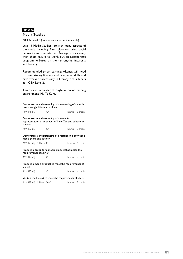#### **MD3000 Media Studies**

NCEA Level 3 (course endorsement available)

Level 3 Media Studies looks at many aspects of the media including: film, television, print, social networks and the internet. Äkonga work closely with their kaiako to work out an appropriate programme based on their strengths, interests and literacy.

Recommended prior learning: Äkonga will need to have strong literacy and computer skills and have worked successfully in literacy rich subjects at NCEA Level 2.

This course is accessed through our online learning environment, My Te Kura.

Demonstrate understanding of the meaning of a media text through different readings

AS91491 (la) Cr Internal 3 credits

Demonstrate understanding of the media representation of an aspect of New Zealand culture or society

AS91492 (la) Cr Internal 3 credits

Demonstrate understanding of a relationship between a media genre and society

AS91493 (la) UElwra Cr<br>
External 4 credits

Produce a design for a media product that meets the requirements of a brief

AS91494 (la) Cr Internal 4 credits

Produce a media product to meet the requirements of a brief

AS91495 (la) Cr Internal 6 credits

Write a media text to meet the requirements of a brief AS91497 (la) UElwa Se Cr Internal 3 credits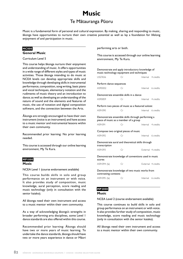## **Music** Te Mätauranga Püoru

Music is a fundamental form of personal and cultural expression. By making, sharing and responding to music, äkonga have opportunities to nurture their own creative potential as well as lay a foundation for lifelong enjoyment of and participation in music.

#### **MC000**

#### **General Music**

Curriculum Level 5

This course helps äkonga nurture their enjoyment and understanding of music. It offers opportunities in a wide range of different styles and types of music activities. Those äkonga intending to do music at NCEA levels can develop appropriate skills and knowledge through developing skills in instrumental performance, composition, song writing, basic piano and vocal techniques, elementary notation and the rudiments of music theory and an introduction to dance; as well as developing an understanding of the nature of sound and the elements and features of music, the use of notation and digital composition software, and the connection between the Arts.

Äkonga are strongly encouraged to have their own instrument (voice is an instrument) and have access to a music mentor and instrumental lessons within their own community.

Recommended prior learning: No prior learning needed.

This course is accessed through our online learning environment, My Te Kura.

### **MP1000**

#### **Music**

NCEA Level 1 (course endorsement available)

This course builds skills in solo and group performance on an instrument or with voice. It also provides study of composition, music knowledge, aural perception, score reading and music technology (only in consultation with the senior kaiako).

All äkonga need their own instrument and access to a music mentor within their own community.

As a way of acknowledging äkonga's strengths in broader performing arts disciplines, some Level 1 dance standards are also offered within this course.

Recommended prior learning: Äkonga should have two or more years of music learning. To undertake the dance standards, äkonga should have two or more years experience in dance or Mäori

performing arts or both.

This course is accessed through our online learning environment, My Te Kura.

| Demonstrate and apply introductory knowledge of<br>music technology equipment and techniques |    |  |                    |
|----------------------------------------------------------------------------------------------|----|--|--------------------|
| US27656                                                                                      | Cr |  | Internal 4 credits |
| Perform dance sequences                                                                      |    |  |                    |
| AS90002                                                                                      | Cr |  | Internal 6 credits |
| Demonstrate ensemble skills in a dance                                                       |    |  |                    |
| AS90859                                                                                      | Сr |  | Internal 4 credits |
| Perform two pieces of music as a featured soloist                                            |    |  |                    |
| AS91090                                                                                      | Сr |  | Internal 6 credits |
| Demonstrate ensemble skills through performing a<br>piece of music as a member of a group    |    |  |                    |
| AS91091                                                                                      | Cr |  | Internal 4 credits |
| Compose two original pieces of music                                                         |    |  |                    |
| AS91092                                                                                      | Cr |  | Internal 6 credits |
| Demonstrate aural and theoretical skills through<br>transcription                            |    |  |                    |
| AS91093                                                                                      | Cr |  | External 4 credits |
| Demonstrate knowledge of conventions used in music<br>scores                                 |    |  |                    |
| AS91094 (la)                                                                                 | Cr |  | External 4 credits |
| Demonstrate knowledge of two music works from<br>contrasting contexts                        |    |  |                    |
| AS91095 (la)                                                                                 | Сr |  | Internal 6 credits |

#### **MP2000**

#### **Music**

NCEA Level 2 (course endorsement available)

This course continues to build skills in solo and group performance on an instrument or with voice. It also provides further study of composition, music knowledge, score reading and music technology (only in consultation with the senior kaiako).

All äkonga need their own instrument and access to a music mentor within their own community.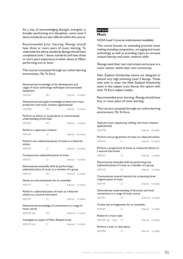As a way of acknowledging äkonga's strengths in broader performing arts disciplines, some Level 2 dance standards are also offered within this course.

Recommended prior learning: Äkonga should have three or more years of music learning. To undertake the dance standards äkonga should have completed Level 1 dance standards and have three or more years experience in either dance or Mäori performing arts or both.

This course is accessed through our online learning environment, My Te Kura.

Demonstrate knowledge of the development and usage of music technology techniques and associated equipment US27657 SCr Internal 4 credits Demonstrate and apply knowledge of electronic music production and music notation application(s) US27658 SCr Internal 4 credits Perform an ethnic or social dance to communicate understanding of the style AS91207 SCr Internal 4 credits Perform a repertoire of dance AS91209 Cr Internal 6 credits Perform two substantial pieces of music as a featured soloist AS91270 Cr Internal 6 credits Compose two substantial pieces of music AS91271 Cr Internal 6 credits Demonstrate ensemble skills by performing a substantial piece of music as a member of a group AS91272 SCr Internal 4 credits Devise an instrumentation for an ensemble AS91273 Cr Internal 4 credits Perform a substantial piece of music as a featured soloist on a second instrument AS91274 Cr Internal 3 credits Demonstrate knowledge of conventions in a range of music scores AS91276 (la) SCr External 4 credits Investigate an aspect of New Zealand music AS91278 (la) Cr Internal 4 credits

#### **MP3000 Music**

NCEA Level 3 (course endorsement available)

This course focuses on extending practical music making including composition, arranging and music technology as well as providing topics to increase musical literacy and music research skills.

Äkonga need their own instrument and access to a music mentor within their own community.

New Zealand Scholarship exams are designed to extend very high achieving Level 3 äkonga. Those who wish to enter the New Zealand Scholarship exam in this subject must discuss this option with their Te Kura subject kaiako.

Recommended prior learning: Äkonga should have four or more years of music learning.

| Operate music sequencing, editing, and music notation<br>application(s)                             |    |                    |
|-----------------------------------------------------------------------------------------------------|----|--------------------|
| US23730                                                                                             |    | Internal 8 credits |
| Perform two programmes of music as a featured soloist                                               |    |                    |
| AS91416                                                                                             | Cr | Internal 8 credits |
| Perform a programme of music as a featured soloist on<br>a second instrument                        |    |                    |
| AS91417                                                                                             | Cr | Internal 4 credits |
| Demonstrate ensemble skills by performing two<br>substantial pieces of music as a member of a group |    |                    |
| AS91418                                                                                             | Cr | Internal 4 credits |
| Communicate musical intention by composing three<br>original pieces of music                        |    |                    |
| AS91419                                                                                             | Cr | Internal 8 credits |
| Demonstrate understanding of harmonic and tonal<br>conventions in a range of music scores           |    |                    |
| AS91421                                                                                             | Cr | External 4 credits |
| Create two arrangements for an ensemble                                                             |    |                    |
| AS91424                                                                                             | Сr | Internal 4 credits |
| Research a music topic                                                                              |    |                    |
| AS91425 (la) UElra Cr                                                                               |    | Internal 6 credits |
| Perform a solo or duet dance                                                                        |    |                    |
| AS91590<br><u>in the Critical Circle</u>                                                            |    | Internal 4 credits |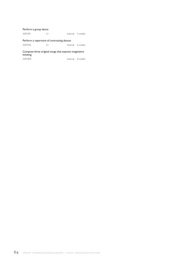### Perform a group dance

| AS91591 |  |  | Internal 4 credits |
|---------|--|--|--------------------|
|---------|--|--|--------------------|

#### Perform a repertoire of contrasting dances

| AS91592<br>Internal 6 credits |  |
|-------------------------------|--|
|-------------------------------|--|

#### Compose three original songs that express imaginative thinking

| AS91849 | Internal 8 credits |
|---------|--------------------|
|         |                    |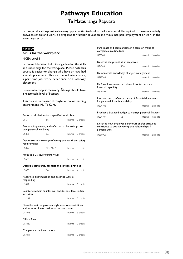## **Pathways Education**

### Te Mätauranga Rapuara

Pathways Education provides learning opportunities to develop the foundation skills required to move successfully between school and work, be prepared for further education and move into paid employment or work in the voluntary sector.

#### **PW1000**

#### **Skills for the workplace**

NCEA Level 1

Pathways Education helps äkonga develop the skills and knowledge for the workplace. Please note this course is easier for äkonga who have or have had a work placement. This can be voluntary work, a part-time job, work experience or a Gateway placement.

Recommended prior learning: Äkonga should have a reasonable level of literacy.

This course is accessed through our online learning environment, My Te Kura.

| Perform calculations for a specified workplace                                                         |           |  |                    |
|--------------------------------------------------------------------------------------------------------|-----------|--|--------------------|
| <b>US64</b>                                                                                            | Se.       |  | Internal 2 credits |
| Produce, implement, and reflect on a plan to improve<br>own personal wellbeing                         |           |  |                    |
| US496                                                                                                  | So        |  | Internal 3 credits |
| Demonstrate knowledge of workplace health and safety<br>requirements                                   |           |  |                    |
| <b>US497</b>                                                                                           | SCo Ma Pr |  | Internal 3 credits |
| Produce a CV (curriculum vitae)                                                                        |           |  |                    |
| US504                                                                                                  |           |  | Internal 2 credits |
| Describe community agencies and services provided                                                      |           |  |                    |
| <b>US526</b>                                                                                           | So        |  | Internal 2 credits |
| Recognise discrimination and describe ways of<br>responding                                            |           |  |                    |
| <b>US542</b>                                                                                           |           |  | Internal 3 credits |
| Be interviewed in an informal, one-to-one, face-to-face<br>interview                                   |           |  |                    |
| <b>USI293</b>                                                                                          |           |  | Internal 2 credits |
| Describe basic employment rights and responsibilities,<br>and sources of information and/or assistance |           |  |                    |
| <b>US1978</b>                                                                                          |           |  | Internal 3 credits |
| Fill in a form                                                                                         |           |  |                    |
| US3483                                                                                                 |           |  | Internal 2 credits |
| Complete an incident report                                                                            |           |  |                    |
| US3490                                                                                                 |           |  | Internal 2 credits |

Participate and communicate in a team or group to complete a routine task US3503 Internal 2 credits Describe obligations as an employee US4249 SCo Internal 3 credits Demonstrate knowledge of anger management US12348 So Internal 2 credits Perform income-related calculations for personal financial capability US24697 **Internal** 2 credits Interpret and confirm accuracy of financial documents for personal financial capability US24705 **Internal** 2 credits Produce a balanced budget to manage personal finances US24709 So Internal 3 credits Describe how employee behaviours and/or attitudes contribute to positive workplace relationships & performance US30909 **Internal** 2 credits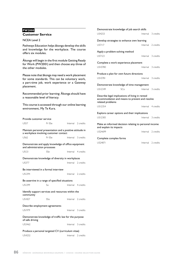#### **PW2000 Customer Service**

#### NCEA Level 2

Pathways Education helps äkonga develop the skills and knowledge for the workplace. The course offers six modules.

Äkonga will begin in the first module Getting Ready for Work (PW2001) and then choose any three of the other modules.

Please note that äkonga may need a work placement for some standards. This can be voluntary work, a part-time job, work experience or a Gateway placement.

Recommended prior learning: Äkonga should have a reasonable level of literacy.

This course is accessed through our online learning environment, My Te Kura.

| Provide customer service                                                            |                                                                                                     |  |                    |  |
|-------------------------------------------------------------------------------------|-----------------------------------------------------------------------------------------------------|--|--------------------|--|
| <b>US57</b>                                                                         | Pr SSe                                                                                              |  | Internal 2 credits |  |
|                                                                                     | Maintain personal presentation and a positive attitude in<br>a workplace involving customer contact |  |                    |  |
| <b>US62</b>                                                                         | Pr SSe                                                                                              |  | Internal 3 credits |  |
| Demonstrate and apply knowledge of office equipment<br>and administration processes |                                                                                                     |  |                    |  |
| USI2I                                                                               | SSe                                                                                                 |  | Internal 4 credits |  |
| Demonstrate knowledge of diversity in workplaces                                    |                                                                                                     |  |                    |  |
| <b>US377</b>                                                                        |                                                                                                     |  | Internal 2 credits |  |
| Be interviewed in a formal interview                                                |                                                                                                     |  |                    |  |
| <b>USI294</b>                                                                       |                                                                                                     |  | Internal 2 credits |  |
| Be assertive in a range of specified situations                                     |                                                                                                     |  |                    |  |
| <b>USI299</b>                                                                       | So                                                                                                  |  | Internal 4 credits |  |
| Identify support services and resources within the<br>community                     |                                                                                                     |  |                    |  |
| <b>US1827</b>                                                                       | <b>SSo</b>                                                                                          |  | Internal 2 credits |  |
| Describe employment agreements                                                      |                                                                                                     |  |                    |  |
| <b>US1979</b>                                                                       |                                                                                                     |  | Internal 3 credits |  |
| Demonstrate knowledge of traffic law for the purpose<br>of safe driving             |                                                                                                     |  |                    |  |
| US3462                                                                              |                                                                                                     |  | Internal 3 credits |  |
| Produce a personal targeted CV (curriculum vitae)                                   |                                                                                                     |  |                    |  |
| US4252                                                                              |                                                                                                     |  | Internal 2 credits |  |

|                                                                                  | Demonstrate knowledge of job search skills                                                        |           |  |  |
|----------------------------------------------------------------------------------|---------------------------------------------------------------------------------------------------|-----------|--|--|
| US4253                                                                           | Internal 3 credits                                                                                |           |  |  |
| Develop strategies to enhance own learning                                       |                                                                                                   |           |  |  |
| <b>US7117</b>                                                                    | Internal 2 credits                                                                                |           |  |  |
| Apply a problem-solving method                                                   |                                                                                                   |           |  |  |
| US7123                                                                           | Internal 3 credits                                                                                |           |  |  |
| Complete a work experience placement                                             |                                                                                                   |           |  |  |
| US10780                                                                          | Internal                                                                                          | 3 credits |  |  |
| Produce a plan for own future directions                                         |                                                                                                   |           |  |  |
| US10781                                                                          | Internal 3 credits                                                                                |           |  |  |
| Demonstrate knowledge of time management                                         |                                                                                                   |           |  |  |
| US12349<br>SCo                                                                   | Internal 3 credits                                                                                |           |  |  |
|                                                                                  | Describe legal implications of living in rented<br>accommodation and means to prevent and resolve |           |  |  |
| related problems                                                                 |                                                                                                   |           |  |  |
| USI2354                                                                          | Internal 4 credits                                                                                |           |  |  |
| Explore career options and their implications                                    |                                                                                                   |           |  |  |
| USI2383                                                                          | Internal                                                                                          | 3 credits |  |  |
| Make an informed decision relating to personal income<br>and explain its impacts |                                                                                                   |           |  |  |
| US24699                                                                          | Internal                                                                                          | 2 credits |  |  |
| Complete complex forms                                                           |                                                                                                   |           |  |  |
| US24871                                                                          | Internal 2 credits                                                                                |           |  |  |
|                                                                                  |                                                                                                   |           |  |  |

**86** kŌwhiri akoranga whiringa kaupapa I choice course selection guide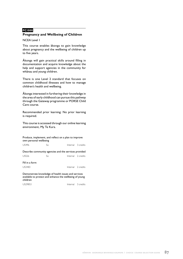#### **PC1000**

#### **Pregnancy and Wellbeing of Children**

NCEA Level 1

This course enables äkonga to gain knowledge about pregnancy and the wellbeing of children up to five years.

Äkonga will gain practical skills around filling in documentation and acquire knowledge about the help and support agencies in the community for whänau and young children.

There is one Level 2 standard that focuses on common childhood illnesses and how to manage children's health and wellbeing.

Äkonga interested in furthering their knowledge in the area of early childhood can pursue this pathway through the Gateway programme or PORSE Child Care course.

Recommended prior learning: No prior learning is required.

This course is accessed through our online learning environment, My Te Kura.

Produce, implement, and reflect on a plan to improve own personal wellbeing

| Fill in a form |                                                       |                    |
|----------------|-------------------------------------------------------|--------------------|
| US526          | So                                                    | Internal 2 credits |
|                | Describe community agencies and the services provided |                    |
| US496          | So                                                    | Internal 3 credits |

US3483 **Internal** 2 credits

Demonstrate knowledge of health issues and services available to protect and enhance the wellbeing of young children

US29853<br>
Internal 3 credits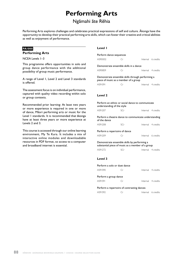## **Performing Arts**

## Ngämahi äte Rëhia

Performing Arts explores challenges and celebrates practical expressions of self and culture. Äkonga have the opportunity to develop their practical performing arts skills, which can foster their creative and critical abilities as well as enjoyment of performance.

#### **PA1000**

#### **Performing Arts**

NCEA Levels 1–3

This programme offers opportunities in solo and group dance performance with the additional possibility of group music performance.

A range of Level 1, Level 2 and Level 3 standards is offered.

The assessment focus is on individual performance, captured with quality video recording within solo or group contexts.

Recommended prior learning: At least two years or more experience is required in one or more of dance, Mäori performing arts or music for the Level 1 standards. It is recommended that äkonga have at least three years or more experience at Levels 2 and 3.

This course is accessed through our online learning environment, My Te Kura. It includes a mix of interactive online modules and downloadable resources in PDF format, so access to a computer and broadband internet is essential.

#### **Level 1**

|                                                                                           | Perform dance sequences |  |                    |  |  |
|-------------------------------------------------------------------------------------------|-------------------------|--|--------------------|--|--|
| AS90002                                                                                   | Cr                      |  | Internal 6 credits |  |  |
| Demonstrate ensemble skills in a dance                                                    |                         |  |                    |  |  |
| AS90859                                                                                   | Сr                      |  | Internal 4 credits |  |  |
| Demonstrate ensemble skills through performing a<br>piece of music as a member of a group |                         |  |                    |  |  |
| AS91091                                                                                   | Cr                      |  | Internal 4 credits |  |  |
| Level 2<br>Perform an ethnic or social dance to communicate<br>understanding of the style |                         |  |                    |  |  |
| AS91207                                                                                   | SCr                     |  | Internal 4 credits |  |  |
| Perform a theatre dance to communicate understanding<br>of the dance                      |                         |  |                    |  |  |
| AS91208                                                                                   | SCr                     |  | Internal 4 credits |  |  |
| Perform a repertoire of dance<br>Internal 6 credits                                       |                         |  |                    |  |  |
| AS91209                                                                                   | Сr                      |  |                    |  |  |
| Demonstrate ensemble skills by performing a                                               |                         |  |                    |  |  |

Demonstrate ensemble skills by performing a substantial piece of music as a member of a group AS91272 SCr Internal 4 credits

#### **Level 3**

| Perform a solo or duet dance               |             |                    |
|--------------------------------------------|-------------|--------------------|
| AS91590                                    | $\subset r$ | Internal 4 credits |
| Perform a group dance                      |             |                    |
| AS91591                                    | $\subset r$ | Internal 4 credits |
| Perform a repertoire of contrasting dances |             |                    |
| AS91592                                    |             | Internal 6 credits |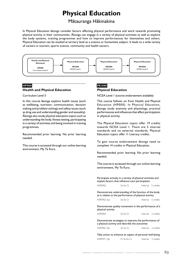## **Physical Education**

### Mätauranga Häkinakina

In Physical Education äkonga consider factors affecting physical performance and work towards promoting physical activity in their communities. Äkonga can engage in a variety of physical activities as well as explore the body systems, training programmes and how to improve performances for themselves and others. Physical Education can be studied at tertiary level as a science or humanities subject. It leads to a wide variety of careers in tourism, sports science, community and health sectors.



#### **HP000 Health and Physical Education**

Curriculum Level 5

In this course äkonga explore health issues (such as wellbeing, nutrition, communication, decision making and problem solving) and safety issues (such as drug use and understanding gender and sexuality). Äkonga also study physical education topics such as understanding the body, fitness testing, participating in a variety of activities and being involved in training programmes.

Recommended prior learning: No prior learning needed.

This course is accessed through our online learning environment, My Te Kura.

#### **PE1000 Physical Education**

NCEA Level 1 (course endorsement available)

This course follows on from Health and Physical Education (HP000). In Physical Education, äkonga study anatomy and physiology, practical performances and influences that affect participation in physical activity.

The Physical Education topics offer 19 credits towards NCEA Level 1. There are 5 internal standards and no external standards. Physical Education topics offer 11 Literacy credits.

To gain course endorsement äkonga need to complete 14 credits in Physical Education.

Recommended prior learning: No prior learning needed.

This course is accessed through our online learning environment, My Te Kura.

Participate actively in a variety of physical activities and explain factors that influence own participation

| AS90962 | Se So Cr | Internal 5 credits |
|---------|----------|--------------------|
|         |          |                    |

Demonstrate understanding of the function of the body as it relates to the performance of physical activity

| AS90963 (la) | Se So Cr |  | Internal 5 credits |
|--------------|----------|--|--------------------|
|--------------|----------|--|--------------------|

Demonstrate quality movement in the performance of a physical activity

| AS90964 | Se So Cr | Internal 3 credits |
|---------|----------|--------------------|
|         |          |                    |

Demonstrate strategies to improve the performance of a physical activity and describe the outcomes

| AS90967 (la) | Se So Cr |  | Internal 3 credits |
|--------------|----------|--|--------------------|
|--------------|----------|--|--------------------|

Take action to enhance an aspect of personal well-being AS90971 (la) Pr Se So Cr Internal 3 credits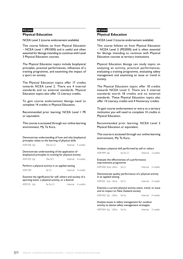#### **PE2000**

#### **Physical Education**

NCEA Level 2 (course endorsement available)

This course follows on from Physical Education – NCEA Level 1 (PE1000) and is useful and often essential for äkonga intending to continue with Level 3 Physical Education courses.

The Physical Education topics include biophysical principles, practical performances, influences of a training programme, and examining the impact of a sport on society.

The Physical Education topics offer 17 credits towards NCEA Level 2. There are 4 internal standards and no external standards. Physical Education topics also offer 13 Literacy credits.

To gain course endorsement äkonga need to complete 14 credits in Physical Education.

Recommended prior learning: NCEA Level 1 PE or equivalent.

This course is accessed through our online learning environment, My Te Kura.

Demonstrate understanding of how and why biophysical principles relate to the learning of physical skills

| AS91328 (la) | SSe So Cr | Internal 5 credits |
|--------------|-----------|--------------------|
|              |           |                    |

Demonstrate understanding of the application of biophysical principles to training for physical activity AS91329 (la) SSe SCr Internal 4 credits

Perform a physical activity in an applied setting AS91330 Se Cr Internal 4 credits

Examine the significance for self, others and society of a sporting event, a physical activity, or a festival

| AS91331 (la) | Se So Cr | Internal 4 credits |
|--------------|----------|--------------------|
|              |          |                    |

#### **PE3000 Physical Education**

NCEA Level 3 (course endorsement available)

This course follows on from Physical Education – NCEA Level 2 (PE2000) and is often essential for äkonga intending to continue with Physical Education courses at tertiary institutions.

Physical Education äkonga can study topics on analysing an activity, practical performances, evaluating a training programme, evaluating safety management and examining an issue or trend in society.

The Physical Education topics offer 18 credits towards NCEA Level 3. There are 5 internal standards worth 18 credits and no external standards. These Physical Education topics also offer 14 Literacy credits and 4 Numeracy credits.

To gain course endorsement or entry to a tertiary institution you will need to complete 14 credits in Physical Education.

Recommended prior learning: NCEA Level 2 Physical Education or equivalent.

This course is accessed through our online learning environment, My Te Kura.

| Analyse a physical skill performed by self or others                                                |                                                                      |  |                    |  |  |
|-----------------------------------------------------------------------------------------------------|----------------------------------------------------------------------|--|--------------------|--|--|
| AS91499 (la)                                                                                        | Se So Cr                                                             |  | Internal 3 credits |  |  |
|                                                                                                     | Evaluate the effectiveness of a performance<br>improvement programme |  |                    |  |  |
| AS91500 (Ina) UEIra Se Cr                                                                           |                                                                      |  | Internal 4 credits |  |  |
| in an applied setting                                                                               | Demonstrate quality performance of a physical activity               |  |                    |  |  |
| AS91501 (na) UEna Se Cr                                                                             |                                                                      |  | Internal 4 credits |  |  |
| Examine a current physical activity event, trend, or issue<br>and its impact on New Zealand society |                                                                      |  |                    |  |  |
| AS91502 (la) UElra Se So                                                                            |                                                                      |  | Internal 4 credits |  |  |
| Analyse issues in safety management for outdoor<br>activity to devise safety management strategies  |                                                                      |  |                    |  |  |

AS91504 (la) UElra Se So Internal 3 credits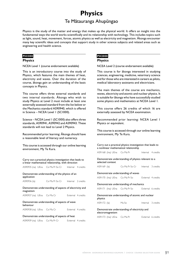## **Physics** Te Mätauranga Ahupüngao

Physics is the study of the matter and energy that makes up the physical world. It offers an insight into the fundamental ways the world works scientifically and its relationship with technology. This includes topics such as light, sound, heat, movement, forces, atomic physics as well as electricity and magnetism. Äkonga encounter many key scientific ideas and concepts that support study in other science subjects and related areas such as engineering and health science.

#### **PH1000**

#### **Physics**

NCEA Level 1 (course endorsement available)

This is an introductory course into the study of Physics, which features the main themes of heat, electricity and waves. Over the duration of the course, äkonga gain an understanding of the basic concepts in Physics.

This course offers three external standards and two internal standards. Äkonga who wish to study Physics at Level 2 must include at least one externally assessed standard from the list below or the Mechanics standard AS90940, which is offered in Science – NCEA Level 1 (SC1000).

Science – NCEA Level 1 (SC1000) also offers three standards, AS90941, AS90942 and AS90943. These standards will not lead to Level 2 Physics.

Recommended prior learning: Äkonga should have a reasonable level of literacy and numeracy.

This course is accessed through our online learning environment, My Te Kura.

Carry out a practical physics investigation that leads to a linear mathematical relationship, with direction

AS90935 (na) UEna Co Ma Pr So Cr Internal 4 credits

Demonstrate understanding of the physics of an application

| AS90936 (la) | Co Ma Pr So Cr | Internal 2 credits |  |
|--------------|----------------|--------------------|--|
|              |                |                    |  |

Demonstrate understanding of aspects of electricity and magnetism

AS90937 (na) UEna Co Ma Cr External 4 credits

| Demonstrate understanding of aspects of wave<br>behaviour |  |  |                    |  |
|-----------------------------------------------------------|--|--|--------------------|--|
| AS90938 (na) UEna Co Ma Cr                                |  |  | External 4 credits |  |

#### Demonstrate understanding of aspects of heat

| AS90939 (na) UEna | Co Ma Pr Cr | External 4 credits |  |
|-------------------|-------------|--------------------|--|
|                   |             |                    |  |

#### **PH2000 Physics**

NCEA Level 2 (course endorsement available)

This course is for äkonga interested in studying sciences, engineering, medicine, veterinary science and for those who are interested in careers as pilots, medical laboratory assistants and electricians.

The main themes of the course are mechanics, waves, electricity and atomic and nuclear physics. It is suitable for äkonga who have successfully studied some physics and mathematics at NCEA Level 1.

This course offers 26 credits of which 16 are externally assessed by NCEA examination.

Recommended prior learning: NCEA Level 1 Physics or equivalent.

This course is accessed through our online learning environment, My Te Kura.

Carry out a practical physics investigation that leads to a nonlinear mathematical relationship

AS91168 (lna) UEna Co Ma Pr
Bold Thernal
4 credits

Demonstrate understanding of physics relevant to a selected context

AS91169 (la) Co Ma Pr So Cr Internal 3 credits

Demonstrate understanding of waves

AS91170 (lna) UEna Co Ma Pr So External 4 credits

Demonstrate understanding of mechanics

| AS91171 (Ina) UEna | Co Ma Pr So | External 6 credits |  |
|--------------------|-------------|--------------------|--|
|                    |             |                    |  |

Demonstrate understanding of atomic and nuclear physics

AS91172 (la) Ma So Internal 3 credits

Demonstrate understanding of electricity and electromagnetism

AS91173 (lna) UEna Co Ma Pr<br>
External 6 credits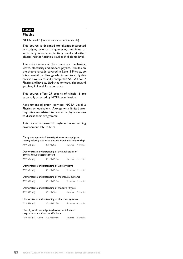#### **PH3000**

#### **Physics**

NCEA Level 3 (course endorsement available)

This course is designed for äkonga interested in studying sciences, engineering, medicine or veterinary science at tertiary level and other physics-related technical studies at diploma level.

The main themes of the course are mechanics, waves, electricity and modern physics. It builds on the theory already covered in Level 2 Physics, so it is essential that äkonga who intend to study this course have successfully completed NCEA Level 2 Physics and have studied trigonometry, algebra and graphing in Level 2 mathematics.

This course offers 29 credits of which 16 are externally assessed by NCEA examination.

Recommended prior learning: NCEA Level 2 Physics or equivalent. Äkonga with limited prerequisites are advised to contact a physics kaiako to discuss their programme.

| Carry out a practical investigation to test a physics<br>theory relating two variables in a nonlinear relationship |                               |                                                 |                    |  |  |
|--------------------------------------------------------------------------------------------------------------------|-------------------------------|-------------------------------------------------|--------------------|--|--|
|                                                                                                                    | AS91521 (la)                  | Co Ma So Internal 4 credits                     |                    |  |  |
|                                                                                                                    | physics to a selected context | Demonstrate understanding of the application of |                    |  |  |
|                                                                                                                    | AS91522 (la)                  | Co Ma Pr So                                     | Internal 3 credits |  |  |
|                                                                                                                    |                               | Demonstrate understanding of wave systems       |                    |  |  |
| AS91523 (la)                                                                                                       |                               | Co Ma Pr So External 4 credits                  |                    |  |  |
|                                                                                                                    |                               | Demonstrate understanding of mechanical systems |                    |  |  |
| AS91524 (la)                                                                                                       |                               | Co Ma Pr So External 6 credits                  |                    |  |  |
|                                                                                                                    |                               | Demonstrate understanding of Modern Physics     |                    |  |  |
| AS91525 (la)                                                                                                       |                               | Co Ma So Internal 3 credits                     |                    |  |  |
| Demonstrate understanding of electrical systems                                                                    |                               |                                                 |                    |  |  |
|                                                                                                                    | AS91526 (la)                  | Co Ma Pr So External 6 credits                  |                    |  |  |
| Use physics knowledge to develop an informed<br>response to a socio-scientific issue                               |                               |                                                 |                    |  |  |
|                                                                                                                    |                               | AS91527 (la) UEIra Co Ma Pr So                  | Internal 3 credits |  |  |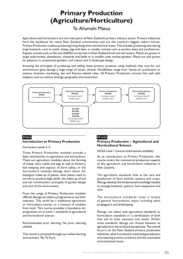## **Primary Production (Agriculture/Horticulture)**

## Te Ahumahi Matua

Agriculture and horticulture are two main parts of New Zealand's primary industry sector. Primary industries form the backbone for many New Zealand communities and are the country's biggest export earner. Primary Production is about producing living things from the land and water. This includes producing and rearing large livestock, such as cattle, sheep, pigs and deer, or smaller animals such as poultry, bees and earthworms. Aquatic animals such as fish and shellfish are farmed in New Zealand fresh and salt waters. Plants are grown in large-scale forests, plantations, vineyards and fields or in smaller scale market gardens. Plants are also grown for pleasure in ornamental gardens, turf culture and in landscape design.

Knowing the principles of producing and selling these primary products using methods that care for our environment gives äkonga a huge range of career choices. Possibilities range from 'hands-on' production to science, business, marketing, law and finance-related roles. All Primary Production courses link well with subjects such as science, biology, geography and economics.



### **PP000 Introduction to Primary Production**

Curriculum Levels 3–5

These Primary Production modules provide a basic introduction to agriculture and horticulture. There are agriculture modules about the farming of sheep, dairy cattle and pigs as well as forestry, bee keeping and aspects of farm safety. In the horticulture modules äkonga learn about the biological make-up of plants, what plants need to survive to produce high yields, the make-up of soil and soil communities, principles of garden design and care of the environment.

From the range of Primary Production modules offered, äkonga can select a programme to suit their interests. This could be a traditional agriculture or horticulture course, or a mixture of modules from both. This course provides a foundation for progression on to Level 1 standards in agricultural and horticultural science.

Recommended prior learning: No prior learning needed.

This course is accessed through our online learning environment, My Te Kura.

### **PP1000**

#### **Primary Production – Agricultural and Horticultural Science**

NCEA Level 1 (course endorsement available)

As an introduction to Primary Production, this course covers the commercial production aspects of the agriculture and horticulture industries in New Zealand.

The agriculture standards look at the care and production of farm animals, pasture and crops. Äkonga develop the fundamental knowledge needed to manage livestock, pasture, farm equipment and soils.

The horticulture standards cover a variety of general horticultural topics including plant propagation and landscaping.

Äkonga can select only agriculture standards or horticulture standards or a combination of both that will fit their interests and needs. Within some standards, äkonga can choose between an agricultural or horticultural perspective. The overall focus is on the New Zealand primary production industries, what is involved in maximising production of producing primary products and the associated environmental issues.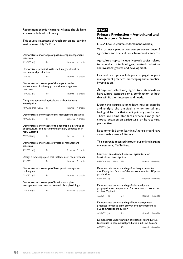Recommended prior learning: Äkonga should have a reasonable level of literacy.

This course is accessed through our online learning environment, My Te Kura.

| practices                                                                                         |           | Demonstrate knowledge of pasture/crop management                                                                |                    |
|---------------------------------------------------------------------------------------------------|-----------|-----------------------------------------------------------------------------------------------------------------|--------------------|
| AS90155 (la)                                                                                      | Pr        |                                                                                                                 | Internal 4 credits |
| horticultural production                                                                          |           | Demonstrate practical skills used in agricultural or                                                            |                    |
| AS90157                                                                                           | Pr        |                                                                                                                 | Internal 4 credits |
| practices                                                                                         |           | Demonstrate knowledge of the impact on the<br>environment of primary production management                      |                    |
| AS90160 (la)                                                                                      | Pr        | Internal                                                                                                        | 3 credits          |
| investigation                                                                                     |           | Carry out a practical agricultural or horticultural                                                             |                    |
| AS90918 (na) UEna                                                                                 | <b>Pr</b> |                                                                                                                 | Internal 4 credits |
|                                                                                                   |           | Demonstrate knowledge of soil management practices                                                              |                    |
| AS90919 (la)                                                                                      | Pr        |                                                                                                                 | External 4 credits |
| New Zealand                                                                                       |           | Demonstrate knowledge of the geographic distribution<br>of agricultural and horticultural primary production in |                    |
| AS90920 (la)                                                                                      | Pr        | Internal                                                                                                        | 3 credits          |
| practices                                                                                         |           | Demonstrate knowledge of livestock management                                                                   |                    |
| AS90921 (la)                                                                                      | Pr        |                                                                                                                 | External 5 credits |
|                                                                                                   |           | Design a landscape plan that reflects user requirements                                                         |                    |
| AS90922                                                                                           | Pr        | Internal                                                                                                        | 3 credits          |
| techniques                                                                                        |           | Demonstrate knowledge of basic plant propagation                                                                |                    |
| AS90923 (la)                                                                                      | Pr        |                                                                                                                 | Internal 4 credits |
| Demonstrate knowledge of horticultural plant<br>management practices and related plant physiology |           |                                                                                                                 |                    |
| AS90924 (la)                                                                                      | Pr        |                                                                                                                 | External 5 credits |
|                                                                                                   |           |                                                                                                                 |                    |
|                                                                                                   |           |                                                                                                                 |                    |
|                                                                                                   |           |                                                                                                                 |                    |

#### **PP2000**

#### **Primary Production – Agricultural and Horticultural Science**

NCEA Level 2 (course endorsement available)

This primary production course covers Level 2 agriculture and horticulture achievement standards.

Agriculture topics include livestock topics related to reproductive technologies, livestock behaviour and livestock growth and development.

Horticulture topics include plant propagation, plant management practices, landscaping and a practical investigation.

Äkonga can select only agriculture standards or horticulture standards or a combination of both that will fit their interests and needs.

During this course, äkonga learn how to describe and analyse the physical, environmental and biological factors that affect primary production. There are some standards where äkonga can choose between an agricultural or horticultural perspective.

Recommended prior learning: Äkonga should have a reasonable level of literacy.

This course is accessed through our online learning environment, My Te Kura.

Carry out an extended practical agricultural or horticultural investigation

AS91289 (na) UElna SPr<br>
Internal 4 credits

Demonstrate understanding of techniques used to modify physical factors of the environment for NZ plant production

| AS91290 (la) | SPr | External 4 credits |  |
|--------------|-----|--------------------|--|
|--------------|-----|--------------------|--|

Demonstrate understanding of advanced plant propagation techniques used for commercial production in New Zealand

```
AS91291 (la) SPr Internal 4 credits
```
Demonstrate understanding of how management practices influence plant growth and development in NZ commercial production

| AS91292 (la) | SPr |  | Internal 4 credits |
|--------------|-----|--|--------------------|
|--------------|-----|--|--------------------|

Demonstrate understanding of livestock reproductive techniques in commercial production in New Zealand

AS91293 (la) SPr Internal 4 credits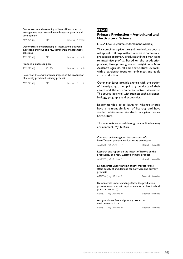| Demonstrate understanding of how NZ commercial      |
|-----------------------------------------------------|
| management practices influence livestock growth and |
| development                                         |

| AS91294 (la) | SPr | External 4 credits |  |
|--------------|-----|--------------------|--|
|              |     |                    |  |

Demonstrate understanding of interactions between livestock behaviour and NZ commercial management practices

| AS91295 (la)             | SPr    | Internal 4 credits |
|--------------------------|--------|--------------------|
| Produce a landscape plan |        |                    |
| AS91296 (la)             | Co SPr | Internal 4 credits |

Report on the environmental impact of the production of a locally produced primary product

| AS91298 (la) | SPr | Internal 4 credits |  |
|--------------|-----|--------------------|--|
|              |     |                    |  |

#### **PP3000**

#### **Primary Production – Agricultural and Horticultural Science**

NCEA Level 3 (course endorsement available)

This combined agriculture and horticulture course will appeal to äkonga with an interest in commercial production of primary products and their marketing to maximise profits. Based on the production process, äkonga are given an insight into New Zealand's agricultural and horticultural exports, with a particular focus on lamb meat and apple crop production.

Other standards provide äkonga with the option of investigating other primary products of their choice and the environmental factors associated. The course links well with subjects such as science, biology, geography and economics.

Recommended prior learning: Äkonga should have a reasonable level of literacy and have studied achievement standards in agriculture or horticulture.

This course is accessed through our online learning environment, My Te Kura.

Carry out an investigation into an aspect of a New Zealand primary product or its production AS91528 (lna) UEna Pr<br>
Internal 4 credits Research and report on the impact of factors on the profitability of a New Zealand primary product AS91529 (lna) UEnlrna Pr<br>
Internal 6 credits Demonstrate understanding of how market forces affect supply of and demand for New Zealand primary products AS91530 (lna) UEnlrwa Pr External 5 credits

Demonstrate understanding of how the production process meets market requirements for a New Zealand primary product(s)

AS91531 (Ina) UEnlrwa Pr External 4 credits

Analyse a New Zealand primary production environmental issue

AS91532 (lna) UEnlrwa Pr<br>
External 5 credits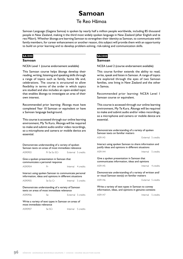# **Samoan**

### Te Reo Hämoa

Samoan Language (Gagana Samoa) is spoken by nearly half a million people worldwide, including 85 thousand people in New Zealand, making it the third most widely spoken language in New Zealand (after English and te reo Mäori). Whether äkonga are learning Samoan to strengthen their identity as Samoan, to communicate with family members, for career enhancement or another reason, this subject will provide them with an opportunity to build on prior learning and to develop problem-solving, risk-taking and communication skills.

#### **SA1000**

#### **Samoan**

NCEA Level 1 (course endorsement available)

This Samoan course helps äkonga develop their reading, writing, listening and speaking skills through a range of topics such as family, home life and, celebrations. The course is structured to allow flexibility in terms of the order in which topics are studied and also includes an open-ended topic that enables äkonga to investigate an area of their own interest.

Recommended prior learning: Äkonga must have completed Year 10 Samoan or equivalent or have a Samoan language background.

This course is accessed through our online learning environment, My Te Kura. Äkonga will be required to make and submit audio and/or video recordings, so a microphone and camera or mobile device are essential.

| Demonstrate understanding of a variety of spoken<br>Samoan texts on areas of most immediate relevance |                                                                                                                 |  |                    |  |  |
|-------------------------------------------------------------------------------------------------------|-----------------------------------------------------------------------------------------------------------------|--|--------------------|--|--|
| AS90903                                                                                               | Pr Se So SCr External 5 credits                                                                                 |  |                    |  |  |
| Give a spoken presentation in Samoan that<br>communicates a personal response                         |                                                                                                                 |  |                    |  |  |
| AS90904                                                                                               | Pr                                                                                                              |  | Internal 4 credits |  |  |
|                                                                                                       | Interact using spoken Samoan to communicate personal<br>information, ideas and opinions in different situations |  |                    |  |  |
| AS90905                                                                                               | Se So Cr                                                                                                        |  | Internal 5 credits |  |  |
| Demonstrate understanding of a variety of Samoan<br>texts on areas of most immediate relevance        |                                                                                                                 |  |                    |  |  |
| AS90906                                                                                               | Se                                                                                                              |  | External 5 credits |  |  |
| Write a variety of text types in Samoan on areas of<br>most immediate relevance                       |                                                                                                                 |  |                    |  |  |
| AS90907                                                                                               | Se SCr                                                                                                          |  | Internal 5 credits |  |  |

#### **SA2000 Samoan**

NCEA Level 2 (course endorsement available)

This course further extends the ability to read, write, speak and listen in Samoan. A range of topics are explored through the eyes of two Samoan families, one living in New Zealand and the other in Samoa.

Recommended prior learning: NCEA Level 1 Samoan course or equivalent.

This course is accessed through our online learning environment, My Te Kura. Äkonga will be required to make and submit audio and/or video recordings, so a microphone and camera or mobile device are essential.

| Demonstrate understanding of a variety of spoken<br>Samoan texts on familiar matters                        |  |                    |  |  |
|-------------------------------------------------------------------------------------------------------------|--|--------------------|--|--|
| AS91143                                                                                                     |  | External 5 credits |  |  |
| Interact using spoken Samoan to share information and<br>justify ideas and opinions in different situations |  |                    |  |  |
| AS91144                                                                                                     |  | Internal 5 credits |  |  |
| Give a spoken presentation in Samoan that<br>communicates information, ideas and opinions                   |  |                    |  |  |
| AS91145                                                                                                     |  | Internal 4 credits |  |  |
| Demonstrate understanding of a variety of written and/<br>or visual Samoan text(s) on familiar matters      |  |                    |  |  |
| AS91146                                                                                                     |  | External 5 credits |  |  |
| Write a variety of text types in Samoan to convey<br>information, ideas, and opinions in genuine contexts   |  |                    |  |  |
| AS91147                                                                                                     |  | Internal 5 credits |  |  |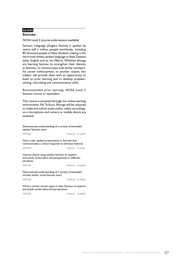#### **SA3000**

#### **Samoan**

NCEA Level 3 (course endorsement available)

Samoan Language (Gagana Samoa) is spoken by nearly half a million people worldwide, including 85 thousand people in New Zealand, making it the third most widely spoken language in New Zealand (after English and te reo Mäori). Whether äkonga are learning Samoan to strengthen their identity as Samoan, to communicate with family members, for career enhancement, or another reason, this subject will provide them with an opportunity to build on prior learning and to develop problemsolving, risk-taking and communication skills.

Recommended prior learning: NCEA Level 2 Samoan course or equivalent.

This course is accessed through our online learning environment, My Te Kura. Äkonga will be required to make and submit audio and/or video recordings, so a microphone and camera or mobile device are essential.

Demonstrate understanding of a variety of extended spoken Samoan texts

| AS91563                                                                                                                 | External 5 credits |  |
|-------------------------------------------------------------------------------------------------------------------------|--------------------|--|
| Give a clear spoken presentation in Samoan that<br>communicates a critical response to stimulus material                |                    |  |
| AS91564                                                                                                                 | Internal 3 credits |  |
| Interact clearly using spoken Samoan to explore<br>and justify varied ideas and perspectives in different<br>situations |                    |  |

AS91565 Internal 6 credits

Demonstrate understanding of a variety of extended written and/or visual Samoan texts

AS91566 External 5 credits

Write a variety of text types in clear Samoan to explore and justify varied ideas and perspectives

AS91567 **Internal** 5 credits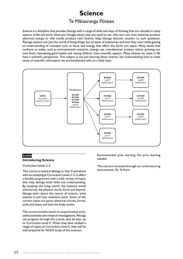## **Science**

### Te Mätauranga Pütaiao

Science is a discipline that provides äkonga with a range of skills and ways of thinking that are valuable in many aspects of life and work. Have you thought about why you need to eat, why cars rust, how batteries produce electrical energy or why clouds produce rain? Science helps äkonga discover answers to such questions. Äkonga explore not just the world of living things, but all types of substances and how they react while gaining an understanding of concepts such as force and energy that affect the Earth and space. Many issues that confront us today, such as environmental concerns, energy use, manufacturer product claims, growing our own food, maintaining good health and raising children, have scientific aspects. Many choices we make in life have a scientific perspective. This subject is not just learning about science, but understanding how to make sense of scientific information we are bombarded with on a daily basis.



#### **SC000 Introducing Science**

Curriculum Levels 2–5

This course is aimed at äkonga in Year 9 and above who are studying at Curriculum Levels 2–5. It offers a flexible programme with a wide variety of topics that help äkonga build skills and understanding. By studying the living world, the material world (chemistry), the physical world, Earth and beyond, äkonga learn about the nature of science, what science is and how scientists work. Some of the current topics are space, electrical circuits, forces, acids and bases and how the body works.

The course includes hands-on experimental work, online activities and research investigations. Äkonga can progress through this course, year by year, up to Curriculum Level 5. When they have studied a range of topics at Curriculum Level 5, they will be well-prepared for NCEA study of the sciences.

Recommended prior learning: No prior learning needed.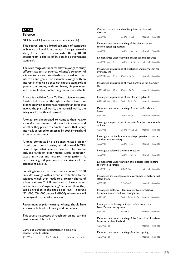#### **SC1000**

#### **Science**

NCEA Level 1 (course endorsement available)

This course offers a broad selection of standards in Science at Level 1. In one year, äkonga normally study for around five standards offering 18–20 credits from a choice of 16 possible achievement standards.

The wide range of standards allows äkonga to study different aspects of science. Äkonga's selection of science topics and standards are based on their interests and goals. For example, äkonga with an interest in medical science can choose standards in genetics, microbes, acids and bases, life processes and the implications of burning carbon-based fuels.

Advice is available from Te Kura science kaiakos. Kaiakos help to select the right standards to ensure äkonga study an appropriate range of standards that involve the physical world, the material world, the living world, Earth and beyond.

Äkonga are encouraged to contact their kaiako soon after enrolment to discuss topic choices and whether they prefer to complete work that is only internally assessed or assessed by both internal and external assessment.

Äkonga committed to a science-related career should consider choosing an additional NCEA Level 1 specialist science course. The course includes hands-on experimental work, computerbased activities and research investigations. It provides a good preparation for study of the sciences at Level 2.

Enrolling in more than one science course: SC1000 provides äkonga with a broad introduction to the sciences which then leads to a greater choice of subjects at level 2. If äkonga want to have a career in the sciences/engineering/medicine then they can be enrolled in the specialised level 1 courses (BY1000, CH1000 and/or PH1000) where they will be assigned to specialist kaiakos.

Recommended prior learning: Äkonga should have a reasonable level of literacy and numeracy.

This course is accessed through our online learning environment, My Te Kura.

Carry out a practical investigation in a biological context, with direction

| AS90925 | Ma Pr SSe So | Internal 4 credits |
|---------|--------------|--------------------|
|         |              |                    |

| direction                 | Carry out a practical chemistry investigation, with                                         |                                      |
|---------------------------|---------------------------------------------------------------------------------------------|--------------------------------------|
| AS90930                   | Co Ma Pr SSe                                                                                | Internal 4 credits                   |
| technological application | Demonstrate understanding of the chemistry in a                                             |                                      |
| AS90931                   | Co Ma Pr SSe Cr                                                                             | Internal<br>2 credits                |
|                           | Demonstrate understanding of aspects of mechanics                                           |                                      |
|                           | AS90940 (na) UEna Co Ma Pr Se So Cr External 4 credits                                      |                                      |
| everyday life             | Investigate implications of electricity and magnetism for                                   |                                      |
|                           | AS90941 (na) UEna SCo Ma Pr Cr                                                              | Internal 4 credits                   |
| life                      | Investigate implications of wave behaviour for everyday                                     |                                      |
| AS90942 (na) UEna         | SCo Ma Pr Cr                                                                                | Internal 4 credits                   |
|                           | Investigate implications of heat for everyday life                                          |                                      |
|                           | AS90943 (na) UEna Co Ma Pr So Cr Internal 4 credits                                         |                                      |
| bases                     | Demonstrate understanding of aspects of acids and                                           |                                      |
| AS90944                   | Co Ma Pr Cr                                                                                 | External 4 credits                   |
| as fuels                  | Investigate implications of the use of carbon compounds                                     |                                      |
| AS90945                   | Co Ma Pr SSe So                                                                             | Internal 4 credits                   |
| for their use in society  | Investigate the implications of the properties of metals                                    |                                      |
| AS90946                   | Co Ma Pr Cr                                                                                 | Internal 4 credits                   |
|                           | Investigate selected chemical reactions                                                     |                                      |
| AS90947                   |                                                                                             | Co Ma Pr So Cr  Internal 4 credits   |
| to genetic variation      | Demonstrate understanding of biological ideas relating                                      |                                      |
| AS90948 (la)              | SMa Pr So                                                                                   | External 4 credits                   |
| affect them               | Investigate life processes and environmental factors that                                   |                                      |
| AS90949                   | Pr Se So Cr                                                                                 | Internal 4 credits                   |
|                           | Investigate biological ideas relating to interactions<br>between humans and micro-organisms |                                      |
| AS90950                   |                                                                                             | Co Ma Pr Se So Cr Internal 4 credits |
| New Zealand ecosystem     | Investigate the biological impact of an event on a                                          |                                      |
|                           | Pr Se Cr                                                                                    | Internal 4 credits                   |
| AS90951                   |                                                                                             |                                      |
| features in New Zealand   | Demonstrate understanding of the formation of surface                                       |                                      |
| AS90952 (la)              |                                                                                             | Internal 4 credits                   |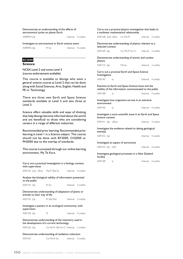#### Demonstrate an understanding of the effects of astronomical cycles on planet Earth

AS90954 (la) and a linternal 4 credits

#### Investigate an astronomical or Earth science event

| AS90955 (la) | Pr So | Internal 4 credits |  |
|--------------|-------|--------------------|--|
|              |       |                    |  |

### **SC2000**

#### **Science**

NCEA Level 2 and some Level 3 (course endorsement available)

This course is available to äkonga who want a general science course at Level 2 that can be done along with Social Sciences, Arts, English, Health and PE or Technology.

There are three new Earth and Space Science standards available at Level 2 and also three at Level 3.

Science offers valuable skills and ways of thinking that help äkonga become informed about the world and are beneficial to those who are considering careers in a range of different industries.

Recommended prior learning: Recommended prior learning is Level 1 in a Science subject. This course should not be done with BY2000, CH2000 or PH2000 due to the overlap of standards.

| Carry out a practical investigation in a biology context,<br>with supervision                 |                                       |  |                    |
|-----------------------------------------------------------------------------------------------|---------------------------------------|--|--------------------|
| AS91153 (na) UEna Ma Pr SSe So                                                                |                                       |  | Internal 4 credits |
| Analyse the biological validity of information presented<br>to the public                     |                                       |  |                    |
| AS91154 (la)                                                                                  | Pr So                                 |  | Internal 3 credits |
| Demonstrate understanding of adaptation of plants or<br>animals to their way of life          |                                       |  |                    |
| AS91155 (la)                                                                                  | Pr SSe SSo                            |  | Internal 3 credits |
| Investigate a pattern in an ecological community, with<br>supervision                         |                                       |  |                    |
| AS91158 (la)                                                                                  | Pr                                    |  | Internal 4 credits |
| Demonstrate understanding of the chemistry used in<br>the development of a current technology |                                       |  |                    |
| AS91163 (la)                                                                                  | Co Ma Pr SSe So Cr Internal 3 credits |  |                    |
| Demonstrate understanding of oxidation-reduction                                              |                                       |  |                    |
| AS91167                                                                                       | Co Ma Pr So Litternal 23 credits      |  |                    |

|                             |    | Carry out a practical physics investigation that leads to<br>a nonlinear mathematical relationship         |                    |
|-----------------------------|----|------------------------------------------------------------------------------------------------------------|--------------------|
| AS91168 (Ina) UEna Co Ma Pr |    |                                                                                                            | Internal 4 credits |
| selected context            |    | Demonstrate understanding of physics relevant to a                                                         |                    |
| AS91169 (la)                |    | Co Ma Pr So Cr                                                                                             | Internal 3 credits |
| physics                     |    | Demonstrate understanding of atomic and nuclear                                                            |                    |
| AS91172 (la)                |    | Ma So                                                                                                      | Internal 3 credits |
| Investigation               |    | Carry out a practical Earth and Space Science                                                              |                    |
| AS91187                     | la |                                                                                                            | Internal 4 credits |
| AS91188                     | la | Examine an Earth and Space Science Issue and the<br>validity of the information communicated to the public | Internal 4 credits |
| environment                 |    | Investigate how organisms survive in an extreme                                                            |                    |
| AS91190                     | la |                                                                                                            | Internal 4 credits |
| Science context             |    | Investigate a socio-scientific issue in an Earth and Space                                                 |                    |
| AS91411 (la) UElwr          |    |                                                                                                            | Internal 4 credits |
| event(s)                    |    | Investigate the evidence related to dating geological                                                      |                    |
| AS91412 (la)                |    |                                                                                                            | Internal 4 credits |
|                             |    | Investigate an aspect of astronomy                                                                         |                    |
| AS91415 (la) UEIr           |    |                                                                                                            | Internal 4 credits |
| locality                    |    | Investigate geological processes in a New Zealand                                                          |                    |
| AS91189                     | la |                                                                                                            | Internal 4 credits |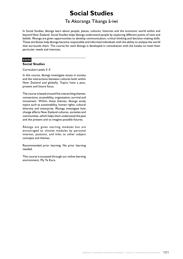## **Social Studies**

### Te Akoranga Tikanga ä-iwi

In Social Studies, äkonga learn about people, places, cultures, histories and the economic world within and beyond New Zealand. Social Studies helps äkonga understand people by exploring different points of view and beliefs. Äkonga are given opportunities to develop communication, critical thinking and decision-making skills. These attributes help äkonga become responsible and informed individuals with the ability to analyse the world that surrounds them. The course for each äkonga is developed in consultation with the kaiako to meet their particular needs and interests.

### **SS000**

#### **Social Studies**

Curriculum Levels 3–5

In this course, äkonga investigate issues in society and the interactions between cultures both within New Zealand and globally. Topics have a past, present and future focus.

The course is based around five overarching themes: connections, accessibility, organisation, survival and movement. Within these themes, äkonga study topics such as sustainability, human rights, cultural diversity and enterprise. Äkonga investigate how change affects New Zealand cultures, societies and communities, which helps them understand the past and the present and to imagine possible futures.

Äkonga are given starting modules but are encouraged to choose modules by personal interest, passions, and links to other subject concepts and themes.

Recommended prior learning: No prior learning needed.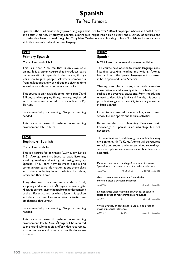## **Spanish** Te Reo Päniora

Spanish is the third most widely spoken language and is used by over 500 million people in Spain and both North and South America. By studying Spanish, äkonga gain insight into a rich history and a variety of cultures and societies that have spanned the globe. Many New Zealanders are choosing to learn Spanish for its importance as both a commercial and cultural language.

#### **PYSP**

#### **Primary Spanish**

Curriculum Levels 1 & 2

This is a Year 7 course that is only available online. It is a taster course that introduces basic communication in Spanish. In the course, äkonga learn how to greet people, ask where someone is from, talk about family, ask about and give the time as well as talk about other everyday topics.

This course is only available to full-time Year 7 and 8 äkonga and fee-paying äkonga. Äkonga registered in this course are required to work online on My Te Kura.

Recommended prior learning: No prior learning needed.

This course is accessed through our online learning environment, My Te Kura.

#### **SP000**

**Beginners' Spanish**

Curriculum Levels 1–5

This is a course for beginners (Curriculum Levels 1–5). Äkonga are introduced to basic listening, speaking, reading and writing skills using everyday Spanish. They learn how to greet people and communicate basic information about themselves and others including looks, hobbies, birthdays, family and their home.

They also learn to communicate about food, shopping and countries. Äkonga also investigate Hispanic culture, giving them a broad understanding of the different countries where Spanish is spoken and their customs. Communication activities are emphasised throughout.

Recommended prior learning: No prior learning needed.

This course is accessed through our online learning environment, My Te Kura. Äkonga will be required to make and submit audio and/or video recordings, so a microphone and camera or mobile device are essential.

#### **SP1000 Spanish**

NCEA Level 1 (course endorsement available)

This course develops the four main language skills: listening, speaking, reading and writing. Äkonga hear and learn the Spanish language as it is spoken in both Spain and Latin America.

Throughout the course, the style remains conversational and learning is set to a backdrop of realistic and everyday situations. From introducing oneself to describing family and friends, this course provides äkonga with the ability to socially converse in basic Spanish.

Other topics covered include holidays and travel, school life and sports and leisure activities.

Recommended prior learning: Previous basic knowledge of Spanish is an advantage but not necessary.

This course is accessed through our online learning environment, My Te Kura. Äkonga will be required to make and submit audio and/or video recordings, so a microphone and camera or mobile device are essential.

| Demonstrate understanding of a variety of spoken<br>Spanish texts on areas of most immediate relevance |                                 |                    |  |  |
|--------------------------------------------------------------------------------------------------------|---------------------------------|--------------------|--|--|
| AS90908                                                                                                | Pr Se So SCr External 5 credits |                    |  |  |
| Give a spoken presentation in Spanish that<br>communicates a personal response                         |                                 |                    |  |  |
| AS90909                                                                                                | Pr                              | Internal 4 credits |  |  |
| Demonstrate understanding of a variety of Spanish<br>texts on areas of most immediate relevance        |                                 |                    |  |  |
| AS90911                                                                                                | Se.                             | External 5 credits |  |  |
| Write a variety of text types in Spanish on areas of<br>most immediate relevance                       |                                 |                    |  |  |

| AS90912 | Se SCr | Internal 5 credits |  |
|---------|--------|--------------------|--|
|         |        |                    |  |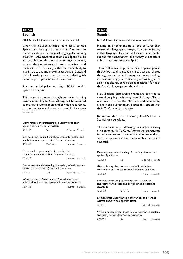#### **SP2000**

#### **Spanish**

NCEA Level 2 (course endorsement available)

Over this course äkonga learn how to use Spanish vocabulary, structures and functions to communicate a wide range of language for varying situations. Äkonga further their basic Spanish skills and are able to talk about a wide range of events, express their opinions and make comparisons and contrasts. In turn, they gain the necessary ability to give instructions and make suggestions and expand their knowledge on how to use and distinguish between past, present and future tenses.

Recommended prior learning: NCEA Level 1 Spanish or equivalent.

This course is accessed through our online learning environment, My Te Kura. Äkonga will be required to make and submit audio and/or video recordings, so a microphone and camera or mobile device are essential.

| Demonstrate understanding of a variety of spoken<br>Spanish texts on familiar matters                        |                  |  |                    |
|--------------------------------------------------------------------------------------------------------------|------------------|--|--------------------|
| AS91148                                                                                                      | $S_{\mathsf{P}}$ |  | External 5 credits |
| Interact using spoken Spanish to share information and<br>justify ideas and opinions in different situations |                  |  |                    |
| AS91149                                                                                                      | SSe So Cr        |  | Internal 5 credits |
| Give a spoken presentation in Spanish that<br>communicates information, ideas and opinions                   |                  |  |                    |
| AS91150                                                                                                      |                  |  | Internal 4 credits |
| Demonstrate understanding of a variety of written and/<br>or visual Spanish text(s) on familiar matters      |                  |  |                    |
| AS91151                                                                                                      | SSe              |  | External 5 credits |
| Write a variety of text types in Spanish to convey<br>information, ideas, and opinions in genuine contexts   |                  |  |                    |
| AS91152                                                                                                      |                  |  | Internal 5 credits |
|                                                                                                              |                  |  |                    |
|                                                                                                              |                  |  |                    |
|                                                                                                              |                  |  |                    |

#### **SP3000 Spanish**

NCEA Level 3 (course endorsement available)

Having an understanding of the cultures that surround a language is integral to communicating in that language. This course focuses on authentic Spanish for conversation in a variety of situations in both Latin America and Spain.

There will be many opportunities to speak Spanish throughout, and language skills are also furthered through exercises in listening for understanding, interest and enjoyment. Reading and writing work also helps äkonga develop an appreciation for both the Spanish language and the culture.

New Zealand Scholarship exams are designed to extend very high-achieving Level 3 äkonga. Those who wish to enter the New Zealand Scholarship exam in this subject must discuss this option with their Te Kura subject kaiako.

Recommended prior learning: NCEA Level 2 Spanish or equivalent.

This course is accessed through our online learning environment, My Te Kura. Äkonga will be required to make and submit audio and/or video recordings, so a microphone and camera or mobile device are essential.

Demonstrate understanding of a variety of extended spoken Spanish texts AS91568 Se External 5 credits Give a clear spoken presentation in Spanish that communicates a critical response to stimulus material AS91569 **Internal** 3 credits Interact clearly using spoken Spanish to explore and justify varied ideas and perspectives in different situations AS91570 Se So Cr
Hoternal
6 credits Demonstrate understanding of a variety of extended written and/or visual Spanish texts AS91571 External 5 credits Write a variety of text types in clear Spanish to explore and justify varied ideas and perspectives AS91572 Se Internal 5 credits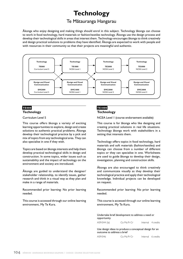## **Technology**

### Te Mätauranga Hangarau

Äkonga who enjoy designing and making things should enrol in this subject. Technology äkonga can choose to work in food technology, hard materials or fashion/textiles technology. Äkonga use the design process and develop their technological skills in areas that interest them. Technology encourages äkonga to think creatively and design practical solutions to problems they have identified. Äkonga are expected to work with people and with resources in their community so that their projects are meaningful and authentic.



#### **TE000 Technology**

Curriculum Level 5

This course offers äkonga a variety of exciting learning opportunities to explore, design and create solutions to authentic practical problems. Äkonga develop their technological practice by a pick and mix of topics from any technological area. They can also specialise in one if they wish.

Topics are based on äkonga interests and help them develop practical technological skills in design and construction. In some topics, wider issues such as sustainability and the impact of technology on the environment and society are introduced.

Äkonga are guided to understand the designer/ stakeholder relationship, to identify issues, gather research and think in a visual way as they plan and make in a range of materials.

Recommended prior learning: No prior learning needed.

This course is accessed through our online learning environment, My Te Kura.

#### **TE1000 Technology**

NCEA Level 1 (course endorsement available)

This course is for äkonga who like designing and creating practical solutions in real life situations. Technology äkonga work with stakeholders in a setting that interests them.

Technology offers topics in food technology, hard materials and soft materials (fashion/textiles) and äkonga can choose from a number of different topics or they can specialise in one. Worksheets are used to guide äkonga to develop their design, investigation, planning and construction skills.

Äkonga are also encouraged to think creatively and communicate visually as they develop their technological practice and apply their technological knowledge. Individual projects can be developed on request.

Recommended prior learning: No prior learning needed.

This course is accessed through our online learning environment, My Te Kura.

Undertake brief development to address a need or opportunity

AS91044 (la) Co Ma Pr Cr Internal 4 credits

Use design ideas to produce a conceptual design for an outcome to address a brief

AS91046 Co Ma Pr Cr Internal 6 credits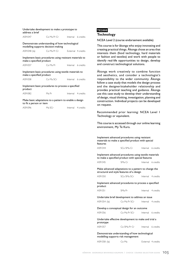| Undertake development to make a prototype to<br>address a brief                      |             |                    |  |  |
|--------------------------------------------------------------------------------------|-------------|--------------------|--|--|
| AS91047                                                                              | Co Ma Pr Cr | Internal 6 credits |  |  |
| Demonstrate understanding of how technological<br>modelling supports decision-making |             |                    |  |  |
| AS91048 (la) Co Ma Pr Cr External 4 credits                                          |             |                    |  |  |
| Implement basic procedures using resistant materials to<br>make a specified product  |             |                    |  |  |
| AS91057                                                                              | Co Ma Pr    | Internal 6 credits |  |  |
| Implement basic procedures using textile materials to<br>make a specified product    |             |                    |  |  |
| AS91058                                                                              | Co Ma SCr   | Internal 6 credits |  |  |
| Implement basic procedures to process a specified<br>product                         |             |                    |  |  |
| AS91082                                                                              | Ma Pr       | Internal 4 credits |  |  |
| Make basic adaptations to a pattern to enable a design<br>to fit a person or item    |             |                    |  |  |

| AS91096 | Ma SCr | Internal 4 credits |  |
|---------|--------|--------------------|--|

### **TE2000 Technology**

NCEA Level 2 (course endorsement available)

This course is for äkonga who enjoy innovating and creating practical things. Äkonga chose an area that interests them (food technology, hard materials or fashion and textiles) and work with people to identify real-life opportunities to design, develop and construct technological solutions.

Äkonga work creatively to combine function and aesthetics, and consider a technologist's responsibility to the wider community. Äkonga follow a case study that models the design process and the designer/stakeholder relationship and provides practical teaching and guidance. Äkonga use this case study to develop their understanding of design, visual thinking, investigation, planning and construction. Individual projects can be developed on request.

Recommended prior learning: NCEA Level 1 Technology or equivalent.

This course is accessed through our online learning environment, My Te Kura.

Implement advanced procedures using resistant materials to make a specified product with special features AS91344 SCo SMa Cr Internal 6 credits Implement advanced procedures using textile materials to make a specified product with special features AS91345 SMa Cr
SMa Cr
SMa Cr
and the Internal 6 credits Make advanced adaptations to a pattern to change the structural and style features of a design AS91350 SCo SMa SCr Internal 4 credits Implement advanced procedures to process a specified product AS91351 SMa Pr
SMa Pr
SMa Pr
SMa Pr
SMa Pr
SMa Pr
SMa Pr
SMa Pr
SMa Pr
SMa Pr
SMa Pr
SMa Pr
SMa Pr
SMa Pr
SMa Pr
SMa Pr
SMa Pr
SMa Pr
SMa Pr
SMa Pr
SMa Pr
SMa Pr
SMa Pr
SMa Pr
SMa Pr
SMa Pr
SMa Pr
SMa Pr
SMa Pr
SMa Pr
SMa Undertake brief development to address an issue AS91354 (la) Co Ma Pr SCr Internal 4 credits Develop a conceptual design for an outcome AS91356 Co Ma Pr SCr Internal 6 credits Undertake effective development to make and trial a prototype AS91357 Co SMa Pr Cr Internal 6 credits Demonstrate understanding of how technological modelling supports risk management AS91358 (la) Co Ma External 4 credits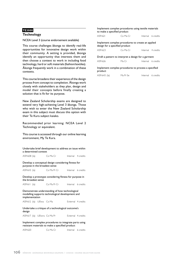#### **TE3000**

#### **Technology**

NCEA Level 3 (course endorsement available)

This course challenges äkonga to identify real-life opportunities for innovative design work within their community. A setting is provided, äkonga identify an opportunity that interests them and then choose a context to work in including food technology, hard or soft materials (fashion/textiles). Äkonga frequently work in a combination of these contexts.

This course broadens their experience of the design process from concept to completion. Äkonga work closely with stakeholders as they plan, design and model their concepts before finally creating a solution that is fit for its purpose.

New Zealand Scholarship exams are designed to extend very high-achieving Level 3 äkonga. Those who wish to enter the New Zealand Scholarship exam in this subject must discuss this option with their Te Kura subject kaiako.

Recommended prior learning: NCEA Level 2 Technology or equivalent.

This course is accessed through our online learning environment, My Te Kura.

Undertake brief development to address an issue within a determined context

| AS91608 (la) | Co Ma Cr | Internal 4 credits |
|--------------|----------|--------------------|
|              |          |                    |

Develop a conceptual design considering fitness for purpose in the broadest sense

AS91610 (la) Co Ma Pr Cr Internal 6 credits

Develop a prototype considering fitness for purpose in the broadest sense

|  | AS91611 (la) |  | Co Ma Pr Cr | Internal 6 credits |  |
|--|--------------|--|-------------|--------------------|--|
|--|--------------|--|-------------|--------------------|--|

Demonstrate understanding of how technological modelling supports technological development and implementation

AS91612 (la) UElwa Co Ma<br>
External 4 credits

Undertake a critique of a technological outcome's design

AS91617 (la) UElwra Co Ma Pr External 4 credits

Implement complex procedures to integrate parts using resistant materials to make a specified product AS91620 Co Ma Cr Internal 6 credits

Implement complex procedures using textile materials to make a specified product

| AS91621 | Co Ma Cr | Internal 6 credits |
|---------|----------|--------------------|
|         |          |                    |

Implement complex procedures to create an applied design for a specified product AS91623 Co Ma Cr
Book Co Ma Cr
Co Ma Cr
Co Ma Cr
Co Ma Cr
Co Ma Cr
L
Thernal  $\alpha$  4 credits

#### Draft a pattern to interpret a design for a garment

AS91626 Ma Cr **Internal** 6 credits

#### Implement complex procedures to process a specified product

| AS91643 (la)<br>Ma Pr Se | Internal 6 credits |  |
|--------------------------|--------------------|--|
|--------------------------|--------------------|--|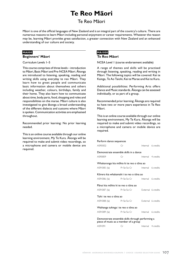# **Te Reo Mäori**

# Te Reo Mäori

Mäori is one of the official languages of New Zealand and is an integral part of the country's culture. There are numerous reasons to learn Mäori including personal enjoyment or career requirements. Whatever the reason may be, learning Mäori provides great satisfaction, a greater connection with New Zealand and an enhanced understanding of our culture and society.

# **MA000**

# **Beginners' Mäori**

Curriculum Levels 1–5

This course comprises of three levels – introduction to Mäori, Basic Mäori and Pre-NCEA Mäori. Äkonga are introduced to listening, speaking, reading and writing skills using everyday te reo Mäori. They learn how to greet people and communicate basic information about themselves and others including weather, colours, birthdays, family and their home. They also learn how to communicate about time, body parts, food, shopping and roles and responsibilities on the marae. Mäori culture is also investigated to give äkonga a broad understanding of the different dialects and customs where Mäori is spoken. Communication activities are emphasised throughout.

Recommended prior learning: No prior learning needed.

This is an online course available through our online learning environment, My Te Kura. Äkonga will be required to make and submit video recordings, so a microphone and camera or mobile device are required.

# **MA1000**

# **Te Reo Mäori**

NCEA Level 1 (course endorsement available)

A range of themes and skills will be practised through listening, speaking, reading and writing in Mäori. The following topics will be covered: Kei te Kainga, Te Ao Taiohi, Kei te Marae and Kei te Kura.

Additional possibilities: Performing Arts offers Dance and Music standards. Äkonga can be assessed individually, or as part of a group.

Recommended prior learning: Äkonga are required to have two or more years experience in Te Reo Mäori.

This is an online course available through our online learning environment, My Te Kura. Äkonga will be required to make and submit video recordings, so a microphone and camera or mobile device are required.

#### Perform dance sequences

| AS90002                                                                                   | Сr | Internal 6 credits |  |  |  |
|-------------------------------------------------------------------------------------------|----|--------------------|--|--|--|
| Demonstrate ensemble skills in a dance                                                    |    |                    |  |  |  |
| AS90859                                                                                   | Сr | Internal 4 credits |  |  |  |
| Whakarongo kia mōhio ki te reo o tōna ao                                                  |    |                    |  |  |  |
| AS91085 (la) Pr Se So Cr                                                                  |    | Internal 6 credits |  |  |  |
| Kōrero kia whakamahi i te reo o tōna ao                                                   |    |                    |  |  |  |
| AS91086 (la) Pr Se So Cr                                                                  |    | Internal 6 credits |  |  |  |
| Pānui kia mōhio ki te reo o tōna ao                                                       |    |                    |  |  |  |
| AS91087 (la) Pr Se So Cr                                                                  |    | External 6 credits |  |  |  |
| Tuhi i te reo o tōna ao                                                                   |    |                    |  |  |  |
| AS91088 (la) Pr Se So Cr                                                                  |    | External 6 credits |  |  |  |
| Waihanga tuhinga i te reo o tōna ao                                                       |    |                    |  |  |  |
| AS91089 (la) Pr Se So Cr                                                                  |    | Internal 6 credits |  |  |  |
| Demonstrate ensemble skills through performing a<br>piece of music as a member of a group |    |                    |  |  |  |

AS91091 Cr Internal 4 credits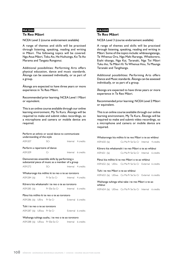## **MA2000**

## **Te Reo Mäori**

NCEA Level 2 (course endorsement available)

A range of themes and skills will be practised through listening, speaking, reading and writing in Mäori. The following topics will be covered: Nga Atua Mäori, Toku Ao, He Huihuinga, Ko Te Ao Marama and Tangata Rongonui.

Additional possibilities: Performing Arts offers physical education, dance and music standards. Äkonga can be assessed individually, or as part of a group.

Äkonga are expected to have three years or more experience in Te Reo Mäori.

Recommended prior learning: NCEA Level 1 Mäori or equivalent.

This is an online course available through our online learning environment, My Te Kura. Äkonga will be required to make and submit video recordings, so a microphone and camera or mobile device are required.

# Perform an ethnic or social dance to communicate understanding of the style AS91207 SCr Internal 4 credits Perform a repertoire of dance

AS91209 Cr Internal 6 credits

Demonstrate ensemble skills by performing a substantial piece of music as a member of a group

AS91272 SCr Internal 4 credits

#### Whakarongo kia möhio ki te reo o te ao torotoro

AS91284 (la) Pr Se So Cr Internal 4 credits

# Körero kia whakamahi i te reo o te ao torotoro

AS91285 (la) Pr SSe So Cr Internal 6 credits

## Pänui kia möhio ki te reo o te ao torotoro AS91286 (la) UElra Pr Se Cr External 6 credits

#### Tuhi i te reo o te ao torotoro

AS91287 (la) UElwa Pr Se Cr **External** 6 credits

## Waihanga tuhinga auaha, i te reo o te ao torotoro

AS91288 (la) UElwa Pr SSe So Cr Internal 6 credits

# **MA3000 Te Reo Mäori**

NCEA Level 3 (course endorsement available)

A range of themes and skills will be practised through listening, speaking, reading and writing in Mäori. Some of the topics include: whänaungatanga, Te Whenua Ora, Nga Mahi Raranga, Whaikorero, Etahi tikanga, Nga Kai, Taranaki, Nga Toi Mäori Tuku iho, Te Mäori Ki Te Whenua Hou, Te Maunga Taranaki and Tangihanga.

Additional possibilities: Performing Arts offers Dance and Music standards. Äkonga can be assessed individually, or as part of a group.

Äkonga are expected to have three years or more experience in Te Reo Mäori.

Recommended prior learning: NCEA Level 2 Mäori or equivalent.

This is an online course available through our online learning environment, My Te Kura. Äkonga will be required to make and submit video recordings, so a microphone and camera or mobile device are required.

## Whakarongo kia möhio ki te reo Mäori o te ao whänui

| AS91650 (la) | Co Ma Pr Se So Cr Internal 4 credits |  |
|--------------|--------------------------------------|--|

## Körero kia whakamahi i te reo Mäori o te ao whänui

AS91651 (la) Co Ma Pr Se So Cr Internal 6 credits

Pänui kia möhio ki te reo Mäori o te ao whänui

AS91652 (la) UElra Co Ma Pr Se So Cr External 6 credits

## Tuhi i te reo Mäori o te ao whänui

AS91653 (la) UElwa Co Ma Pr Se So Cr External 6 credits

#### Waihanga tuhinga whai take i te reo Mäori o te ao whänui

AS91654 (la) UElwa Co Ma Pr Se So Cr Internal 6 credits